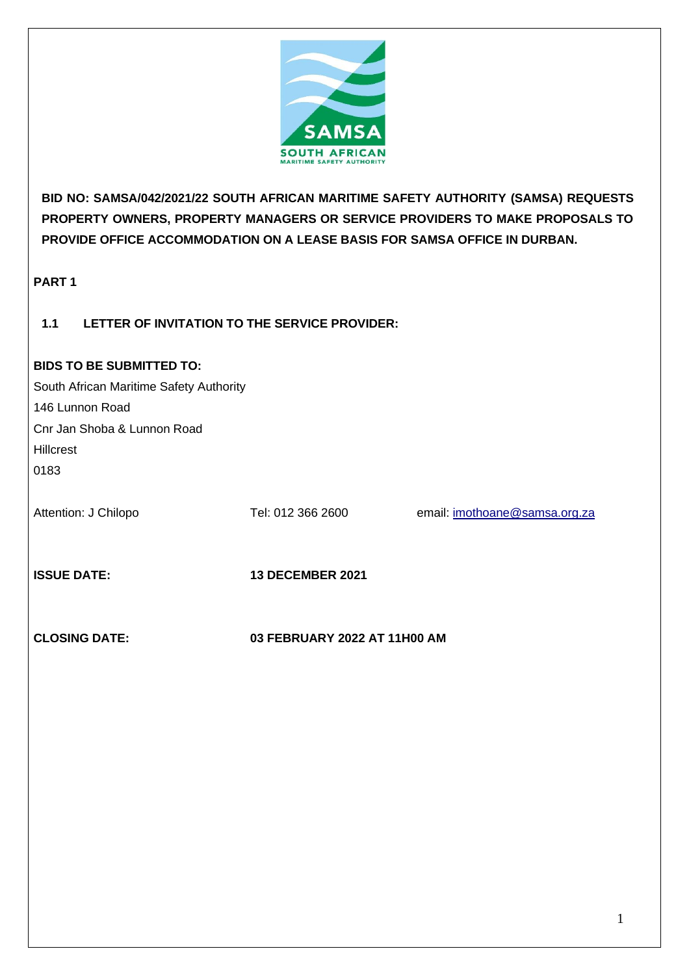

**BID NO: SAMSA/042/2021/22 SOUTH AFRICAN MARITIME SAFETY AUTHORITY (SAMSA) REQUESTS PROPERTY OWNERS, PROPERTY MANAGERS OR SERVICE PROVIDERS TO MAKE PROPOSALS TO PROVIDE OFFICE ACCOMMODATION ON A LEASE BASIS FOR SAMSA OFFICE IN DURBAN.**

**PART 1**

# **1.1 LETTER OF INVITATION TO THE SERVICE PROVIDER:**

## **BIDS TO BE SUBMITTED TO:**

South African Maritime Safety Authority 146 Lunnon Road Cnr Jan Shoba & Lunnon Road **Hillcrest** 0183

Attention: J Chilopo Tel: 012 366 2600 email: [imothoane@samsa.org.za](mailto:imothoane@samsa.org.za)

**ISSUE DATE: 13 DECEMBER 2021**

**CLOSING DATE: 03 FEBRUARY 2022 AT 11H00 AM**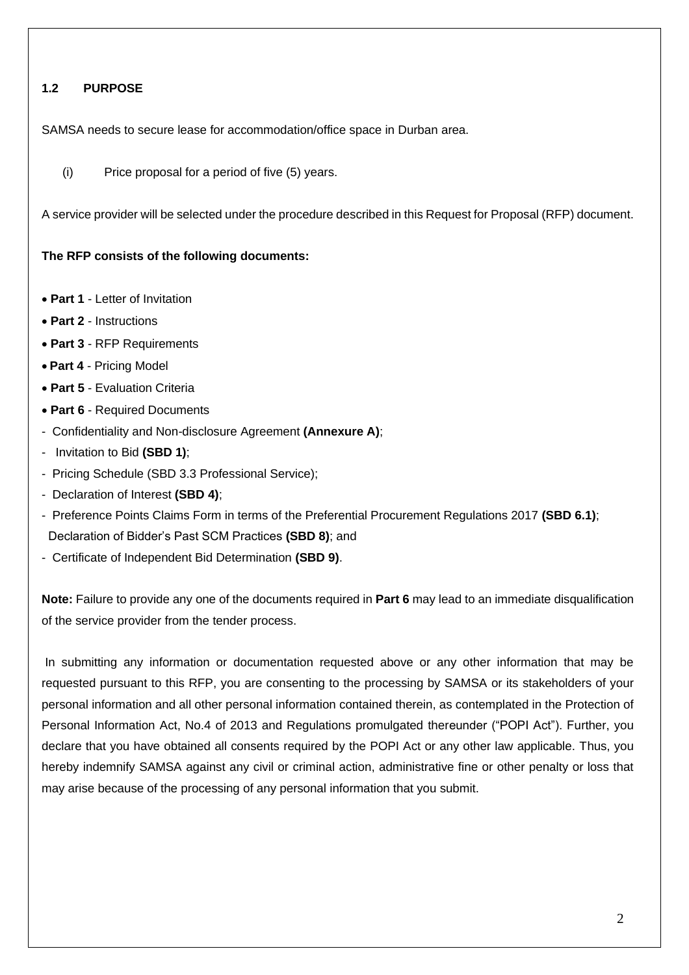# **1.2 PURPOSE**

SAMSA needs to secure lease for accommodation/office space in Durban area.

(i) Price proposal for a period of five (5) years.

A service provider will be selected under the procedure described in this Request for Proposal (RFP) document.

### **The RFP consists of the following documents:**

- **Part 1** Letter of Invitation
- **Part 2** Instructions
- **Part 3** RFP Requirements
- **Part 4**  Pricing Model
- **Part 5** Evaluation Criteria
- **Part 6** Required Documents
- Confidentiality and Non-disclosure Agreement **(Annexure A)**;
- Invitation to Bid **(SBD 1)**;
- Pricing Schedule (SBD 3.3 Professional Service);
- Declaration of Interest **(SBD 4)**;
- Preference Points Claims Form in terms of the Preferential Procurement Regulations 2017 **(SBD 6.1)**; Declaration of Bidder's Past SCM Practices **(SBD 8)**; and
- Certificate of Independent Bid Determination **(SBD 9)**.

**Note:** Failure to provide any one of the documents required in **Part 6** may lead to an immediate disqualification of the service provider from the tender process.

In submitting any information or documentation requested above or any other information that may be requested pursuant to this RFP, you are consenting to the processing by SAMSA or its stakeholders of your personal information and all other personal information contained therein, as contemplated in the Protection of Personal Information Act, No.4 of 2013 and Regulations promulgated thereunder ("POPI Act"). Further, you declare that you have obtained all consents required by the POPI Act or any other law applicable. Thus, you hereby indemnify SAMSA against any civil or criminal action, administrative fine or other penalty or loss that may arise because of the processing of any personal information that you submit.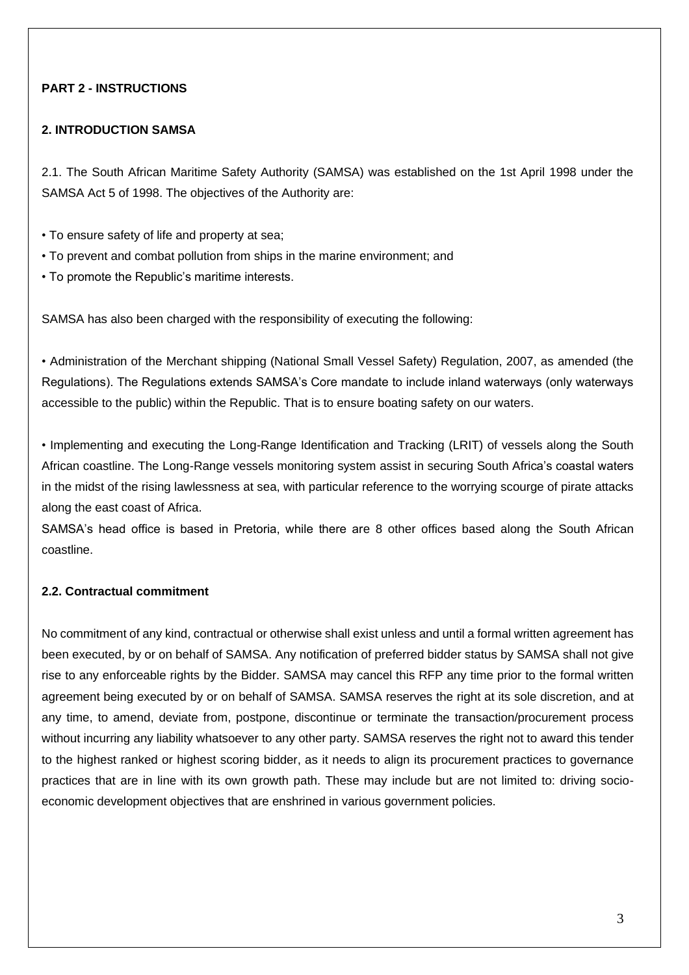# **PART 2 - INSTRUCTIONS**

### **2. INTRODUCTION SAMSA**

2.1. The South African Maritime Safety Authority (SAMSA) was established on the 1st April 1998 under the SAMSA Act 5 of 1998. The objectives of the Authority are:

- To ensure safety of life and property at sea;
- To prevent and combat pollution from ships in the marine environment; and
- To promote the Republic's maritime interests.

SAMSA has also been charged with the responsibility of executing the following:

• Administration of the Merchant shipping (National Small Vessel Safety) Regulation, 2007, as amended (the Regulations). The Regulations extends SAMSA's Core mandate to include inland waterways (only waterways accessible to the public) within the Republic. That is to ensure boating safety on our waters.

• Implementing and executing the Long-Range Identification and Tracking (LRIT) of vessels along the South African coastline. The Long-Range vessels monitoring system assist in securing South Africa's coastal waters in the midst of the rising lawlessness at sea, with particular reference to the worrying scourge of pirate attacks along the east coast of Africa.

SAMSA's head office is based in Pretoria, while there are 8 other offices based along the South African coastline.

## **2.2. Contractual commitment**

No commitment of any kind, contractual or otherwise shall exist unless and until a formal written agreement has been executed, by or on behalf of SAMSA. Any notification of preferred bidder status by SAMSA shall not give rise to any enforceable rights by the Bidder. SAMSA may cancel this RFP any time prior to the formal written agreement being executed by or on behalf of SAMSA. SAMSA reserves the right at its sole discretion, and at any time, to amend, deviate from, postpone, discontinue or terminate the transaction/procurement process without incurring any liability whatsoever to any other party. SAMSA reserves the right not to award this tender to the highest ranked or highest scoring bidder, as it needs to align its procurement practices to governance practices that are in line with its own growth path. These may include but are not limited to: driving socioeconomic development objectives that are enshrined in various government policies.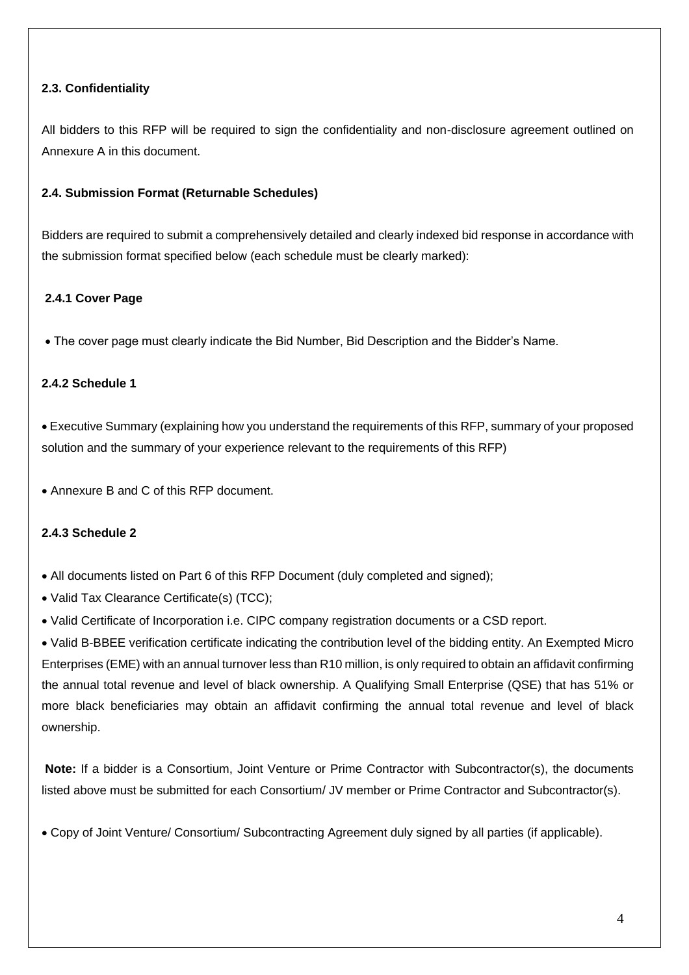# **2.3. Confidentiality**

All bidders to this RFP will be required to sign the confidentiality and non-disclosure agreement outlined on Annexure A in this document.

## **2.4. Submission Format (Returnable Schedules)**

Bidders are required to submit a comprehensively detailed and clearly indexed bid response in accordance with the submission format specified below (each schedule must be clearly marked):

# **2.4.1 Cover Page**

• The cover page must clearly indicate the Bid Number, Bid Description and the Bidder's Name.

## **2.4.2 Schedule 1**

• Executive Summary (explaining how you understand the requirements of this RFP, summary of your proposed solution and the summary of your experience relevant to the requirements of this RFP)

• Annexure B and C of this RFP document.

## **2.4.3 Schedule 2**

• All documents listed on Part 6 of this RFP Document (duly completed and signed);

- Valid Tax Clearance Certificate(s) (TCC);
- Valid Certificate of Incorporation i.e. CIPC company registration documents or a CSD report.

• Valid B-BBEE verification certificate indicating the contribution level of the bidding entity. An Exempted Micro Enterprises (EME) with an annual turnover less than R10 million, is only required to obtain an affidavit confirming the annual total revenue and level of black ownership. A Qualifying Small Enterprise (QSE) that has 51% or more black beneficiaries may obtain an affidavit confirming the annual total revenue and level of black ownership.

**Note:** If a bidder is a Consortium, Joint Venture or Prime Contractor with Subcontractor(s), the documents listed above must be submitted for each Consortium/ JV member or Prime Contractor and Subcontractor(s).

• Copy of Joint Venture/ Consortium/ Subcontracting Agreement duly signed by all parties (if applicable).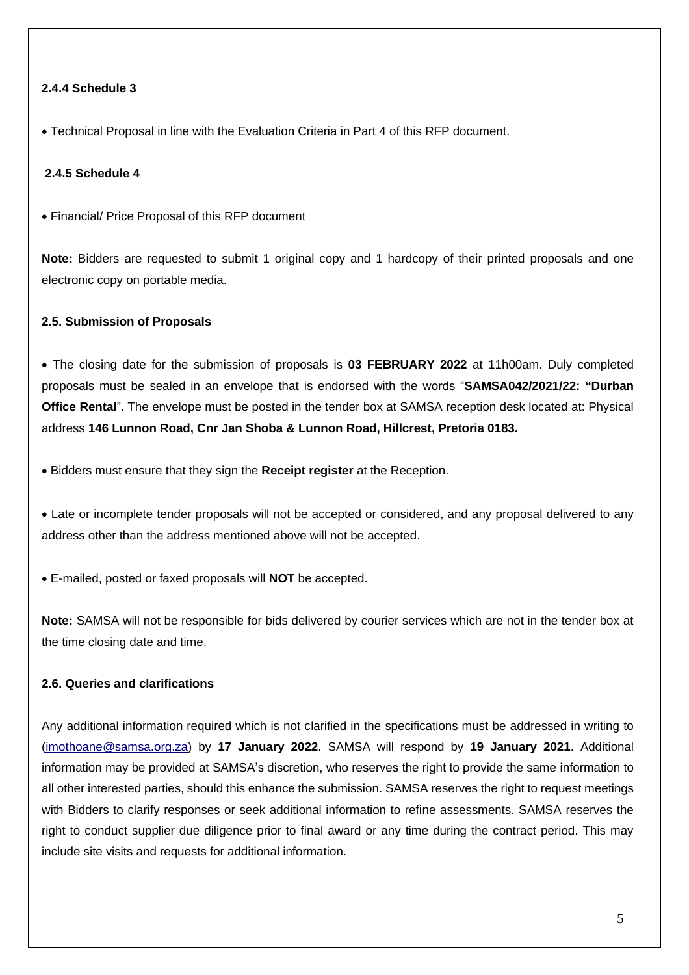## **2.4.4 Schedule 3**

• Technical Proposal in line with the Evaluation Criteria in Part 4 of this RFP document.

### **2.4.5 Schedule 4**

• Financial/ Price Proposal of this RFP document

**Note:** Bidders are requested to submit 1 original copy and 1 hardcopy of their printed proposals and one electronic copy on portable media.

#### **2.5. Submission of Proposals**

• The closing date for the submission of proposals is **03 FEBRUARY 2022** at 11h00am. Duly completed proposals must be sealed in an envelope that is endorsed with the words "**SAMSA042/2021/22: "Durban Office Rental**". The envelope must be posted in the tender box at SAMSA reception desk located at: Physical address **146 Lunnon Road, Cnr Jan Shoba & Lunnon Road, Hillcrest, Pretoria 0183.**

• Bidders must ensure that they sign the **Receipt register** at the Reception.

• Late or incomplete tender proposals will not be accepted or considered, and any proposal delivered to any address other than the address mentioned above will not be accepted.

• E-mailed, posted or faxed proposals will **NOT** be accepted.

**Note:** SAMSA will not be responsible for bids delivered by courier services which are not in the tender box at the time closing date and time.

# **2.6. Queries and clarifications**

Any additional information required which is not clarified in the specifications must be addressed in writing to [\(imothoane@samsa.org.za\)](mailto:imothoane@samsa.org.za) by **17 January 2022**. SAMSA will respond by **19 January 2021**. Additional information may be provided at SAMSA's discretion, who reserves the right to provide the same information to all other interested parties, should this enhance the submission. SAMSA reserves the right to request meetings with Bidders to clarify responses or seek additional information to refine assessments. SAMSA reserves the right to conduct supplier due diligence prior to final award or any time during the contract period. This may include site visits and requests for additional information.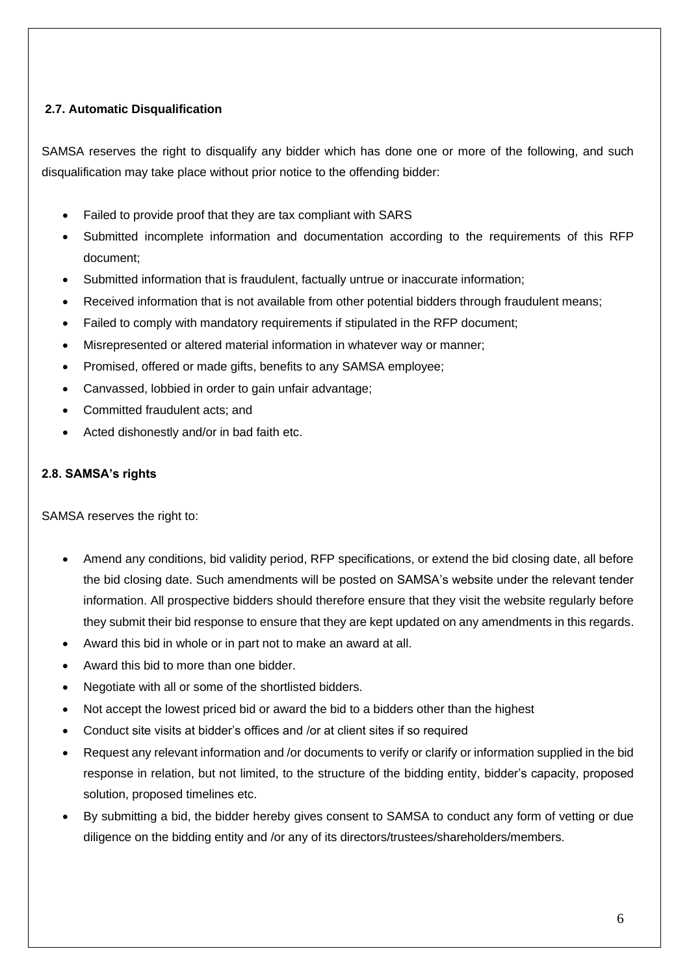# **2.7. Automatic Disqualification**

SAMSA reserves the right to disqualify any bidder which has done one or more of the following, and such disqualification may take place without prior notice to the offending bidder:

- Failed to provide proof that they are tax compliant with SARS
- Submitted incomplete information and documentation according to the requirements of this RFP document;
- Submitted information that is fraudulent, factually untrue or inaccurate information;
- Received information that is not available from other potential bidders through fraudulent means;
- Failed to comply with mandatory requirements if stipulated in the RFP document;
- Misrepresented or altered material information in whatever way or manner;
- Promised, offered or made gifts, benefits to any SAMSA employee;
- Canvassed, lobbied in order to gain unfair advantage;
- Committed fraudulent acts; and
- Acted dishonestly and/or in bad faith etc.

## **2.8. SAMSA's rights**

SAMSA reserves the right to:

- Amend any conditions, bid validity period, RFP specifications, or extend the bid closing date, all before the bid closing date. Such amendments will be posted on SAMSA's website under the relevant tender information. All prospective bidders should therefore ensure that they visit the website regularly before they submit their bid response to ensure that they are kept updated on any amendments in this regards.
- Award this bid in whole or in part not to make an award at all.
- Award this bid to more than one bidder.
- Negotiate with all or some of the shortlisted bidders.
- Not accept the lowest priced bid or award the bid to a bidders other than the highest
- Conduct site visits at bidder's offices and /or at client sites if so required
- Request any relevant information and /or documents to verify or clarify or information supplied in the bid response in relation, but not limited, to the structure of the bidding entity, bidder's capacity, proposed solution, proposed timelines etc.
- By submitting a bid, the bidder hereby gives consent to SAMSA to conduct any form of vetting or due diligence on the bidding entity and /or any of its directors/trustees/shareholders/members.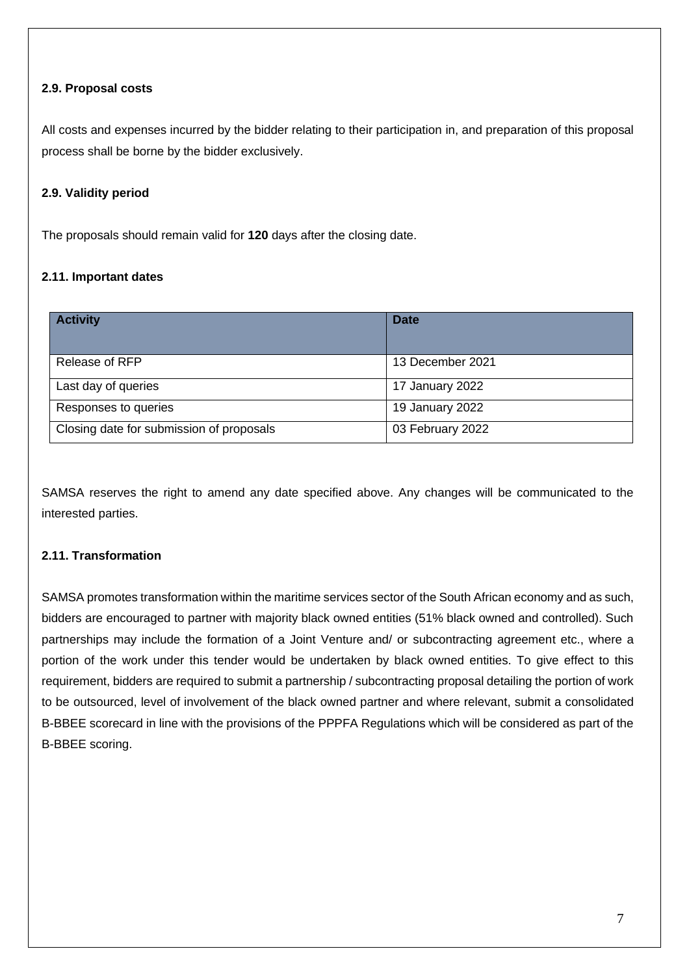# **2.9. Proposal costs**

All costs and expenses incurred by the bidder relating to their participation in, and preparation of this proposal process shall be borne by the bidder exclusively.

# **2.9. Validity period**

The proposals should remain valid for **120** days after the closing date.

# **2.11. Important dates**

| <b>Activity</b>                          | <b>Date</b>      |
|------------------------------------------|------------------|
| Release of RFP                           | 13 December 2021 |
| Last day of queries                      | 17 January 2022  |
| Responses to queries                     | 19 January 2022  |
| Closing date for submission of proposals | 03 February 2022 |

SAMSA reserves the right to amend any date specified above. Any changes will be communicated to the interested parties.

## **2.11. Transformation**

SAMSA promotes transformation within the maritime services sector of the South African economy and as such, bidders are encouraged to partner with majority black owned entities (51% black owned and controlled). Such partnerships may include the formation of a Joint Venture and/ or subcontracting agreement etc., where a portion of the work under this tender would be undertaken by black owned entities. To give effect to this requirement, bidders are required to submit a partnership / subcontracting proposal detailing the portion of work to be outsourced, level of involvement of the black owned partner and where relevant, submit a consolidated B-BBEE scorecard in line with the provisions of the PPPFA Regulations which will be considered as part of the B-BBEE scoring.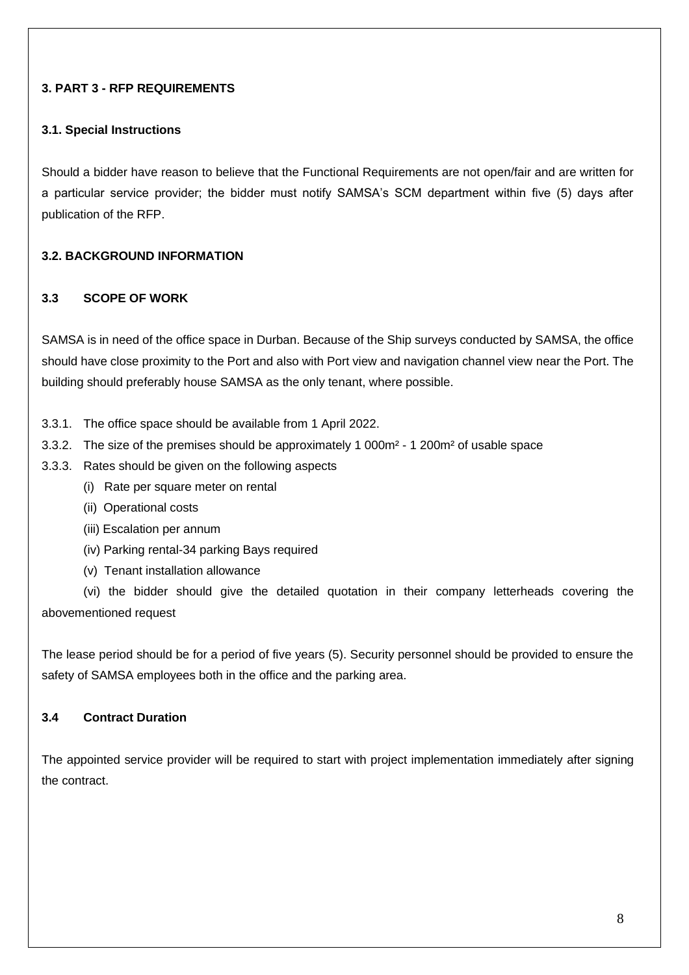# **3. PART 3 - RFP REQUIREMENTS**

## **3.1. Special Instructions**

Should a bidder have reason to believe that the Functional Requirements are not open/fair and are written for a particular service provider; the bidder must notify SAMSA's SCM department within five (5) days after publication of the RFP.

## **3.2. BACKGROUND INFORMATION**

### **3.3 SCOPE OF WORK**

SAMSA is in need of the office space in Durban. Because of the Ship surveys conducted by SAMSA, the office should have close proximity to the Port and also with Port view and navigation channel view near the Port. The building should preferably house SAMSA as the only tenant, where possible.

- 3.3.1. The office space should be available from 1 April 2022.
- 3.3.2. The size of the premises should be approximately 1 000m² 1 200m² of usable space
- 3.3.3. Rates should be given on the following aspects
	- (i) Rate per square meter on rental
	- (ii) Operational costs
	- (iii) Escalation per annum
	- (iv) Parking rental-34 parking Bays required
	- (v) Tenant installation allowance

(vi) the bidder should give the detailed quotation in their company letterheads covering the abovementioned request

The lease period should be for a period of five years (5). Security personnel should be provided to ensure the safety of SAMSA employees both in the office and the parking area.

# **3.4 Contract Duration**

The appointed service provider will be required to start with project implementation immediately after signing the contract.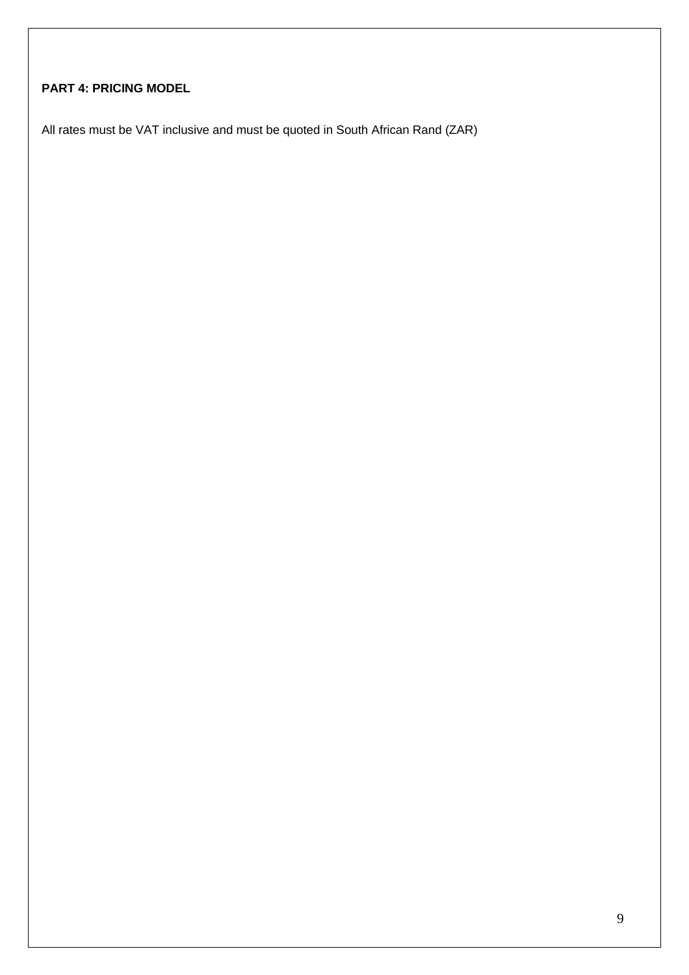# **PART 4: PRICING MODEL**

All rates must be VAT inclusive and must be quoted in South African Rand (ZAR)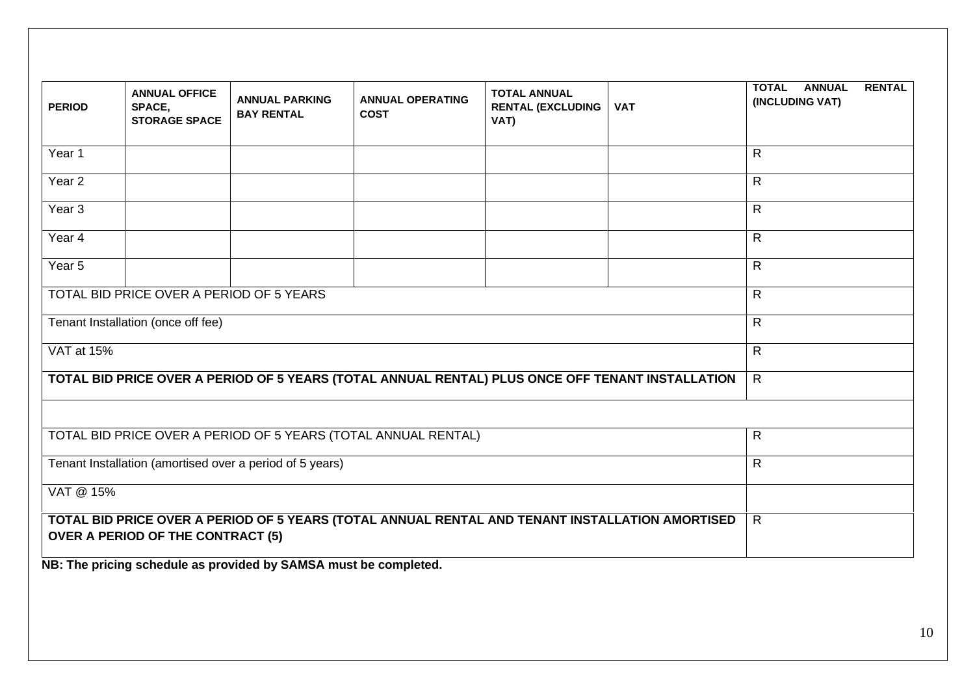| <b>PERIOD</b>                                            | <b>ANNUAL OFFICE</b><br>SPACE,<br><b>STORAGE SPACE</b> | <b>ANNUAL PARKING</b><br><b>BAY RENTAL</b>                       | <b>ANNUAL OPERATING</b><br><b>COST</b>                                                           | <b>TOTAL ANNUAL</b><br><b>RENTAL (EXCLUDING</b><br>VAT) | <b>VAT</b> | <b>TOTAL ANNUAL</b><br><b>RENTAL</b><br>(INCLUDING VAT) |  |
|----------------------------------------------------------|--------------------------------------------------------|------------------------------------------------------------------|--------------------------------------------------------------------------------------------------|---------------------------------------------------------|------------|---------------------------------------------------------|--|
| Year 1                                                   |                                                        |                                                                  |                                                                                                  |                                                         |            | R.                                                      |  |
| Year 2                                                   |                                                        |                                                                  |                                                                                                  |                                                         |            | R.                                                      |  |
| Year <sub>3</sub>                                        |                                                        |                                                                  |                                                                                                  |                                                         |            | $\mathsf{R}$                                            |  |
| Year 4                                                   |                                                        |                                                                  |                                                                                                  |                                                         |            | R.                                                      |  |
| Year 5                                                   |                                                        |                                                                  |                                                                                                  |                                                         |            | R.                                                      |  |
|                                                          | TOTAL BID PRICE OVER A PERIOD OF 5 YEARS               |                                                                  |                                                                                                  |                                                         |            | R.                                                      |  |
| Tenant Installation (once off fee)                       |                                                        |                                                                  |                                                                                                  |                                                         | R.         |                                                         |  |
| VAT at 15%                                               |                                                        |                                                                  |                                                                                                  |                                                         |            | R.                                                      |  |
|                                                          |                                                        |                                                                  | TOTAL BID PRICE OVER A PERIOD OF 5 YEARS (TOTAL ANNUAL RENTAL) PLUS ONCE OFF TENANT INSTALLATION |                                                         |            | $\mathsf{R}$                                            |  |
|                                                          |                                                        |                                                                  |                                                                                                  |                                                         |            |                                                         |  |
|                                                          |                                                        |                                                                  | TOTAL BID PRICE OVER A PERIOD OF 5 YEARS (TOTAL ANNUAL RENTAL)                                   |                                                         |            | R.                                                      |  |
| Tenant Installation (amortised over a period of 5 years) |                                                        |                                                                  |                                                                                                  |                                                         |            | R.                                                      |  |
| VAT @ 15%                                                |                                                        |                                                                  |                                                                                                  |                                                         |            |                                                         |  |
|                                                          | <b>OVER A PERIOD OF THE CONTRACT (5)</b>               |                                                                  | TOTAL BID PRICE OVER A PERIOD OF 5 YEARS (TOTAL ANNUAL RENTAL AND TENANT INSTALLATION AMORTISED  |                                                         |            | $\mathsf{R}$                                            |  |
|                                                          |                                                        | NB: The pricing schedule as provided by SAMSA must be completed. |                                                                                                  |                                                         |            |                                                         |  |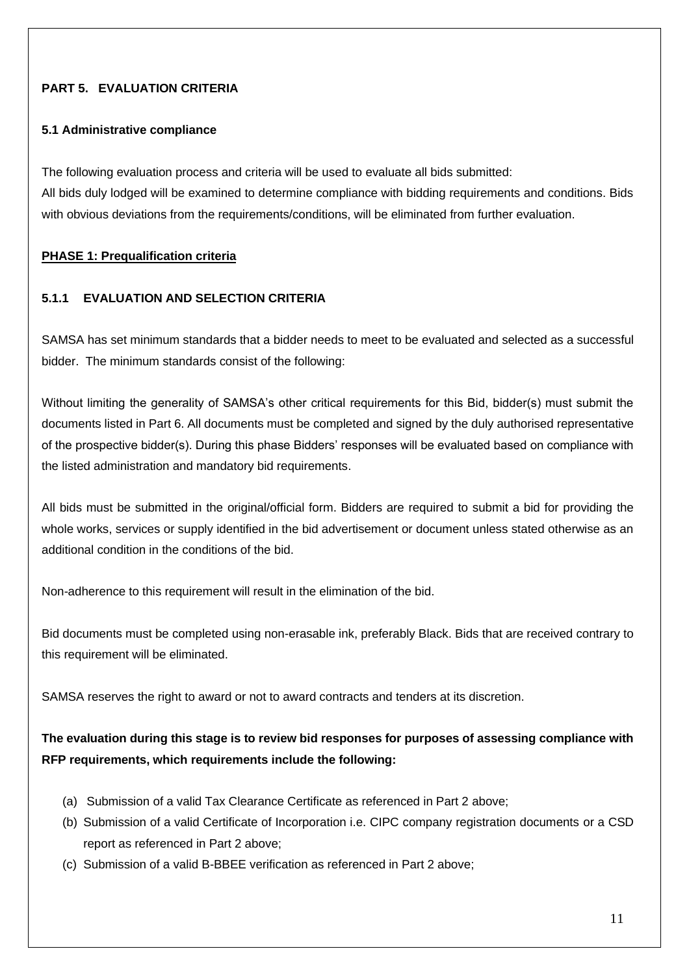# **PART 5. EVALUATION CRITERIA**

### **5.1 Administrative compliance**

The following evaluation process and criteria will be used to evaluate all bids submitted: All bids duly lodged will be examined to determine compliance with bidding requirements and conditions. Bids with obvious deviations from the requirements/conditions, will be eliminated from further evaluation.

### **PHASE 1: Prequalification criteria**

# **5.1.1 EVALUATION AND SELECTION CRITERIA**

SAMSA has set minimum standards that a bidder needs to meet to be evaluated and selected as a successful bidder. The minimum standards consist of the following:

Without limiting the generality of SAMSA's other critical requirements for this Bid, bidder(s) must submit the documents listed in Part 6. All documents must be completed and signed by the duly authorised representative of the prospective bidder(s). During this phase Bidders' responses will be evaluated based on compliance with the listed administration and mandatory bid requirements.

All bids must be submitted in the original/official form. Bidders are required to submit a bid for providing the whole works, services or supply identified in the bid advertisement or document unless stated otherwise as an additional condition in the conditions of the bid.

Non-adherence to this requirement will result in the elimination of the bid.

Bid documents must be completed using non-erasable ink, preferably Black. Bids that are received contrary to this requirement will be eliminated.

SAMSA reserves the right to award or not to award contracts and tenders at its discretion.

# **The evaluation during this stage is to review bid responses for purposes of assessing compliance with RFP requirements, which requirements include the following:**

- (a) Submission of a valid Tax Clearance Certificate as referenced in Part 2 above;
- (b) Submission of a valid Certificate of Incorporation i.e. CIPC company registration documents or a CSD report as referenced in Part 2 above;
- (c) Submission of a valid B-BBEE verification as referenced in Part 2 above;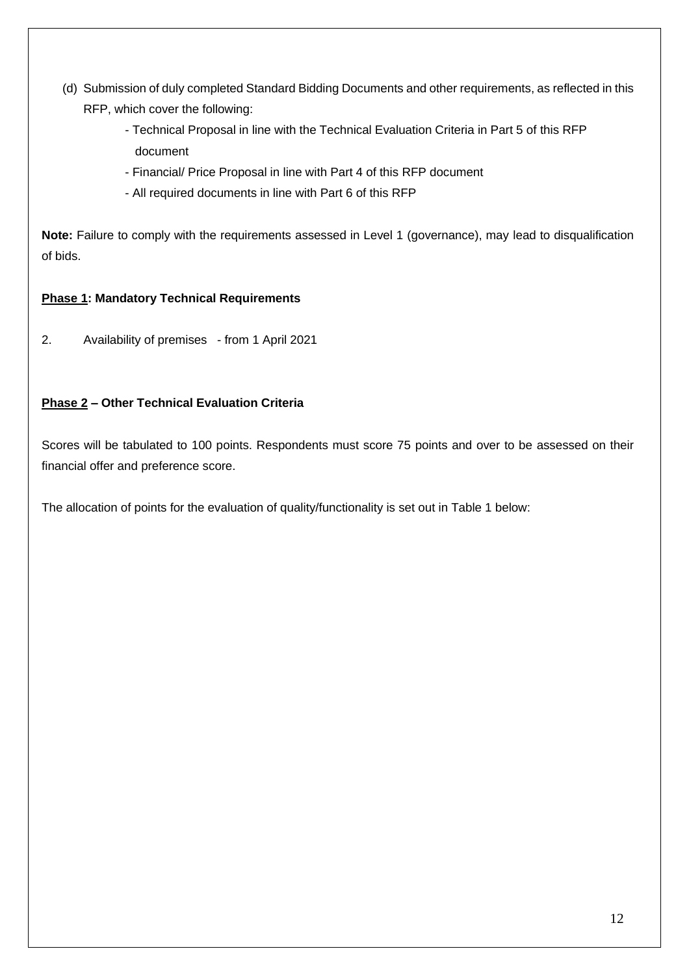- (d) Submission of duly completed Standard Bidding Documents and other requirements, as reflected in this RFP, which cover the following:
	- Technical Proposal in line with the Technical Evaluation Criteria in Part 5 of this RFP document
	- Financial/ Price Proposal in line with Part 4 of this RFP document
	- All required documents in line with Part 6 of this RFP

**Note:** Failure to comply with the requirements assessed in Level 1 (governance), may lead to disqualification of bids.

# **Phase 1: Mandatory Technical Requirements**

2. Availability of premises - from 1 April 2021

# **Phase 2 – Other Technical Evaluation Criteria**

Scores will be tabulated to 100 points. Respondents must score 75 points and over to be assessed on their financial offer and preference score.

The allocation of points for the evaluation of quality/functionality is set out in Table 1 below: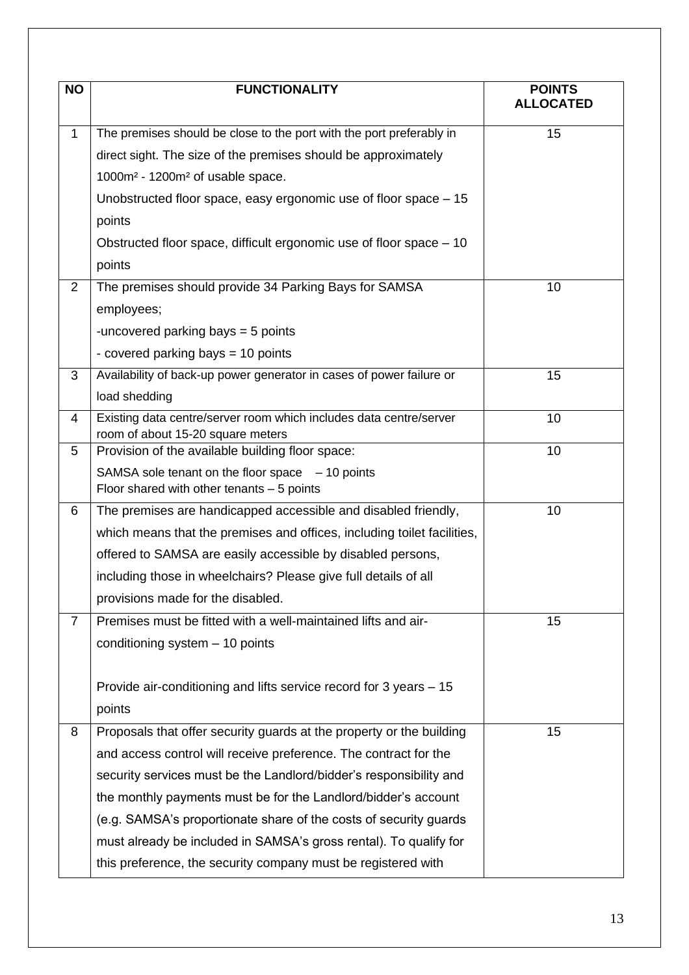| <b>NO</b>      | <b>FUNCTIONALITY</b>                                                                  | <b>POINTS</b><br><b>ALLOCATED</b> |  |
|----------------|---------------------------------------------------------------------------------------|-----------------------------------|--|
| $\mathbf{1}$   | The premises should be close to the port with the port preferably in                  | 15                                |  |
|                | direct sight. The size of the premises should be approximately                        |                                   |  |
|                | 1000m <sup>2</sup> - 1200m <sup>2</sup> of usable space.                              |                                   |  |
|                | Unobstructed floor space, easy ergonomic use of floor space - 15                      |                                   |  |
|                | points                                                                                |                                   |  |
|                | Obstructed floor space, difficult ergonomic use of floor space – 10                   |                                   |  |
|                | points                                                                                |                                   |  |
| $\overline{2}$ | The premises should provide 34 Parking Bays for SAMSA                                 | 10                                |  |
|                | employees;                                                                            |                                   |  |
|                | -uncovered parking bays = 5 points                                                    |                                   |  |
|                | - covered parking bays = 10 points                                                    |                                   |  |
| 3              | Availability of back-up power generator in cases of power failure or                  | 15                                |  |
|                | load shedding                                                                         |                                   |  |
| 4              | Existing data centre/server room which includes data centre/server                    | 10                                |  |
| 5              | room of about 15-20 square meters<br>Provision of the available building floor space: | 10                                |  |
|                | SAMSA sole tenant on the floor space $-10$ points                                     |                                   |  |
|                | Floor shared with other tenants $-5$ points                                           |                                   |  |
| 6              | The premises are handicapped accessible and disabled friendly,                        | 10                                |  |
|                | which means that the premises and offices, including toilet facilities,               |                                   |  |
|                | offered to SAMSA are easily accessible by disabled persons,                           |                                   |  |
|                | including those in wheelchairs? Please give full details of all                       |                                   |  |
|                | provisions made for the disabled.                                                     |                                   |  |
| $\overline{7}$ | Premises must be fitted with a well-maintained lifts and air-                         | 15                                |  |
|                | conditioning system - 10 points                                                       |                                   |  |
|                |                                                                                       |                                   |  |
|                | Provide air-conditioning and lifts service record for 3 years – 15                    |                                   |  |
|                | points                                                                                |                                   |  |
| 8              | Proposals that offer security guards at the property or the building                  | 15                                |  |
|                | and access control will receive preference. The contract for the                      |                                   |  |
|                | security services must be the Landlord/bidder's responsibility and                    |                                   |  |
|                | the monthly payments must be for the Landlord/bidder's account                        |                                   |  |
|                | (e.g. SAMSA's proportionate share of the costs of security guards                     |                                   |  |
|                | must already be included in SAMSA's gross rental). To qualify for                     |                                   |  |
|                | this preference, the security company must be registered with                         |                                   |  |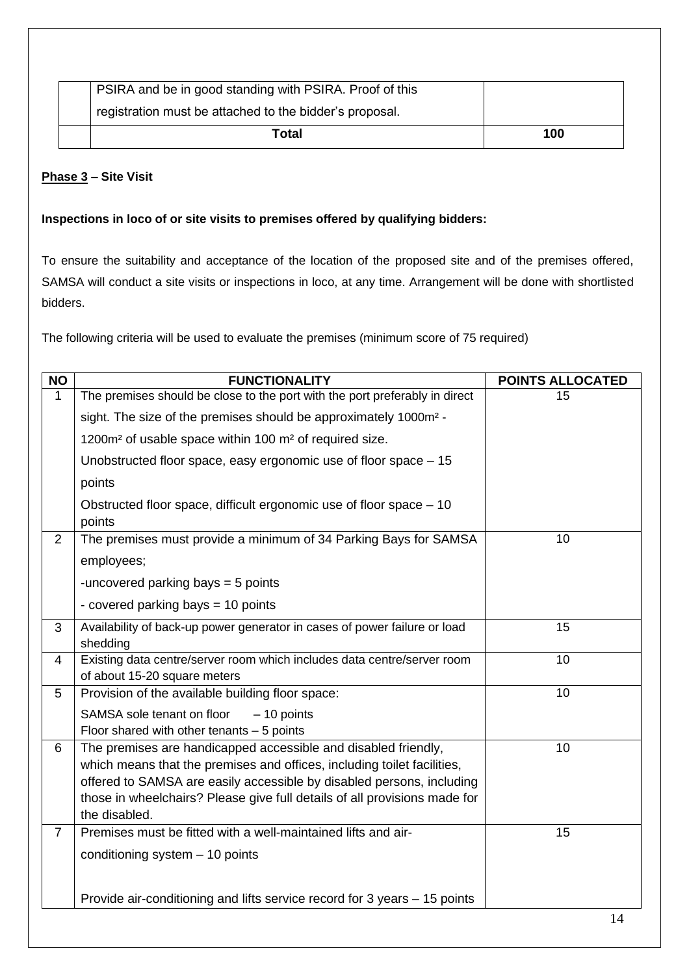|                                                         | 100 |
|---------------------------------------------------------|-----|
| registration must be attached to the bidder's proposal. |     |
| PSIRA and be in good standing with PSIRA. Proof of this |     |

# **Phase 3 – Site Visit**

# **Inspections in loco of or site visits to premises offered by qualifying bidders:**

To ensure the suitability and acceptance of the location of the proposed site and of the premises offered, SAMSA will conduct a site visits or inspections in loco, at any time. Arrangement will be done with shortlisted bidders.

The following criteria will be used to evaluate the premises (minimum score of 75 required)

| <b>NO</b>      | <b>FUNCTIONALITY</b>                                                                                    | <b>POINTS ALLOCATED</b> |
|----------------|---------------------------------------------------------------------------------------------------------|-------------------------|
| $\mathbf{1}$   | The premises should be close to the port with the port preferably in direct                             | 15                      |
|                | sight. The size of the premises should be approximately 1000m <sup>2</sup> -                            |                         |
|                | 1200m <sup>2</sup> of usable space within 100 m <sup>2</sup> of required size.                          |                         |
|                | Unobstructed floor space, easy ergonomic use of floor space – 15                                        |                         |
|                | points                                                                                                  |                         |
|                | Obstructed floor space, difficult ergonomic use of floor space – 10<br>points                           |                         |
| $\overline{2}$ | The premises must provide a minimum of 34 Parking Bays for SAMSA                                        | 10                      |
|                | employees;                                                                                              |                         |
|                | -uncovered parking bays = 5 points                                                                      |                         |
|                | - covered parking bays = 10 points                                                                      |                         |
| 3              | Availability of back-up power generator in cases of power failure or load                               | 15                      |
|                | shedding                                                                                                |                         |
| 4              | Existing data centre/server room which includes data centre/server room<br>of about 15-20 square meters | 10                      |
| 5              | Provision of the available building floor space:                                                        | 10                      |
|                | SAMSA sole tenant on floor<br>$-10$ points                                                              |                         |
|                | Floor shared with other tenants $-5$ points                                                             |                         |
| 6              | The premises are handicapped accessible and disabled friendly,                                          | 10                      |
|                | which means that the premises and offices, including toilet facilities,                                 |                         |
|                | offered to SAMSA are easily accessible by disabled persons, including                                   |                         |
|                | those in wheelchairs? Please give full details of all provisions made for                               |                         |
|                | the disabled.                                                                                           |                         |
| $\overline{7}$ | Premises must be fitted with a well-maintained lifts and air-                                           | 15                      |
|                | conditioning system $-10$ points                                                                        |                         |
|                |                                                                                                         |                         |
|                | Provide air-conditioning and lifts service record for 3 years - 15 points                               |                         |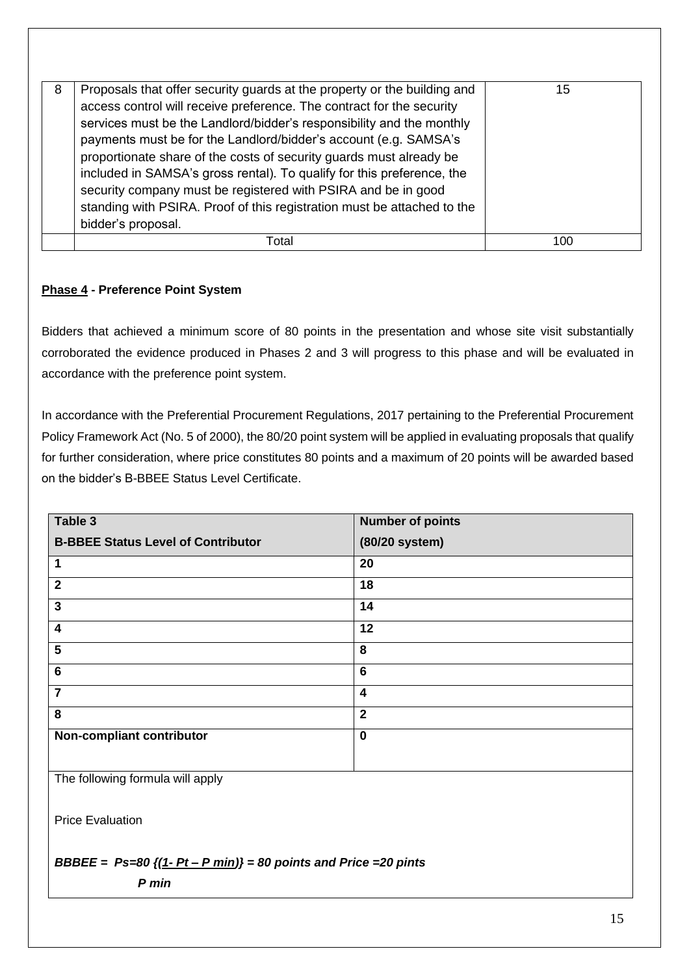| 8 | Proposals that offer security guards at the property or the building and<br>access control will receive preference. The contract for the security<br>services must be the Landlord/bidder's responsibility and the monthly<br>payments must be for the Landlord/bidder's account (e.g. SAMSA's<br>proportionate share of the costs of security guards must already be<br>included in SAMSA's gross rental). To qualify for this preference, the<br>security company must be registered with PSIRA and be in good<br>standing with PSIRA. Proof of this registration must be attached to the<br>bidder's proposal. | 15  |
|---|-------------------------------------------------------------------------------------------------------------------------------------------------------------------------------------------------------------------------------------------------------------------------------------------------------------------------------------------------------------------------------------------------------------------------------------------------------------------------------------------------------------------------------------------------------------------------------------------------------------------|-----|
|   | Total                                                                                                                                                                                                                                                                                                                                                                                                                                                                                                                                                                                                             | 100 |

# **Phase 4 - Preference Point System**

Bidders that achieved a minimum score of 80 points in the presentation and whose site visit substantially corroborated the evidence produced in Phases 2 and 3 will progress to this phase and will be evaluated in accordance with the preference point system.

In accordance with the Preferential Procurement Regulations, 2017 pertaining to the Preferential Procurement Policy Framework Act (No. 5 of 2000), the 80/20 point system will be applied in evaluating proposals that qualify for further consideration, where price constitutes 80 points and a maximum of 20 points will be awarded based on the bidder's B-BBEE Status Level Certificate.

| Table 3                                   | <b>Number of points</b> |
|-------------------------------------------|-------------------------|
| <b>B-BBEE Status Level of Contributor</b> | (80/20 system)          |
| 1                                         | 20                      |
| $\overline{\mathbf{2}}$                   | 18                      |
| $\mathbf{3}$                              | 14                      |
| $\overline{\mathbf{4}}$                   | 12                      |
| 5                                         | 8                       |
| $6\phantom{1}6$                           | $6\phantom{1}$          |
| $\overline{7}$                            | $\overline{\mathbf{4}}$ |
| 8                                         | $\overline{2}$          |
| Non-compliant contributor                 | $\mathbf 0$             |
|                                           |                         |

The following formula will apply

Price Evaluation

# *BBBEE = Ps=80 {(1- Pt – P min)} = 80 points and Price =20 pints*

*P min*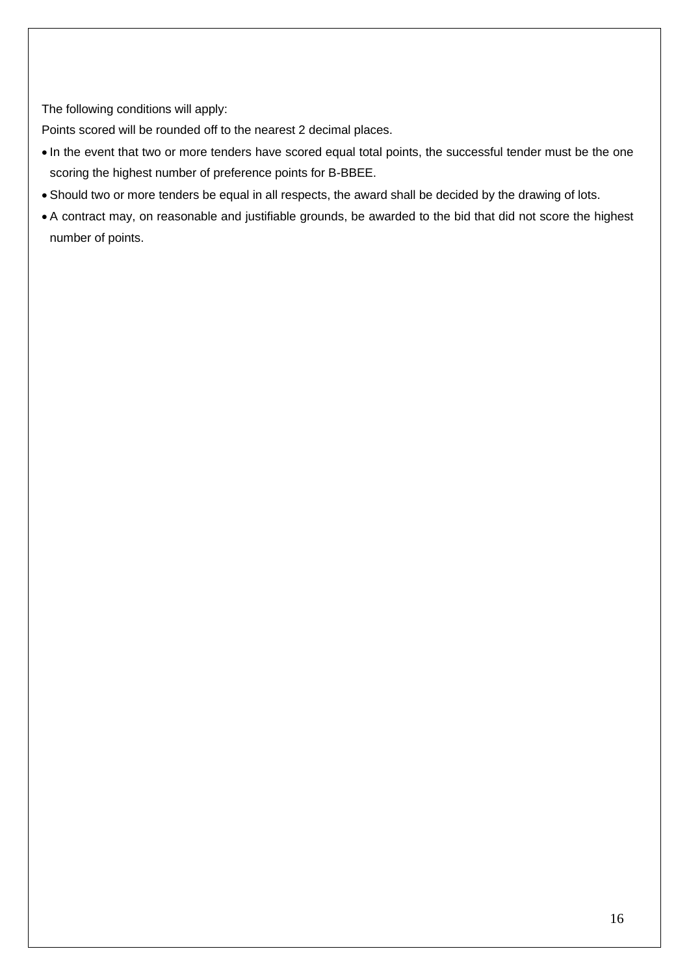The following conditions will apply:

Points scored will be rounded off to the nearest 2 decimal places.

- In the event that two or more tenders have scored equal total points, the successful tender must be the one scoring the highest number of preference points for B-BBEE.
- Should two or more tenders be equal in all respects, the award shall be decided by the drawing of lots.
- A contract may, on reasonable and justifiable grounds, be awarded to the bid that did not score the highest number of points.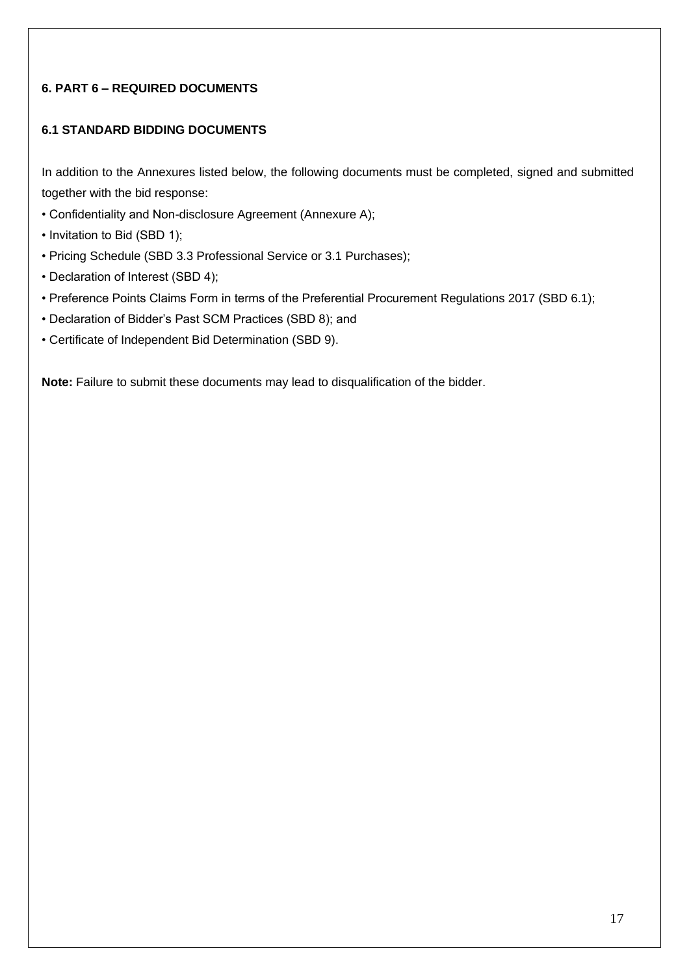# **6. PART 6 – REQUIRED DOCUMENTS**

# **6.1 STANDARD BIDDING DOCUMENTS**

In addition to the Annexures listed below, the following documents must be completed, signed and submitted together with the bid response:

- Confidentiality and Non-disclosure Agreement (Annexure A);
- Invitation to Bid (SBD 1);
- Pricing Schedule (SBD 3.3 Professional Service or 3.1 Purchases);
- Declaration of Interest (SBD 4);
- Preference Points Claims Form in terms of the Preferential Procurement Regulations 2017 (SBD 6.1);
- Declaration of Bidder's Past SCM Practices (SBD 8); and
- Certificate of Independent Bid Determination (SBD 9).

**Note:** Failure to submit these documents may lead to disqualification of the bidder.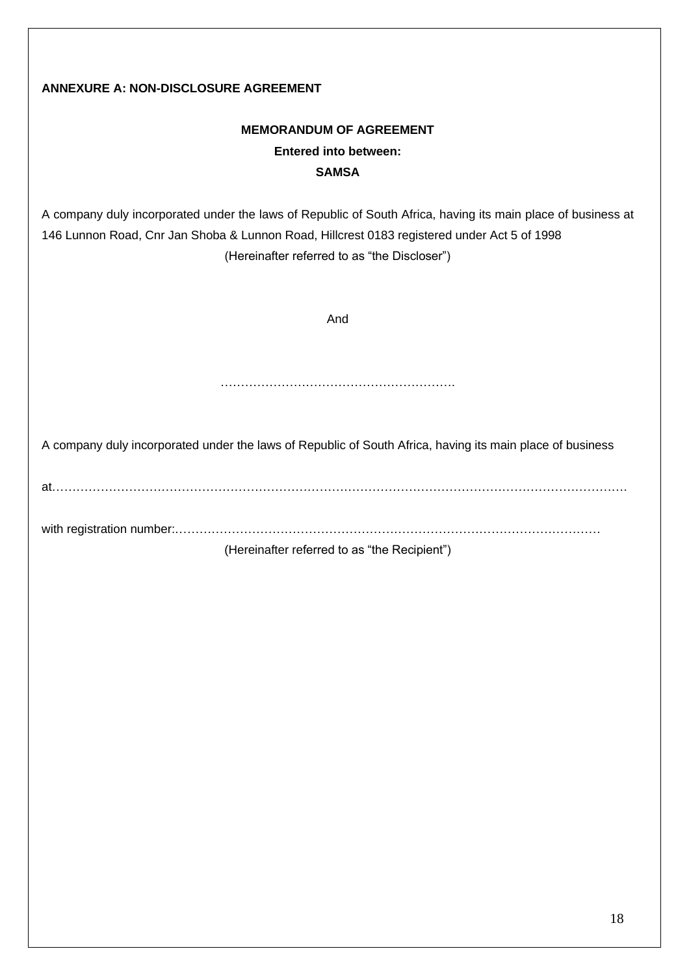# **ANNEXURE A: NON-DISCLOSURE AGREEMENT**

# **MEMORANDUM OF AGREEMENT Entered into between: SAMSA**

A company duly incorporated under the laws of Republic of South Africa, having its main place of business at 146 Lunnon Road, Cnr Jan Shoba & Lunnon Road, Hillcrest 0183 registered under Act 5 of 1998 (Hereinafter referred to as "the Discloser")

And

………………………………………………….

A company duly incorporated under the laws of Republic of South Africa, having its main place of business

at…………………………………………………………………………………………………………………………….

with registration number:……………………………………………………………………………………………

(Hereinafter referred to as "the Recipient")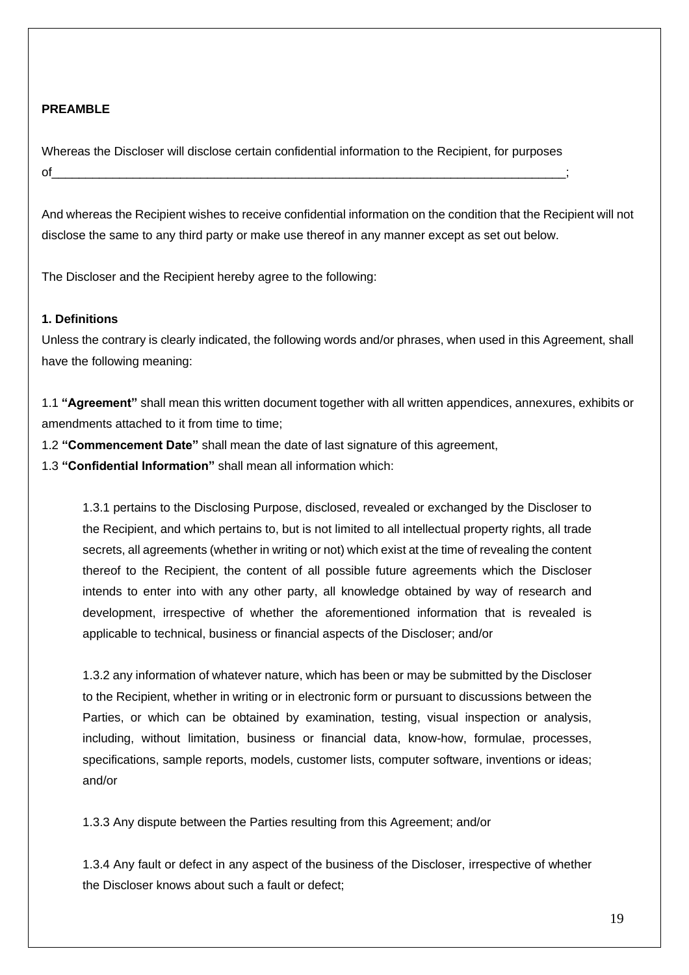### **PREAMBLE**

Whereas the Discloser will disclose certain confidential information to the Recipient, for purposes of\_\_\_\_\_\_\_\_\_\_\_\_\_\_\_\_\_\_\_\_\_\_\_\_\_\_\_\_\_\_\_\_\_\_\_\_\_\_\_\_\_\_\_\_\_\_\_\_\_\_\_\_\_\_\_\_\_\_\_\_\_\_\_\_\_\_\_\_\_\_\_\_\_\_\_\_;

And whereas the Recipient wishes to receive confidential information on the condition that the Recipient will not disclose the same to any third party or make use thereof in any manner except as set out below.

The Discloser and the Recipient hereby agree to the following:

### **1. Definitions**

Unless the contrary is clearly indicated, the following words and/or phrases, when used in this Agreement, shall have the following meaning:

1.1 **"Agreement"** shall mean this written document together with all written appendices, annexures, exhibits or amendments attached to it from time to time;

1.2 **"Commencement Date"** shall mean the date of last signature of this agreement,

1.3 **"Confidential Information"** shall mean all information which:

1.3.1 pertains to the Disclosing Purpose, disclosed, revealed or exchanged by the Discloser to the Recipient, and which pertains to, but is not limited to all intellectual property rights, all trade secrets, all agreements (whether in writing or not) which exist at the time of revealing the content thereof to the Recipient, the content of all possible future agreements which the Discloser intends to enter into with any other party, all knowledge obtained by way of research and development, irrespective of whether the aforementioned information that is revealed is applicable to technical, business or financial aspects of the Discloser; and/or

1.3.2 any information of whatever nature, which has been or may be submitted by the Discloser to the Recipient, whether in writing or in electronic form or pursuant to discussions between the Parties, or which can be obtained by examination, testing, visual inspection or analysis, including, without limitation, business or financial data, know-how, formulae, processes, specifications, sample reports, models, customer lists, computer software, inventions or ideas; and/or

1.3.3 Any dispute between the Parties resulting from this Agreement; and/or

1.3.4 Any fault or defect in any aspect of the business of the Discloser, irrespective of whether the Discloser knows about such a fault or defect;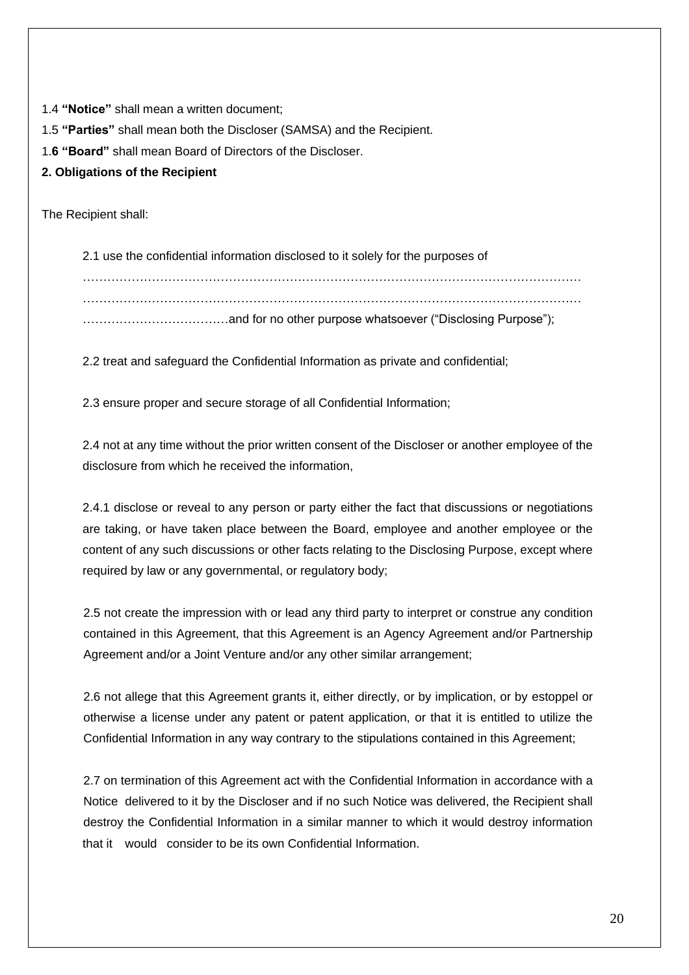1.4 **"Notice"** shall mean a written document;

1.5 **"Parties"** shall mean both the Discloser (SAMSA) and the Recipient.

1.**6 "Board"** shall mean Board of Directors of the Discloser.

# **2. Obligations of the Recipient**

The Recipient shall:

2.1 use the confidential information disclosed to it solely for the purposes of …………………………………………………………………………………………………………… ………………………………and for no other purpose whatsoever ("Disclosing Purpose");

2.2 treat and safeguard the Confidential Information as private and confidential;

2.3 ensure proper and secure storage of all Confidential Information;

2.4 not at any time without the prior written consent of the Discloser or another employee of the disclosure from which he received the information,

2.4.1 disclose or reveal to any person or party either the fact that discussions or negotiations are taking, or have taken place between the Board, employee and another employee or the content of any such discussions or other facts relating to the Disclosing Purpose, except where required by law or any governmental, or regulatory body;

2.5 not create the impression with or lead any third party to interpret or construe any condition contained in this Agreement, that this Agreement is an Agency Agreement and/or Partnership Agreement and/or a Joint Venture and/or any other similar arrangement;

2.6 not allege that this Agreement grants it, either directly, or by implication, or by estoppel or otherwise a license under any patent or patent application, or that it is entitled to utilize the Confidential Information in any way contrary to the stipulations contained in this Agreement;

2.7 on termination of this Agreement act with the Confidential Information in accordance with a Notice delivered to it by the Discloser and if no such Notice was delivered, the Recipient shall destroy the Confidential Information in a similar manner to which it would destroy information that it would consider to be its own Confidential Information.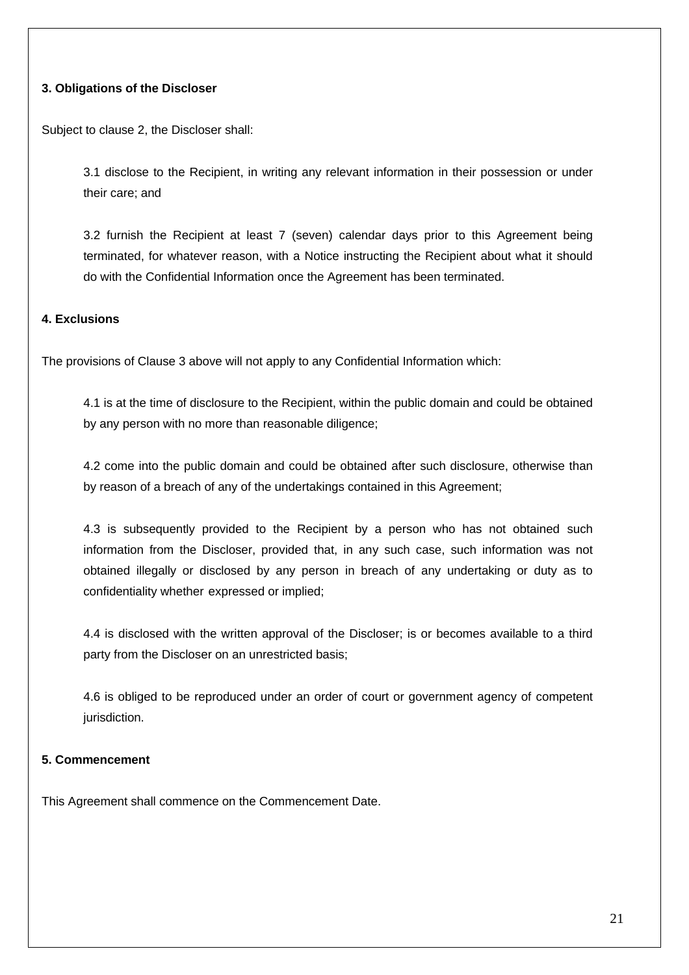### **3. Obligations of the Discloser**

Subject to clause 2, the Discloser shall:

3.1 disclose to the Recipient, in writing any relevant information in their possession or under their care; and

3.2 furnish the Recipient at least 7 (seven) calendar days prior to this Agreement being terminated, for whatever reason, with a Notice instructing the Recipient about what it should do with the Confidential Information once the Agreement has been terminated.

#### **4. Exclusions**

The provisions of Clause 3 above will not apply to any Confidential Information which:

4.1 is at the time of disclosure to the Recipient, within the public domain and could be obtained by any person with no more than reasonable diligence;

4.2 come into the public domain and could be obtained after such disclosure, otherwise than by reason of a breach of any of the undertakings contained in this Agreement;

4.3 is subsequently provided to the Recipient by a person who has not obtained such information from the Discloser, provided that, in any such case, such information was not obtained illegally or disclosed by any person in breach of any undertaking or duty as to confidentiality whether expressed or implied;

4.4 is disclosed with the written approval of the Discloser; is or becomes available to a third party from the Discloser on an unrestricted basis;

4.6 is obliged to be reproduced under an order of court or government agency of competent jurisdiction.

# **5. Commencement**

This Agreement shall commence on the Commencement Date.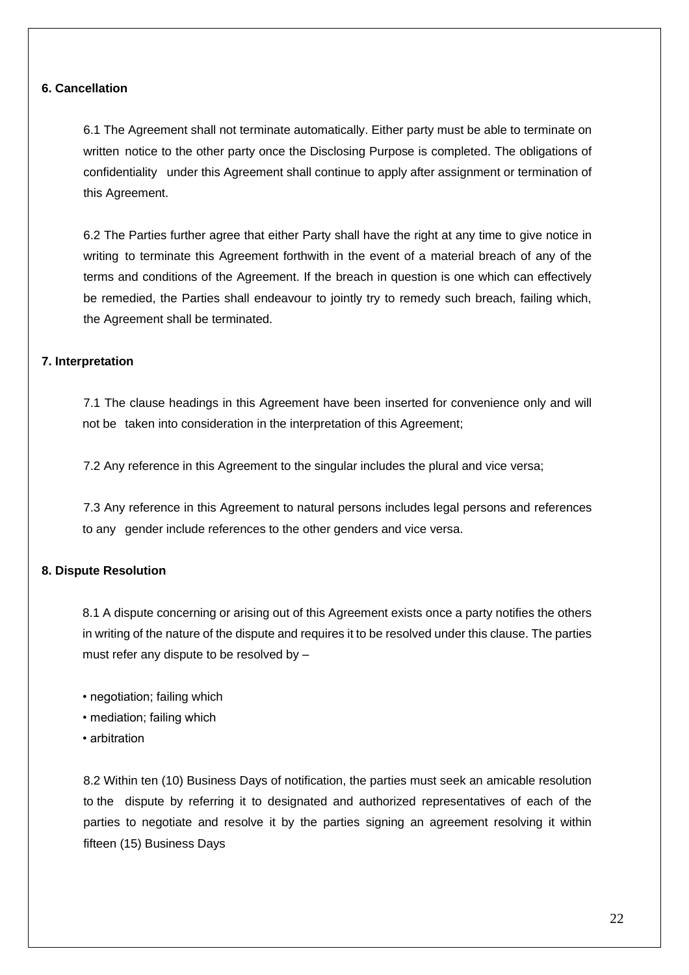### **6. Cancellation**

6.1 The Agreement shall not terminate automatically. Either party must be able to terminate on written notice to the other party once the Disclosing Purpose is completed. The obligations of confidentiality under this Agreement shall continue to apply after assignment or termination of this Agreement.

6.2 The Parties further agree that either Party shall have the right at any time to give notice in writing to terminate this Agreement forthwith in the event of a material breach of any of the terms and conditions of the Agreement. If the breach in question is one which can effectively be remedied, the Parties shall endeavour to jointly try to remedy such breach, failing which, the Agreement shall be terminated.

## **7. Interpretation**

7.1 The clause headings in this Agreement have been inserted for convenience only and will not be taken into consideration in the interpretation of this Agreement;

7.2 Any reference in this Agreement to the singular includes the plural and vice versa;

7.3 Any reference in this Agreement to natural persons includes legal persons and references to any gender include references to the other genders and vice versa.

## **8. Dispute Resolution**

8.1 A dispute concerning or arising out of this Agreement exists once a party notifies the others in writing of the nature of the dispute and requires it to be resolved under this clause. The parties must refer any dispute to be resolved by –

- negotiation; failing which
- mediation; failing which
- arbitration

8.2 Within ten (10) Business Days of notification, the parties must seek an amicable resolution to the dispute by referring it to designated and authorized representatives of each of the parties to negotiate and resolve it by the parties signing an agreement resolving it within fifteen (15) Business Days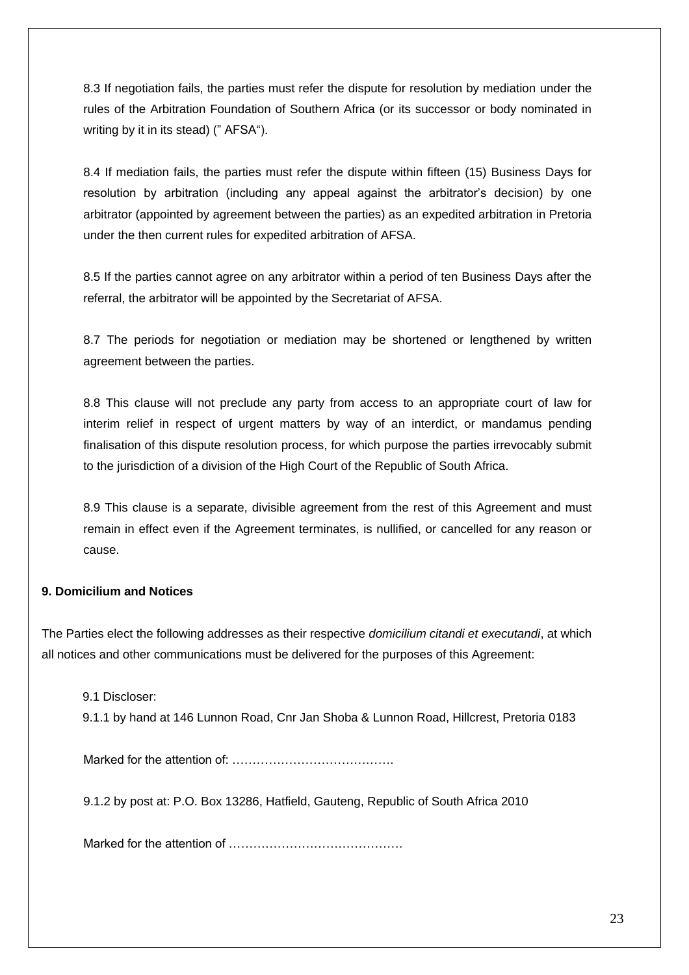8.3 If negotiation fails, the parties must refer the dispute for resolution by mediation under the rules of the Arbitration Foundation of Southern Africa (or its successor or body nominated in writing by it in its stead) (" AFSA").

8.4 If mediation fails, the parties must refer the dispute within fifteen (15) Business Days for resolution by arbitration (including any appeal against the arbitrator's decision) by one arbitrator (appointed by agreement between the parties) as an expedited arbitration in Pretoria under the then current rules for expedited arbitration of AFSA.

8.5 If the parties cannot agree on any arbitrator within a period of ten Business Days after the referral, the arbitrator will be appointed by the Secretariat of AFSA.

8.7 The periods for negotiation or mediation may be shortened or lengthened by written agreement between the parties.

8.8 This clause will not preclude any party from access to an appropriate court of law for interim relief in respect of urgent matters by way of an interdict, or mandamus pending finalisation of this dispute resolution process, for which purpose the parties irrevocably submit to the jurisdiction of a division of the High Court of the Republic of South Africa.

8.9 This clause is a separate, divisible agreement from the rest of this Agreement and must remain in effect even if the Agreement terminates, is nullified, or cancelled for any reason or cause.

## **9. Domicilium and Notices**

The Parties elect the following addresses as their respective *domicilium citandi et executandi*, at which all notices and other communications must be delivered for the purposes of this Agreement:

9.1 Discloser:

9.1.1 by hand at 146 Lunnon Road, Cnr Jan Shoba & Lunnon Road, Hillcrest, Pretoria 0183

Marked for the attention of: ………………………………….

9.1.2 by post at: P.O. Box 13286, Hatfield, Gauteng, Republic of South Africa 2010

Marked for the attention of …………………………………….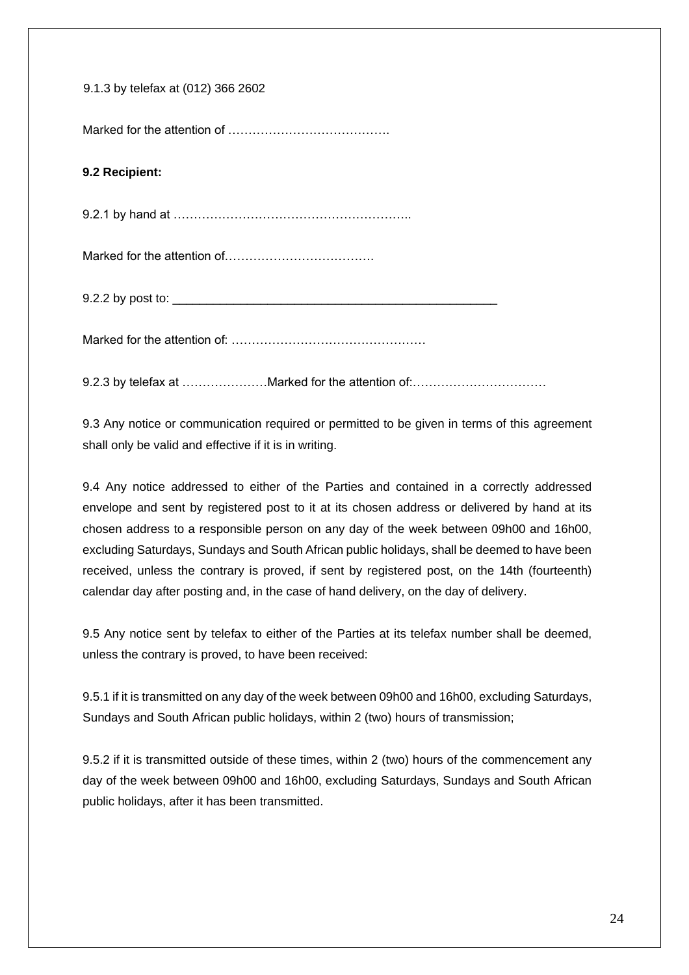| 9.1.3 by telefax at (012) 366 2602 |
|------------------------------------|
|                                    |
| 9.2 Recipient:                     |
|                                    |
|                                    |
|                                    |
|                                    |
|                                    |

9.3 Any notice or communication required or permitted to be given in terms of this agreement shall only be valid and effective if it is in writing.

9.4 Any notice addressed to either of the Parties and contained in a correctly addressed envelope and sent by registered post to it at its chosen address or delivered by hand at its chosen address to a responsible person on any day of the week between 09h00 and 16h00, excluding Saturdays, Sundays and South African public holidays, shall be deemed to have been received, unless the contrary is proved, if sent by registered post, on the 14th (fourteenth) calendar day after posting and, in the case of hand delivery, on the day of delivery.

9.5 Any notice sent by telefax to either of the Parties at its telefax number shall be deemed, unless the contrary is proved, to have been received:

9.5.1 if it is transmitted on any day of the week between 09h00 and 16h00, excluding Saturdays, Sundays and South African public holidays, within 2 (two) hours of transmission;

9.5.2 if it is transmitted outside of these times, within 2 (two) hours of the commencement any day of the week between 09h00 and 16h00, excluding Saturdays, Sundays and South African public holidays, after it has been transmitted.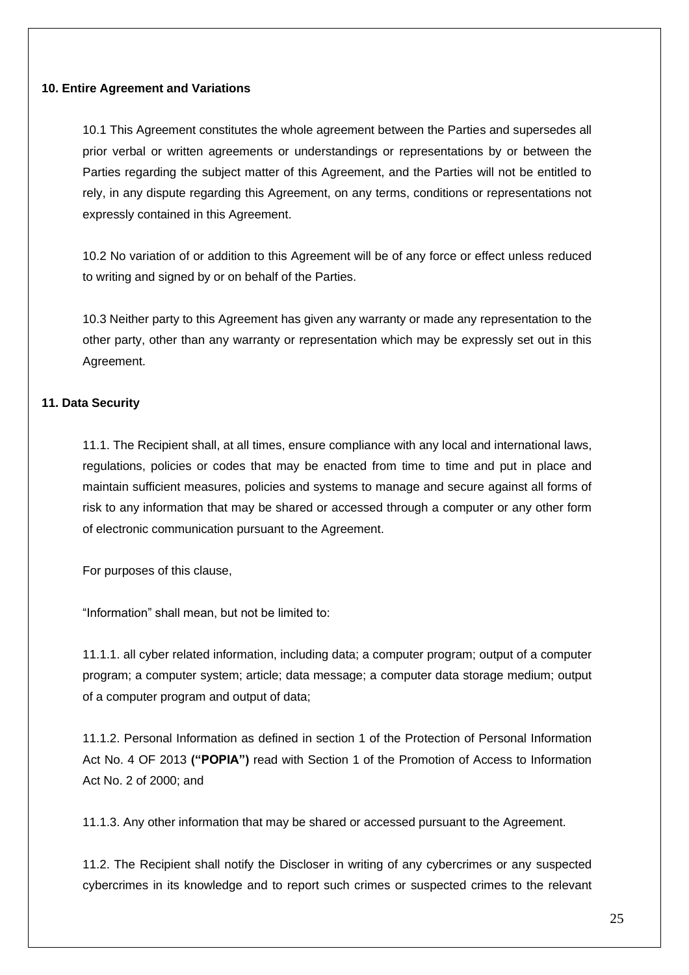### **10. Entire Agreement and Variations**

10.1 This Agreement constitutes the whole agreement between the Parties and supersedes all prior verbal or written agreements or understandings or representations by or between the Parties regarding the subject matter of this Agreement, and the Parties will not be entitled to rely, in any dispute regarding this Agreement, on any terms, conditions or representations not expressly contained in this Agreement.

10.2 No variation of or addition to this Agreement will be of any force or effect unless reduced to writing and signed by or on behalf of the Parties.

10.3 Neither party to this Agreement has given any warranty or made any representation to the other party, other than any warranty or representation which may be expressly set out in this Agreement.

## **11. Data Security**

11.1. The Recipient shall, at all times, ensure compliance with any local and international laws, regulations, policies or codes that may be enacted from time to time and put in place and maintain sufficient measures, policies and systems to manage and secure against all forms of risk to any information that may be shared or accessed through a computer or any other form of electronic communication pursuant to the Agreement.

For purposes of this clause,

"Information" shall mean, but not be limited to:

11.1.1. all cyber related information, including data; a computer program; output of a computer program; a computer system; article; data message; a computer data storage medium; output of a computer program and output of data;

11.1.2. Personal Information as defined in section 1 of the Protection of Personal Information Act No. 4 OF 2013 **("POPIA")** read with Section 1 of the Promotion of Access to Information Act No. 2 of 2000; and

11.1.3. Any other information that may be shared or accessed pursuant to the Agreement.

11.2. The Recipient shall notify the Discloser in writing of any cybercrimes or any suspected cybercrimes in its knowledge and to report such crimes or suspected crimes to the relevant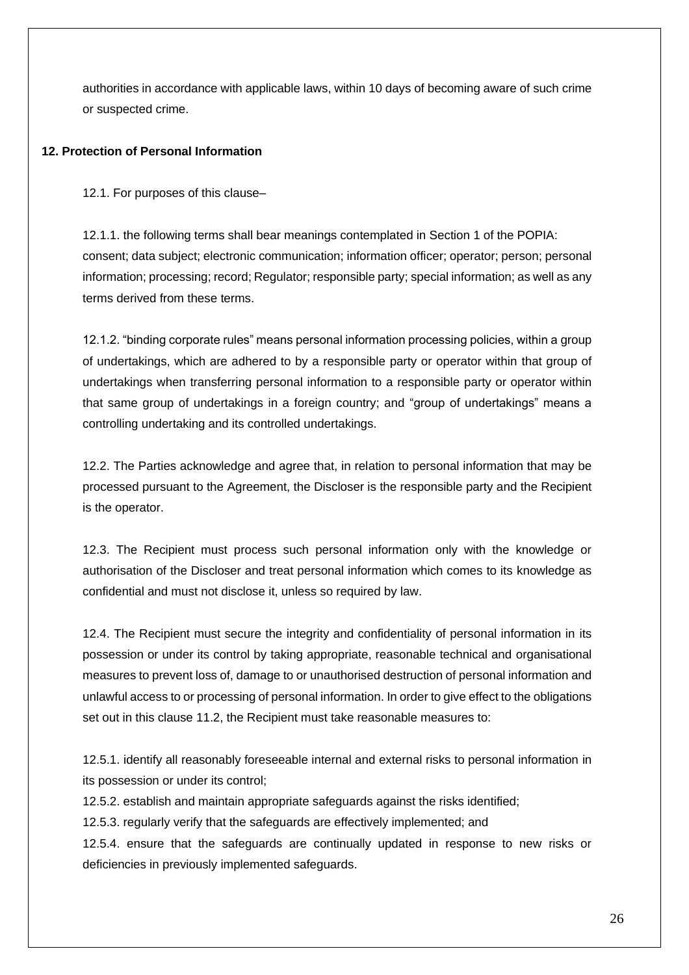authorities in accordance with applicable laws, within 10 days of becoming aware of such crime or suspected crime.

## **12. Protection of Personal Information**

12.1. For purposes of this clause–

12.1.1. the following terms shall bear meanings contemplated in Section 1 of the POPIA: consent; data subject; electronic communication; information officer; operator; person; personal information; processing; record; Regulator; responsible party; special information; as well as any terms derived from these terms.

12.1.2. "binding corporate rules" means personal information processing policies, within a group of undertakings, which are adhered to by a responsible party or operator within that group of undertakings when transferring personal information to a responsible party or operator within that same group of undertakings in a foreign country; and "group of undertakings" means a controlling undertaking and its controlled undertakings.

12.2. The Parties acknowledge and agree that, in relation to personal information that may be processed pursuant to the Agreement, the Discloser is the responsible party and the Recipient is the operator.

12.3. The Recipient must process such personal information only with the knowledge or authorisation of the Discloser and treat personal information which comes to its knowledge as confidential and must not disclose it, unless so required by law.

12.4. The Recipient must secure the integrity and confidentiality of personal information in its possession or under its control by taking appropriate, reasonable technical and organisational measures to prevent loss of, damage to or unauthorised destruction of personal information and unlawful access to or processing of personal information. In order to give effect to the obligations set out in this clause 11.2, the Recipient must take reasonable measures to:

12.5.1. identify all reasonably foreseeable internal and external risks to personal information in its possession or under its control;

12.5.2. establish and maintain appropriate safeguards against the risks identified;

12.5.3. regularly verify that the safeguards are effectively implemented; and

12.5.4. ensure that the safeguards are continually updated in response to new risks or deficiencies in previously implemented safeguards.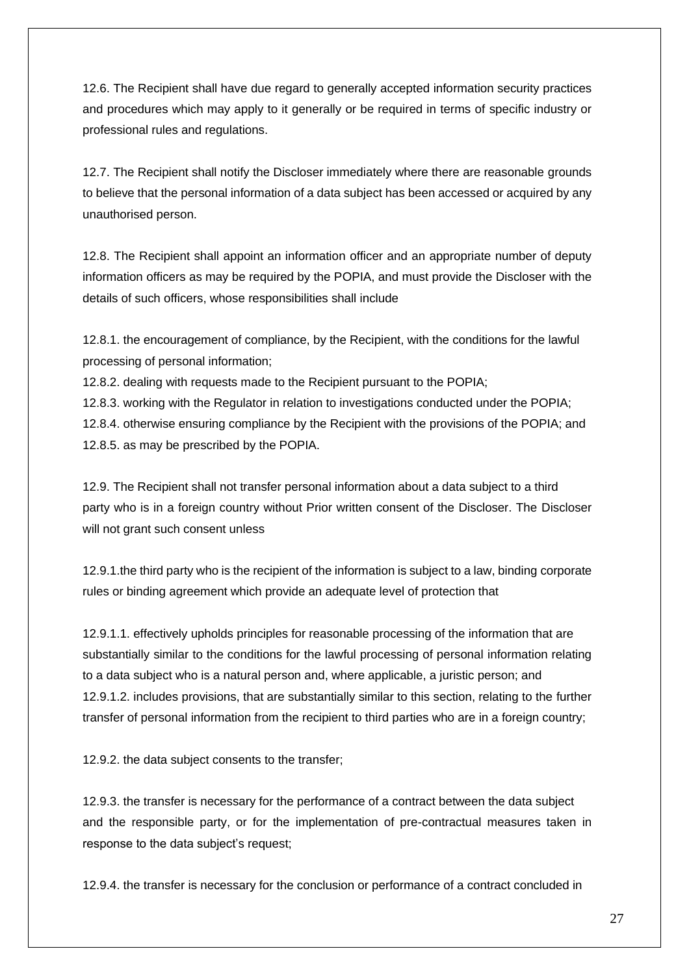12.6. The Recipient shall have due regard to generally accepted information security practices and procedures which may apply to it generally or be required in terms of specific industry or professional rules and regulations.

12.7. The Recipient shall notify the Discloser immediately where there are reasonable grounds to believe that the personal information of a data subject has been accessed or acquired by any unauthorised person.

12.8. The Recipient shall appoint an information officer and an appropriate number of deputy information officers as may be required by the POPIA, and must provide the Discloser with the details of such officers, whose responsibilities shall include

12.8.1. the encouragement of compliance, by the Recipient, with the conditions for the lawful processing of personal information;

12.8.2. dealing with requests made to the Recipient pursuant to the POPIA;

12.8.3. working with the Regulator in relation to investigations conducted under the POPIA;

12.8.4. otherwise ensuring compliance by the Recipient with the provisions of the POPIA; and 12.8.5. as may be prescribed by the POPIA.

12.9. The Recipient shall not transfer personal information about a data subject to a third party who is in a foreign country without Prior written consent of the Discloser. The Discloser will not grant such consent unless

12.9.1.the third party who is the recipient of the information is subject to a law, binding corporate rules or binding agreement which provide an adequate level of protection that

12.9.1.1. effectively upholds principles for reasonable processing of the information that are substantially similar to the conditions for the lawful processing of personal information relating to a data subject who is a natural person and, where applicable, a juristic person; and 12.9.1.2. includes provisions, that are substantially similar to this section, relating to the further transfer of personal information from the recipient to third parties who are in a foreign country;

12.9.2. the data subject consents to the transfer;

12.9.3. the transfer is necessary for the performance of a contract between the data subject and the responsible party, or for the implementation of pre-contractual measures taken in response to the data subject's request;

12.9.4. the transfer is necessary for the conclusion or performance of a contract concluded in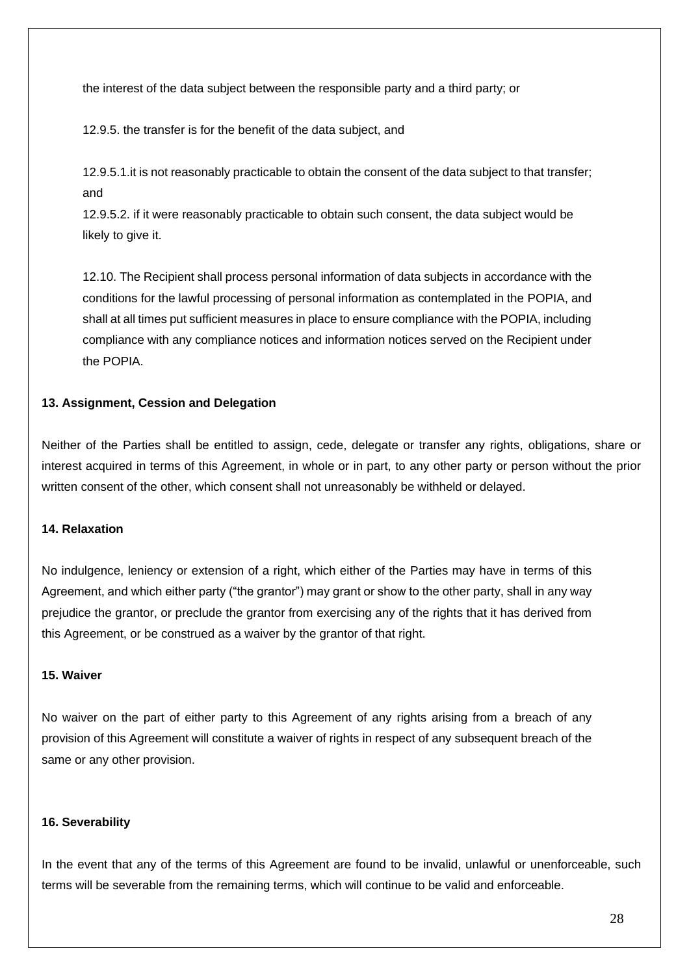the interest of the data subject between the responsible party and a third party; or

12.9.5. the transfer is for the benefit of the data subject, and

12.9.5.1.it is not reasonably practicable to obtain the consent of the data subject to that transfer; and

12.9.5.2. if it were reasonably practicable to obtain such consent, the data subject would be likely to give it.

12.10. The Recipient shall process personal information of data subjects in accordance with the conditions for the lawful processing of personal information as contemplated in the POPIA, and shall at all times put sufficient measures in place to ensure compliance with the POPIA, including compliance with any compliance notices and information notices served on the Recipient under the POPIA.

### **13. Assignment, Cession and Delegation**

Neither of the Parties shall be entitled to assign, cede, delegate or transfer any rights, obligations, share or interest acquired in terms of this Agreement, in whole or in part, to any other party or person without the prior written consent of the other, which consent shall not unreasonably be withheld or delayed.

## **14. Relaxation**

No indulgence, leniency or extension of a right, which either of the Parties may have in terms of this Agreement, and which either party ("the grantor") may grant or show to the other party, shall in any way prejudice the grantor, or preclude the grantor from exercising any of the rights that it has derived from this Agreement, or be construed as a waiver by the grantor of that right.

### **15. Waiver**

No waiver on the part of either party to this Agreement of any rights arising from a breach of any provision of this Agreement will constitute a waiver of rights in respect of any subsequent breach of the same or any other provision.

### **16. Severability**

In the event that any of the terms of this Agreement are found to be invalid, unlawful or unenforceable, such terms will be severable from the remaining terms, which will continue to be valid and enforceable.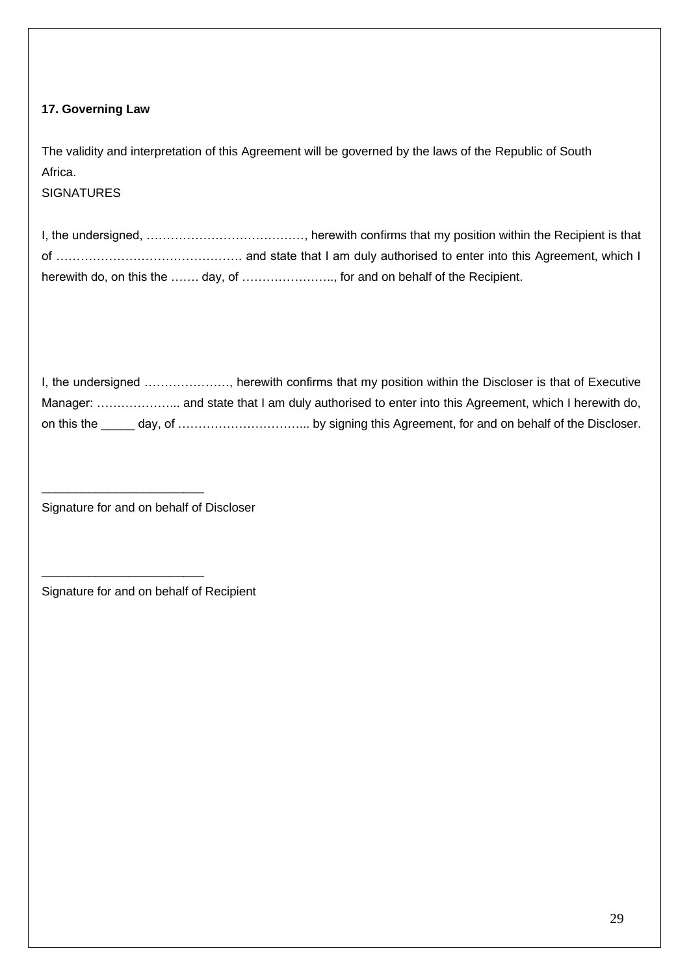# **17. Governing Law**

The validity and interpretation of this Agreement will be governed by the laws of the Republic of South Africa.

**SIGNATURES** 

| I, the undersigned, , herewith confirms that my position within the Recipient is that |
|---------------------------------------------------------------------------------------|
|                                                                                       |
| herewith do, on this the  day, of  for and on behalf of the Recipient.                |

| on this the |  |
|-------------|--|

Signature for and on behalf of Discloser

\_\_\_\_\_\_\_\_\_\_\_\_\_\_\_\_\_\_\_\_\_\_\_\_

\_\_\_\_\_\_\_\_\_\_\_\_\_\_\_\_\_\_\_\_\_\_\_\_

Signature for and on behalf of Recipient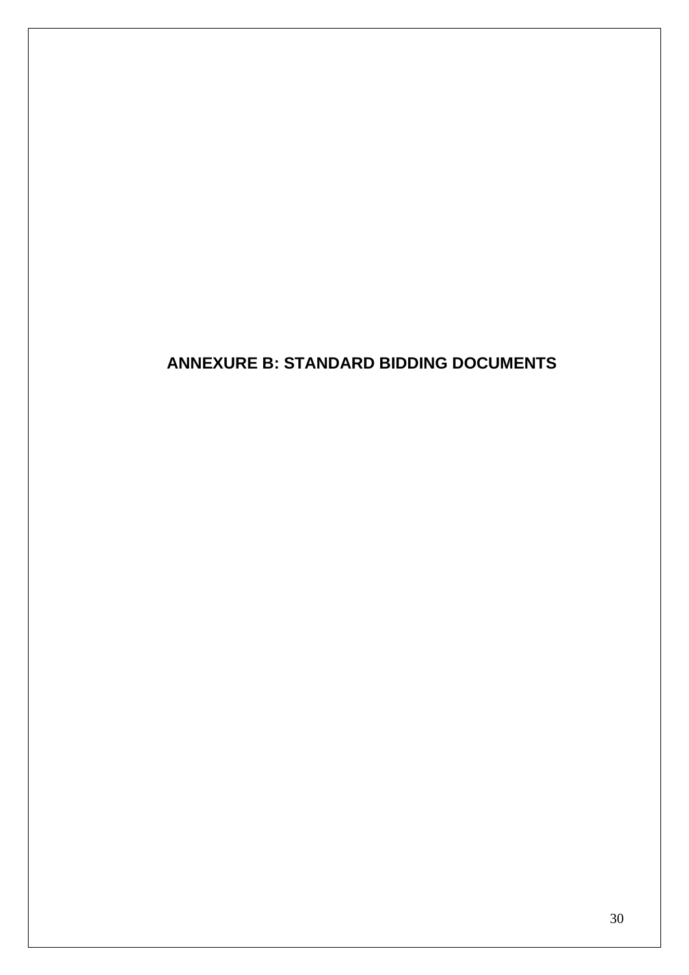# **ANNEXURE B: STANDARD BIDDING DOCUMENTS**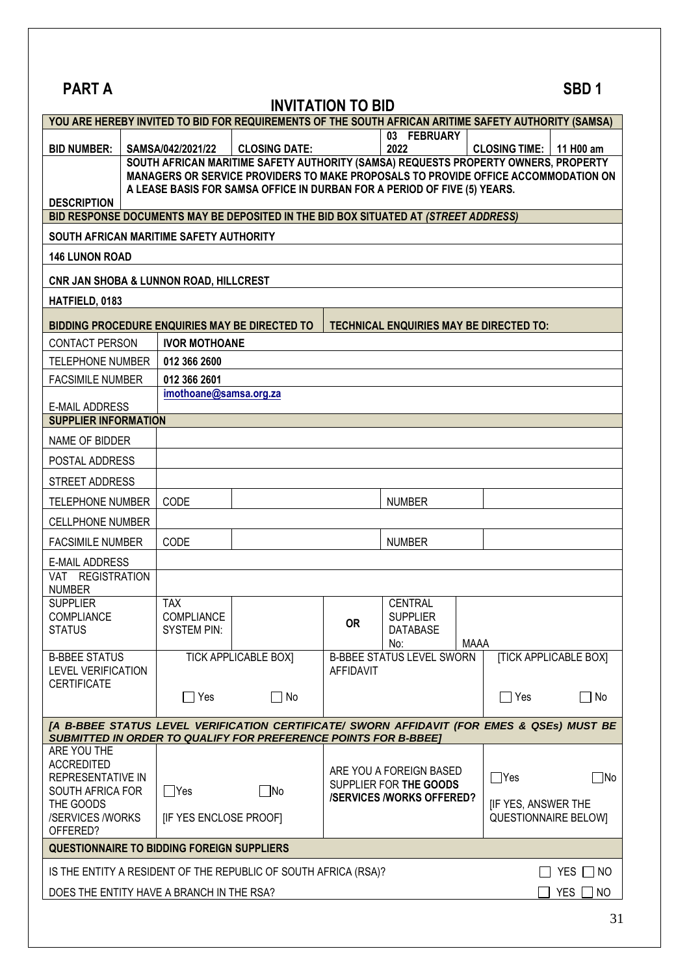| <b>PART A</b>                              |                                                                                                                                                                |                                                   |                                                                                                                                                                      |                                                                                                        |                                                |      |                             | SBD <sub>1</sub>             |
|--------------------------------------------|----------------------------------------------------------------------------------------------------------------------------------------------------------------|---------------------------------------------------|----------------------------------------------------------------------------------------------------------------------------------------------------------------------|--------------------------------------------------------------------------------------------------------|------------------------------------------------|------|-----------------------------|------------------------------|
|                                            |                                                                                                                                                                |                                                   | YOU ARE HEREBY INVITED TO BID FOR REQUIREMENTS OF THE SOUTH AFRICAN ARITIME SAFETY AUTHORITY (SAMSA)                                                                 | <b>INVITATION TO BID</b>                                                                               |                                                |      |                             |                              |
|                                            |                                                                                                                                                                |                                                   |                                                                                                                                                                      |                                                                                                        | 03 FEBRUARY                                    |      |                             |                              |
| <b>BID NUMBER:</b>                         |                                                                                                                                                                | SAMSA/042/2021/22                                 | <b>CLOSING DATE:</b>                                                                                                                                                 |                                                                                                        | 2022                                           |      | <b>CLOSING TIME:</b>        | 11 H00 am                    |
|                                            |                                                                                                                                                                |                                                   | SOUTH AFRICAN MARITIME SAFETY AUTHORITY (SAMSA) REQUESTS PROPERTY OWNERS, PROPERTY                                                                                   |                                                                                                        |                                                |      |                             |                              |
|                                            | MANAGERS OR SERVICE PROVIDERS TO MAKE PROPOSALS TO PROVIDE OFFICE ACCOMMODATION ON<br>A LEASE BASIS FOR SAMSA OFFICE IN DURBAN FOR A PERIOD OF FIVE (5) YEARS. |                                                   |                                                                                                                                                                      |                                                                                                        |                                                |      |                             |                              |
| <b>DESCRIPTION</b>                         |                                                                                                                                                                |                                                   |                                                                                                                                                                      |                                                                                                        |                                                |      |                             |                              |
|                                            |                                                                                                                                                                |                                                   | BID RESPONSE DOCUMENTS MAY BE DEPOSITED IN THE BID BOX SITUATED AT (STREET ADDRESS)                                                                                  |                                                                                                        |                                                |      |                             |                              |
|                                            |                                                                                                                                                                | SOUTH AFRICAN MARITIME SAFETY AUTHORITY           |                                                                                                                                                                      |                                                                                                        |                                                |      |                             |                              |
| <b>146 LUNON ROAD</b>                      |                                                                                                                                                                |                                                   |                                                                                                                                                                      |                                                                                                        |                                                |      |                             |                              |
|                                            |                                                                                                                                                                | CNR JAN SHOBA & LUNNON ROAD, HILLCREST            |                                                                                                                                                                      |                                                                                                        |                                                |      |                             |                              |
| HATFIELD, 0183                             |                                                                                                                                                                |                                                   |                                                                                                                                                                      |                                                                                                        |                                                |      |                             |                              |
|                                            |                                                                                                                                                                |                                                   | BIDDING PROCEDURE ENQUIRIES MAY BE DIRECTED TO                                                                                                                       |                                                                                                        | <b>TECHNICAL ENQUIRIES MAY BE DIRECTED TO:</b> |      |                             |                              |
| <b>CONTACT PERSON</b>                      |                                                                                                                                                                | <b>IVOR MOTHOANE</b>                              |                                                                                                                                                                      |                                                                                                        |                                                |      |                             |                              |
| <b>TELEPHONE NUMBER</b>                    |                                                                                                                                                                | 012 366 2600                                      |                                                                                                                                                                      |                                                                                                        |                                                |      |                             |                              |
| <b>FACSIMILE NUMBER</b>                    |                                                                                                                                                                | 012 366 2601                                      |                                                                                                                                                                      |                                                                                                        |                                                |      |                             |                              |
| <b>E-MAIL ADDRESS</b>                      |                                                                                                                                                                | imothoane@samsa.org.za                            |                                                                                                                                                                      |                                                                                                        |                                                |      |                             |                              |
| <b>SUPPLIER INFORMATION</b>                |                                                                                                                                                                |                                                   |                                                                                                                                                                      |                                                                                                        |                                                |      |                             |                              |
| NAME OF BIDDER                             |                                                                                                                                                                |                                                   |                                                                                                                                                                      |                                                                                                        |                                                |      |                             |                              |
| POSTAL ADDRESS                             |                                                                                                                                                                |                                                   |                                                                                                                                                                      |                                                                                                        |                                                |      |                             |                              |
| <b>STREET ADDRESS</b>                      |                                                                                                                                                                |                                                   |                                                                                                                                                                      |                                                                                                        |                                                |      |                             |                              |
| <b>TELEPHONE NUMBER</b>                    |                                                                                                                                                                | CODE                                              |                                                                                                                                                                      |                                                                                                        | <b>NUMBER</b>                                  |      |                             |                              |
| <b>CELLPHONE NUMBER</b>                    |                                                                                                                                                                |                                                   |                                                                                                                                                                      |                                                                                                        |                                                |      |                             |                              |
| <b>FACSIMILE NUMBER</b>                    |                                                                                                                                                                | CODE                                              |                                                                                                                                                                      |                                                                                                        | <b>NUMBER</b>                                  |      |                             |                              |
| <b>E-MAIL ADDRESS</b>                      |                                                                                                                                                                |                                                   |                                                                                                                                                                      |                                                                                                        |                                                |      |                             |                              |
| VAT REGISTRATION<br><b>NUMBER</b>          |                                                                                                                                                                |                                                   |                                                                                                                                                                      |                                                                                                        |                                                |      |                             |                              |
| <b>SUPPLIER</b>                            |                                                                                                                                                                | <b>TAX</b>                                        |                                                                                                                                                                      |                                                                                                        | <b>CENTRAL</b>                                 |      |                             |                              |
| <b>COMPLIANCE</b><br><b>STATUS</b>         |                                                                                                                                                                | <b>COMPLIANCE</b><br><b>SYSTEM PIN:</b>           |                                                                                                                                                                      | <b>OR</b>                                                                                              | <b>SUPPLIER</b><br>DATABASE                    |      |                             |                              |
|                                            |                                                                                                                                                                |                                                   |                                                                                                                                                                      |                                                                                                        | No:                                            | MAAA |                             |                              |
| <b>B-BBEE STATUS</b><br>LEVEL VERIFICATION |                                                                                                                                                                |                                                   | <b>TICK APPLICABLE BOX]</b>                                                                                                                                          | <b>AFFIDAVIT</b>                                                                                       | <b>B-BBEE STATUS LEVEL SWORN</b>               |      |                             | <b>[TICK APPLICABLE BOX]</b> |
| <b>CERTIFICATE</b>                         |                                                                                                                                                                | $\sqsupset$ Yes                                   | ¶ No                                                                                                                                                                 |                                                                                                        |                                                |      | $\sqsupset$ Yes             | $\Box$ No                    |
|                                            |                                                                                                                                                                |                                                   |                                                                                                                                                                      |                                                                                                        |                                                |      |                             |                              |
|                                            |                                                                                                                                                                |                                                   | [A B-BBEE STATUS LEVEL VERIFICATION CERTIFICATE/ SWORN AFFIDAVIT (FOR EMES & QSEs) MUST BE<br><b>SUBMITTED IN ORDER TO QUALIFY FOR PREFERENCE POINTS FOR B-BBEE]</b> |                                                                                                        |                                                |      |                             |                              |
| ARE YOU THE                                |                                                                                                                                                                |                                                   |                                                                                                                                                                      |                                                                                                        |                                                |      |                             |                              |
| <b>ACCREDITED</b><br>REPRESENTATIVE IN     |                                                                                                                                                                |                                                   |                                                                                                                                                                      | ARE YOU A FOREIGN BASED<br>$\exists$ Yes<br>SUPPLIER FOR THE GOODS<br><b>/SERVICES /WORKS OFFERED?</b> |                                                |      | $\neg$ No                   |                              |
| SOUTH AFRICA FOR                           |                                                                                                                                                                | $\Box$ Yes                                        | $\square$ No                                                                                                                                                         |                                                                                                        |                                                |      |                             |                              |
| THE GOODS                                  |                                                                                                                                                                |                                                   |                                                                                                                                                                      | <b>IF YES, ANSWER THE</b>                                                                              |                                                |      |                             |                              |
| /SERVICES /WORKS<br>OFFERED?               |                                                                                                                                                                | [IF YES ENCLOSE PROOF]                            |                                                                                                                                                                      |                                                                                                        |                                                |      | <b>QUESTIONNAIRE BELOWI</b> |                              |
|                                            |                                                                                                                                                                | <b>QUESTIONNAIRE TO BIDDING FOREIGN SUPPLIERS</b> |                                                                                                                                                                      |                                                                                                        |                                                |      |                             |                              |
|                                            |                                                                                                                                                                |                                                   | IS THE ENTITY A RESIDENT OF THE REPUBLIC OF SOUTH AFRICA (RSA)?                                                                                                      |                                                                                                        |                                                |      |                             | YES $\Box$ NO                |
|                                            |                                                                                                                                                                | DOES THE ENTITY HAVE A BRANCH IN THE RSA?         |                                                                                                                                                                      |                                                                                                        |                                                |      |                             | YES  <br>$\Box$ NO           |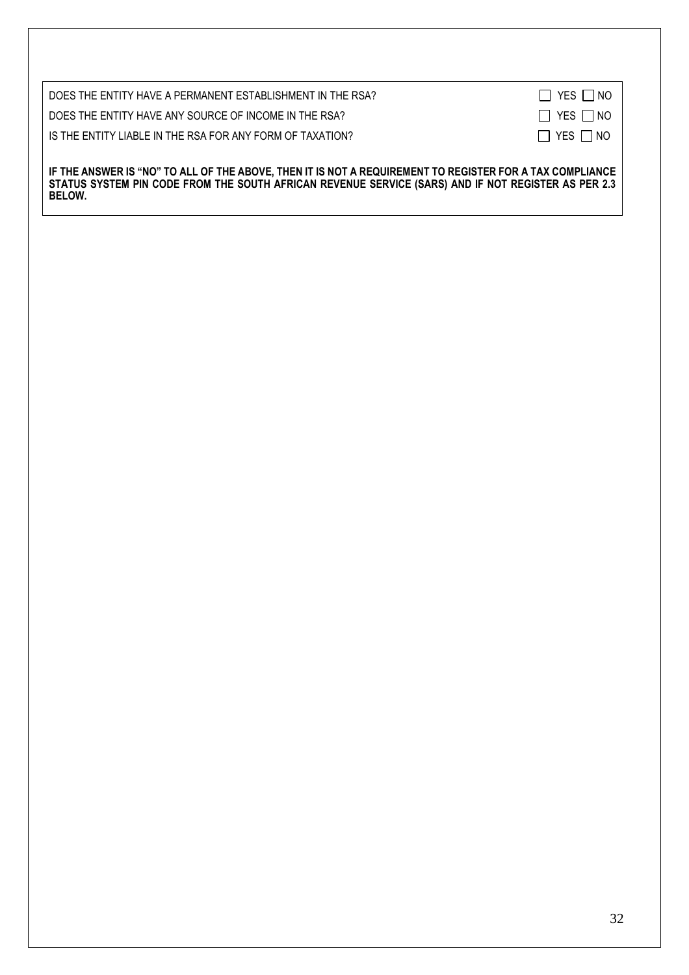| DOES THE ENTITY HAVE A PERMANENT ESTABLISHMENT IN THE RSA?                                                                                                                                                      | $\Box$ YES $\Box$ NO |
|-----------------------------------------------------------------------------------------------------------------------------------------------------------------------------------------------------------------|----------------------|
| DOES THE ENTITY HAVE ANY SOURCE OF INCOME IN THE RSA?                                                                                                                                                           | $\Box$ YES $\Box$ NO |
| IS THE ENTITY LIABLE IN THE RSA FOR ANY FORM OF TAXATION?                                                                                                                                                       | $\Box$ YES $\Box$ NO |
|                                                                                                                                                                                                                 |                      |
| IF THE ANSWER IS "NO" TO ALL OF THE ABOVE, THEN IT IS NOT A REQUIREMENT TO REGISTER FOR A TAX COMPLIANCE<br>STATUS SYSTEM PIN CODE FROM THE SOUTH AFRICAN REVENUE SERVICE (SARS) AND IF NOT REGISTER AS PER 2.3 |                      |

**BELOW.**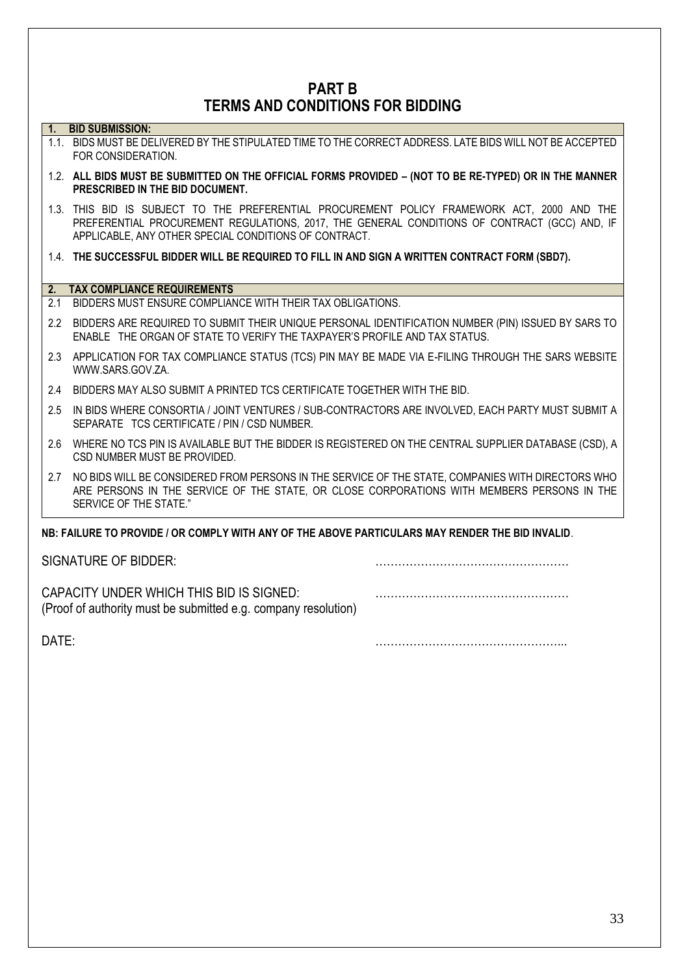# **PART B TERMS AND CONDITIONS FOR BIDDING**

### **1. BID SUBMISSION:**

- 1.1. BIDS MUST BE DELIVERED BY THE STIPULATED TIME TO THE CORRECT ADDRESS. LATE BIDS WILL NOT BE ACCEPTED FOR CONSIDERATION.
- 1.2. **ALL BIDS MUST BE SUBMITTED ON THE OFFICIAL FORMS PROVIDED – (NOT TO BE RE-TYPED) OR IN THE MANNER PRESCRIBED IN THE BID DOCUMENT.**
- 1.3. THIS BID IS SUBJECT TO THE PREFERENTIAL PROCUREMENT POLICY FRAMEWORK ACT, 2000 AND THE PREFERENTIAL PROCUREMENT REGULATIONS, 2017, THE GENERAL CONDITIONS OF CONTRACT (GCC) AND, IF APPLICABLE, ANY OTHER SPECIAL CONDITIONS OF CONTRACT.
- 1.4. **THE SUCCESSFUL BIDDER WILL BE REQUIRED TO FILL IN AND SIGN A WRITTEN CONTRACT FORM (SBD7).**

### **2. TAX COMPLIANCE REQUIREMENTS**

- 2.1 BIDDERS MUST ENSURE COMPLIANCE WITH THEIR TAX OBLIGATIONS.
- 2.2 BIDDERS ARE REQUIRED TO SUBMIT THEIR UNIQUE PERSONAL IDENTIFICATION NUMBER (PIN) ISSUED BY SARS TO ENABLE THE ORGAN OF STATE TO VERIFY THE TAXPAYER'S PROFILE AND TAX STATUS.
- 2.3 APPLICATION FOR TAX COMPLIANCE STATUS (TCS) PIN MAY BE MADE VIA E-FILING THROUGH THE SARS WEBSITE [WWW.SARS.GOV.ZA.](http://www.sars.gov.za/)
- 2.4 BIDDERS MAY ALSO SUBMIT A PRINTED TCS CERTIFICATE TOGETHER WITH THE BID.
- 2.5 IN BIDS WHERE CONSORTIA / JOINT VENTURES / SUB-CONTRACTORS ARE INVOLVED, EACH PARTY MUST SUBMIT A SEPARATE TCS CERTIFICATE / PIN / CSD NUMBER.
- 2.6 WHERE NO TCS PIN IS AVAILABLE BUT THE BIDDER IS REGISTERED ON THE CENTRAL SUPPLIER DATABASE (CSD), A CSD NUMBER MUST BE PROVIDED.
- 2.7 NO BIDS WILL BE CONSIDERED FROM PERSONS IN THE SERVICE OF THE STATE, COMPANIES WITH DIRECTORS WHO ARE PERSONS IN THE SERVICE OF THE STATE, OR CLOSE CORPORATIONS WITH MEMBERS PERSONS IN THE SERVICE OF THE STATE."

## **NB: FAILURE TO PROVIDE / OR COMPLY WITH ANY OF THE ABOVE PARTICULARS MAY RENDER THE BID INVALID**.

| SIGNATURE OF BIDDER:                                                                                       |  |
|------------------------------------------------------------------------------------------------------------|--|
| CAPACITY UNDER WHICH THIS BID IS SIGNED:<br>(Proof of authority must be submitted e.g. company resolution) |  |

DATE: …………………………………………...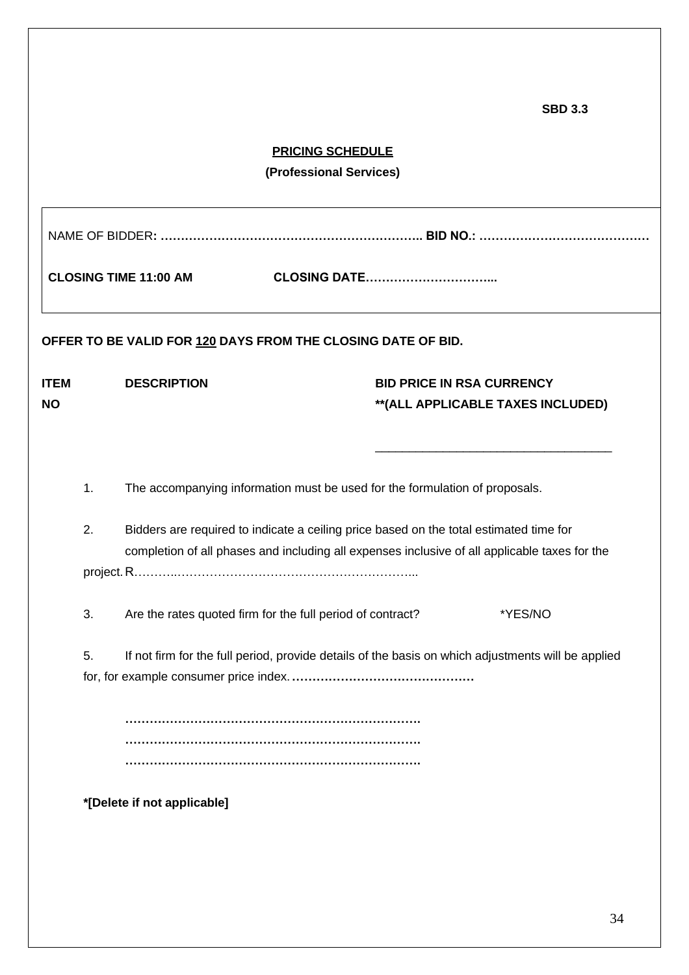**SBD 3.3**

|             | <b>PRICING SCHEDULE</b><br>(Professional Services) |                                                                                        |  |                     |                                                                                                    |  |
|-------------|----------------------------------------------------|----------------------------------------------------------------------------------------|--|---------------------|----------------------------------------------------------------------------------------------------|--|
|             |                                                    |                                                                                        |  |                     |                                                                                                    |  |
|             |                                                    | <b>CLOSING TIME 11:00 AM</b>                                                           |  | <b>CLOSING DATE</b> |                                                                                                    |  |
|             |                                                    | OFFER TO BE VALID FOR 120 DAYS FROM THE CLOSING DATE OF BID.                           |  |                     |                                                                                                    |  |
| <b>ITEM</b> |                                                    | <b>DESCRIPTION</b>                                                                     |  |                     | <b>BID PRICE IN RSA CURRENCY</b>                                                                   |  |
| ΝO          |                                                    |                                                                                        |  |                     | **(ALL APPLICABLE TAXES INCLUDED)                                                                  |  |
|             |                                                    |                                                                                        |  |                     |                                                                                                    |  |
|             |                                                    |                                                                                        |  |                     |                                                                                                    |  |
|             | 1.                                                 | The accompanying information must be used for the formulation of proposals.            |  |                     |                                                                                                    |  |
|             | 2.                                                 | Bidders are required to indicate a ceiling price based on the total estimated time for |  |                     |                                                                                                    |  |
|             |                                                    |                                                                                        |  |                     | completion of all phases and including all expenses inclusive of all applicable taxes for the      |  |
|             |                                                    |                                                                                        |  |                     |                                                                                                    |  |
|             | 3.                                                 | Are the rates quoted firm for the full period of contract?                             |  |                     | *YES/NO                                                                                            |  |
|             | 5.                                                 |                                                                                        |  |                     | If not firm for the full period, provide details of the basis on which adjustments will be applied |  |
|             |                                                    |                                                                                        |  |                     |                                                                                                    |  |
|             |                                                    |                                                                                        |  |                     |                                                                                                    |  |
|             |                                                    |                                                                                        |  |                     |                                                                                                    |  |
|             |                                                    |                                                                                        |  |                     |                                                                                                    |  |
|             | *[Delete if not applicable]                        |                                                                                        |  |                     |                                                                                                    |  |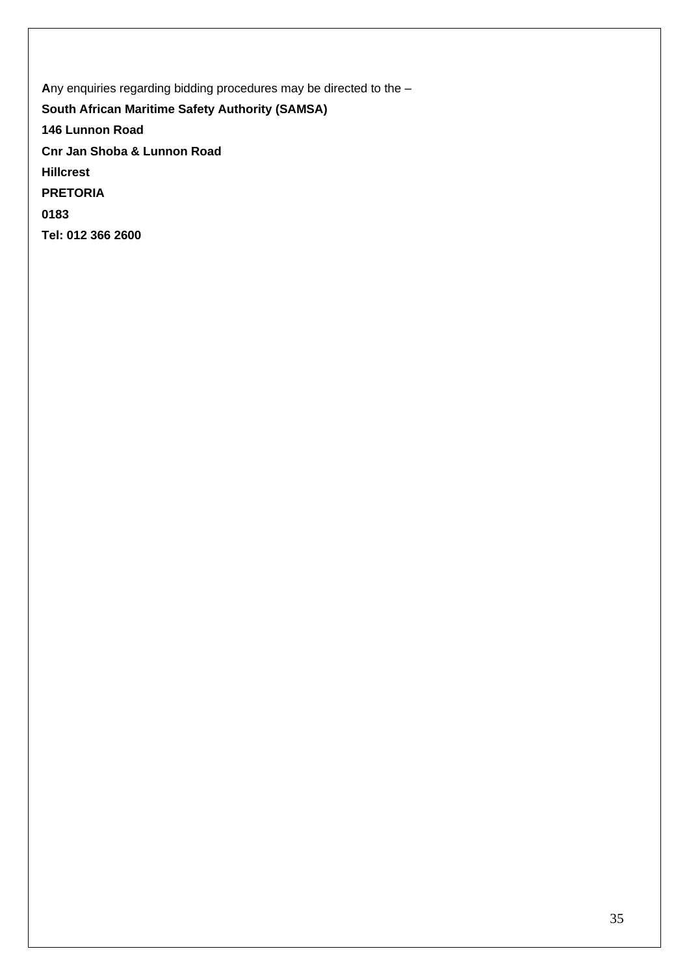**A**ny enquiries regarding bidding procedures may be directed to the –

**South African Maritime Safety Authority (SAMSA)**

**146 Lunnon Road**

**Cnr Jan Shoba & Lunnon Road**

**Hillcrest**

**PRETORIA**

**0183**

**Tel: 012 366 2600**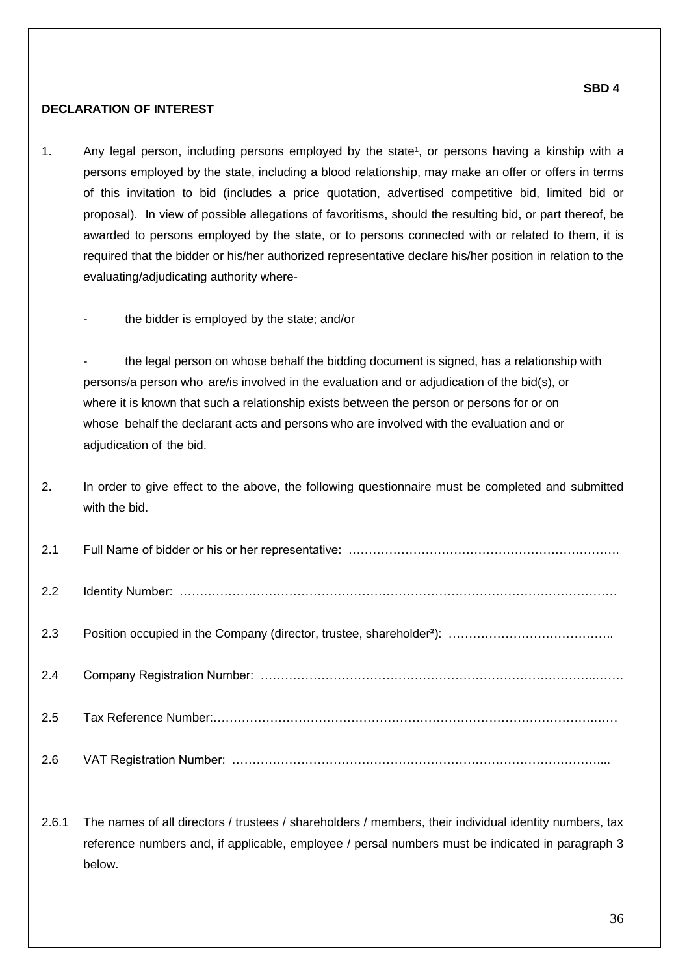### **SBD 4**

# **DECLARATION OF INTEREST**

- 1. Any legal person, including persons employed by the state<sup>1</sup>, or persons having a kinship with a persons employed by the state, including a blood relationship, may make an offer or offers in terms of this invitation to bid (includes a price quotation, advertised competitive bid, limited bid or proposal). In view of possible allegations of favoritisms, should the resulting bid, or part thereof, be awarded to persons employed by the state, or to persons connected with or related to them, it is required that the bidder or his/her authorized representative declare his/her position in relation to the evaluating/adjudicating authority where
	- the bidder is employed by the state; and/or

the legal person on whose behalf the bidding document is signed, has a relationship with persons/a person who are/is involved in the evaluation and or adjudication of the bid(s), or where it is known that such a relationship exists between the person or persons for or on whose behalf the declarant acts and persons who are involved with the evaluation and or adjudication of the bid.

2. In order to give effect to the above, the following questionnaire must be completed and submitted with the bid.

| 2.1 |  |
|-----|--|
| 2.2 |  |
| 2.3 |  |
| 2.4 |  |
| 2.5 |  |
| 2.6 |  |

2.6.1 The names of all directors / trustees / shareholders / members, their individual identity numbers, tax reference numbers and, if applicable, employee / persal numbers must be indicated in paragraph 3 below.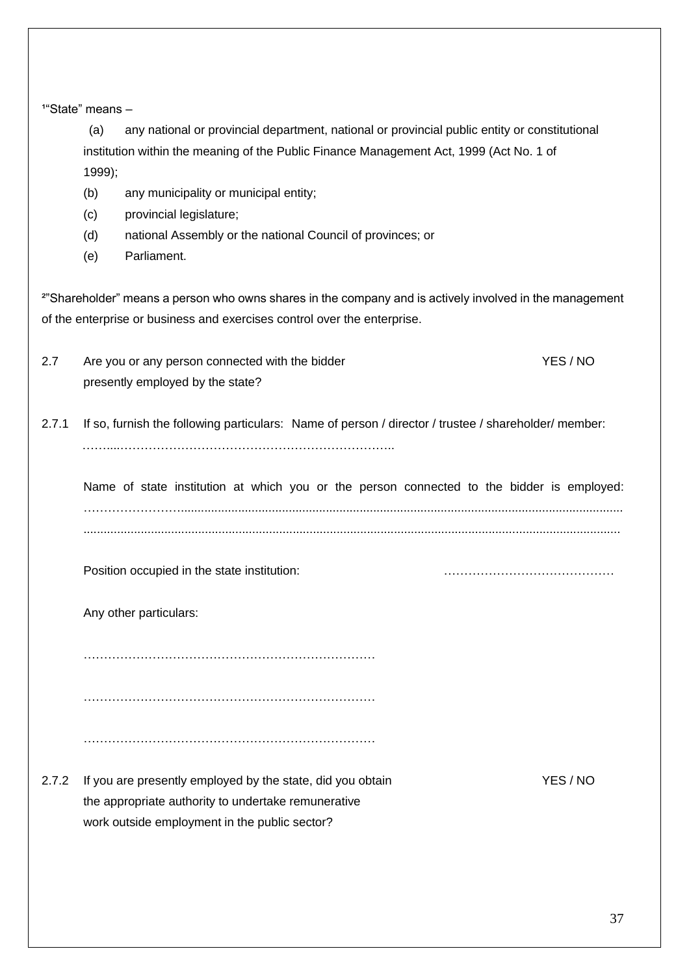<sup>1</sup>"State" means -

 (a) any national or provincial department, national or provincial public entity or constitutional institution within the meaning of the Public Finance Management Act, 1999 (Act No. 1 of 1999);

- (b) any municipality or municipal entity;
- (c) provincial legislature;
- (d) national Assembly or the national Council of provinces; or
- (e) Parliament.

²"Shareholder" means a person who owns shares in the company and is actively involved in the management of the enterprise or business and exercises control over the enterprise.

- 2.7 Are you or any person connected with the bidder New YES / NO presently employed by the state?
- 2.7.1 If so, furnish the following particulars: Name of person / director / trustee / shareholder/ member: ……....…………………………………………………………..

Name of state institution at which you or the person connected to the bidder is employed: ……………………................................................................................................................................... ...............................................................................................................................................................

Position occupied in the state institution: with the state institution:

Any other particulars:

………………………………………………………………

………………………………………………………………

………………………………………………………………

2.7.2 If you are presently employed by the state, did you obtain YES / NO the appropriate authority to undertake remunerative work outside employment in the public sector?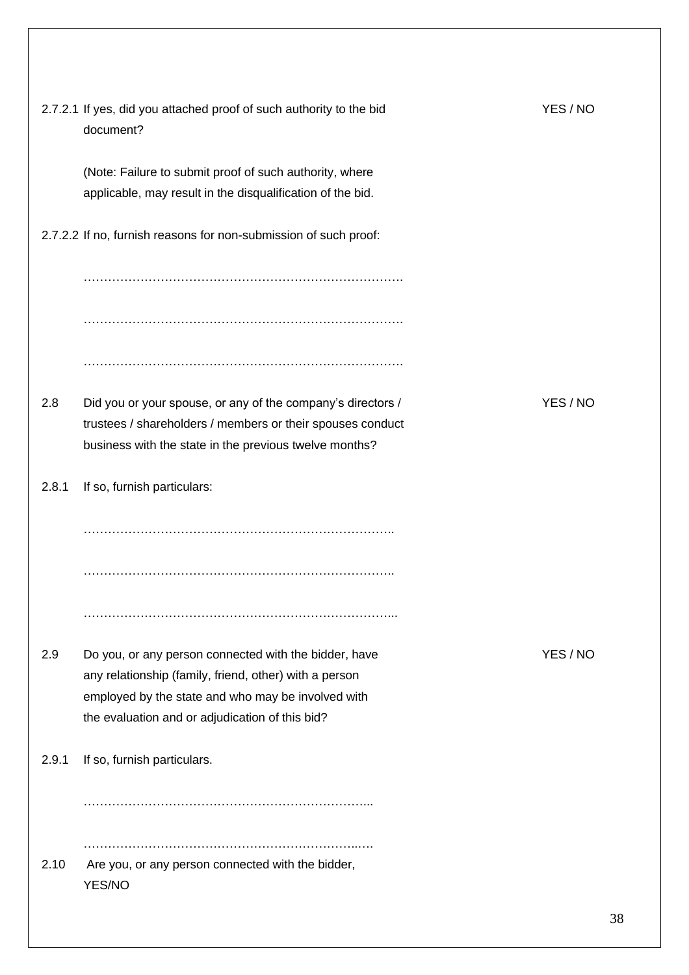|       | 2.7.2.1 If yes, did you attached proof of such authority to the bid<br>document?                                                                                                                                         | YES / NO |
|-------|--------------------------------------------------------------------------------------------------------------------------------------------------------------------------------------------------------------------------|----------|
|       | (Note: Failure to submit proof of such authority, where<br>applicable, may result in the disqualification of the bid.                                                                                                    |          |
|       | 2.7.2.2 If no, furnish reasons for non-submission of such proof:                                                                                                                                                         |          |
|       |                                                                                                                                                                                                                          |          |
| 2.8   | Did you or your spouse, or any of the company's directors /<br>trustees / shareholders / members or their spouses conduct<br>business with the state in the previous twelve months?                                      | YES / NO |
| 2.8.1 | If so, furnish particulars:                                                                                                                                                                                              |          |
|       |                                                                                                                                                                                                                          |          |
|       |                                                                                                                                                                                                                          |          |
|       |                                                                                                                                                                                                                          |          |
| 2.9   | Do you, or any person connected with the bidder, have<br>any relationship (family, friend, other) with a person<br>employed by the state and who may be involved with<br>the evaluation and or adjudication of this bid? | YES/NO   |
| 2.9.1 | If so, furnish particulars.                                                                                                                                                                                              |          |
| 2.10  | Are you, or any person connected with the bidder,<br>YES/NO                                                                                                                                                              |          |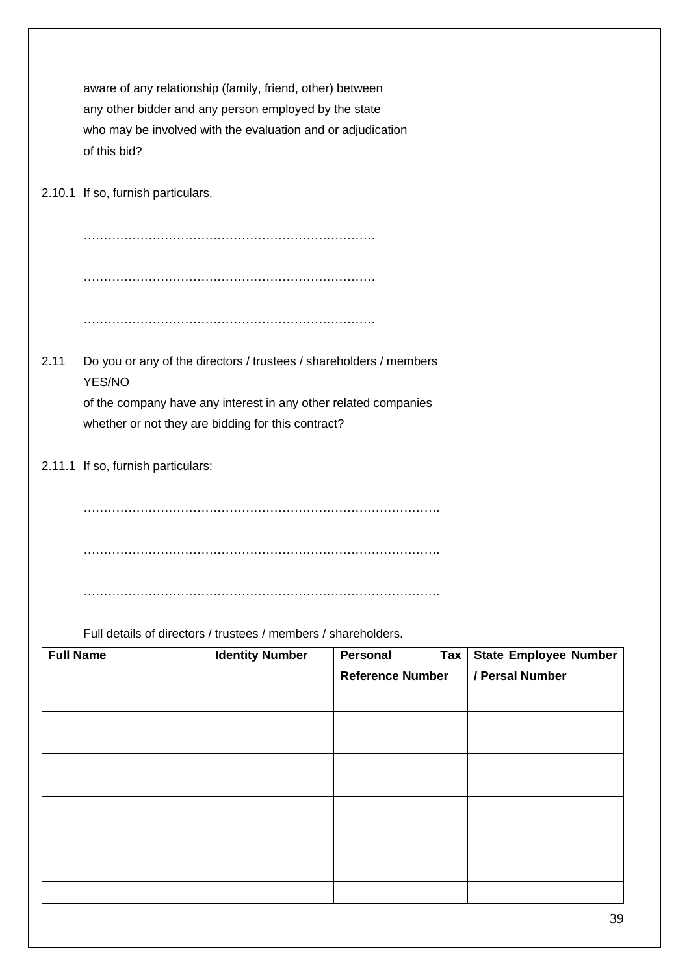aware of any relationship (family, friend, other) between any other bidder and any person employed by the state who may be involved with the evaluation and or adjudication of this bid?

2.10.1 If so, furnish particulars.

……………………………………………………………… ……………………………………………………………… ………………………………………………………………

2.11 Do you or any of the directors / trustees / shareholders / members YES/NO

> of the company have any interest in any other related companies whether or not they are bidding for this contract?

2.11.1 If so, furnish particulars:

……………………………………………………………………………. …………………………………………………………………………….

…………………………………………………………………………….

Full details of directors / trustees / members / shareholders.

| <b>Full Name</b> | <b>Identity Number</b> | Personal                | Tax   State Employee Number |
|------------------|------------------------|-------------------------|-----------------------------|
|                  |                        | <b>Reference Number</b> | / Persal Number             |
|                  |                        |                         |                             |
|                  |                        |                         |                             |
|                  |                        |                         |                             |
|                  |                        |                         |                             |
|                  |                        |                         |                             |
|                  |                        |                         |                             |
|                  |                        |                         |                             |
|                  |                        |                         |                             |
|                  |                        |                         |                             |
|                  |                        |                         |                             |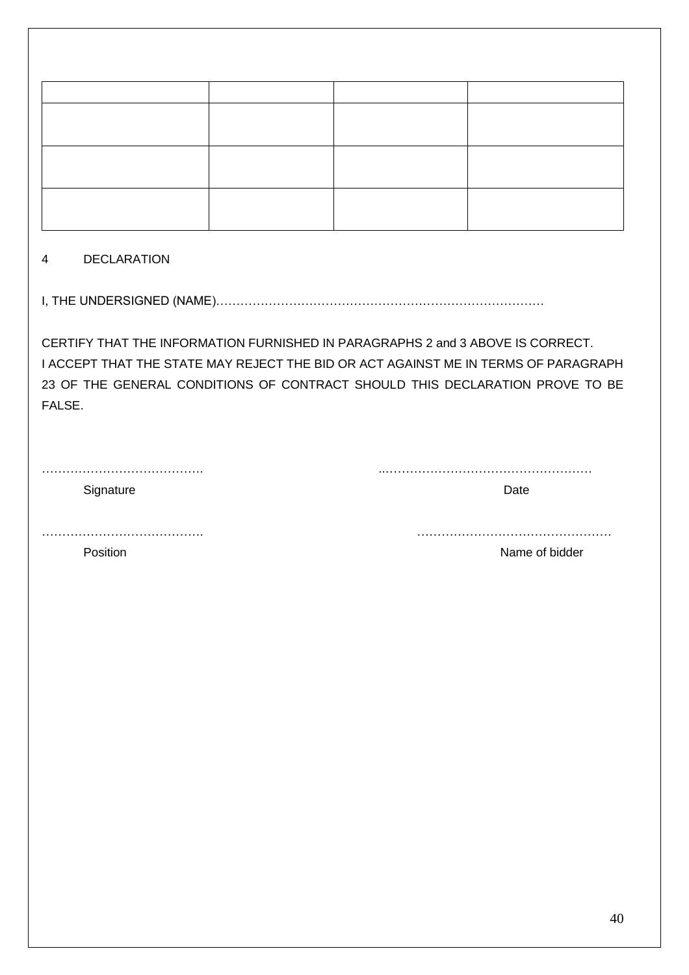# 4 DECLARATION

I, THE UNDERSIGNED (NAME)………………………………………………………………………

CERTIFY THAT THE INFORMATION FURNISHED IN PARAGRAPHS 2 and 3 ABOVE IS CORRECT. I ACCEPT THAT THE STATE MAY REJECT THE BID OR ACT AGAINST ME IN TERMS OF PARAGRAPH 23 OF THE GENERAL CONDITIONS OF CONTRACT SHOULD THIS DECLARATION PROVE TO BE FALSE.

…………………………………. ..……………………………………………

Signature Date

…………………………………. …………………………………………

Position **Name of bidder Name of bidder**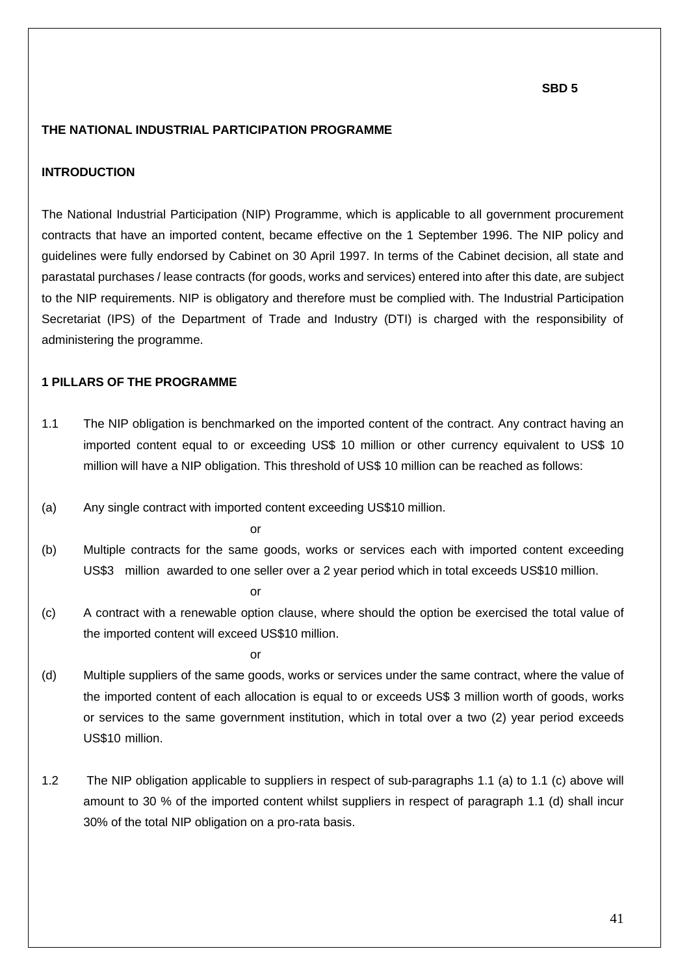#### **THE NATIONAL INDUSTRIAL PARTICIPATION PROGRAMME**

### **INTRODUCTION**

The National Industrial Participation (NIP) Programme, which is applicable to all government procurement contracts that have an imported content, became effective on the 1 September 1996. The NIP policy and guidelines were fully endorsed by Cabinet on 30 April 1997. In terms of the Cabinet decision, all state and parastatal purchases / lease contracts (for goods, works and services) entered into after this date, are subject to the NIP requirements. NIP is obligatory and therefore must be complied with. The Industrial Participation Secretariat (IPS) of the Department of Trade and Industry (DTI) is charged with the responsibility of administering the programme.

### **1 PILLARS OF THE PROGRAMME**

- 1.1 The NIP obligation is benchmarked on the imported content of the contract. Any contract having an imported content equal to or exceeding US\$ 10 million or other currency equivalent to US\$ 10 million will have a NIP obligation. This threshold of US\$ 10 million can be reached as follows:
- (a) Any single contract with imported content exceeding US\$10 million.

or

(b) Multiple contracts for the same goods, works or services each with imported content exceeding US\$3 million awarded to one seller over a 2 year period which in total exceeds US\$10 million.

or

(c) A contract with a renewable option clause, where should the option be exercised the total value of the imported content will exceed US\$10 million.

or

- (d) Multiple suppliers of the same goods, works or services under the same contract, where the value of the imported content of each allocation is equal to or exceeds US\$ 3 million worth of goods, works or services to the same government institution, which in total over a two (2) year period exceeds US\$10 million.
- 1.2 The NIP obligation applicable to suppliers in respect of sub-paragraphs 1.1 (a) to 1.1 (c) above will amount to 30 % of the imported content whilst suppliers in respect of paragraph 1.1 (d) shall incur 30% of the total NIP obligation on a pro-rata basis.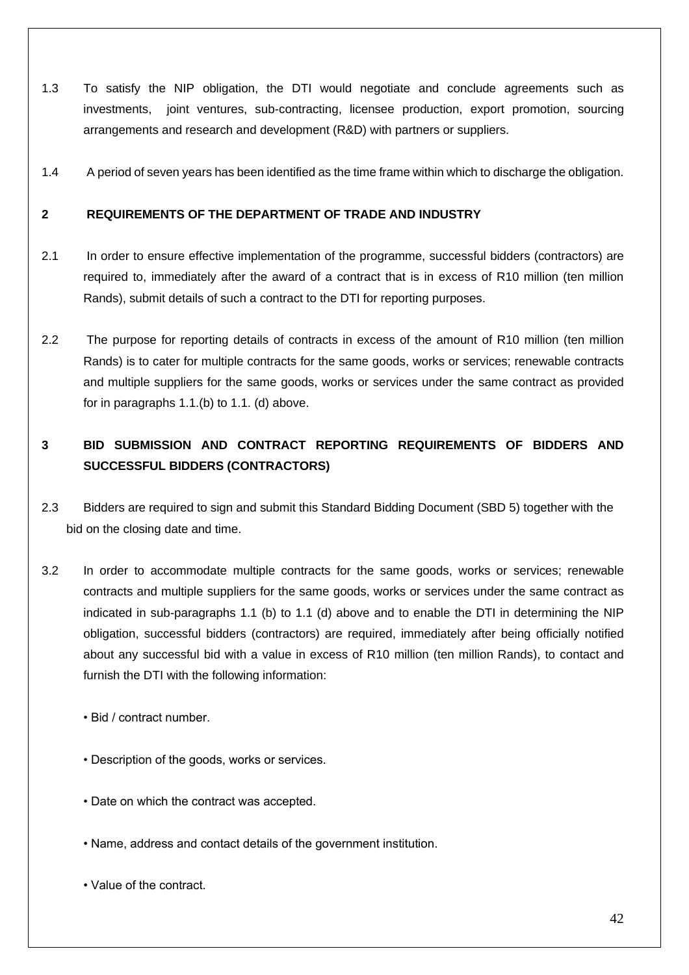- 1.3 To satisfy the NIP obligation, the DTI would negotiate and conclude agreements such as investments, joint ventures, sub-contracting, licensee production, export promotion, sourcing arrangements and research and development (R&D) with partners or suppliers.
- 1.4 A period of seven years has been identified as the time frame within which to discharge the obligation.

# **2 REQUIREMENTS OF THE DEPARTMENT OF TRADE AND INDUSTRY**

- 2.1 In order to ensure effective implementation of the programme, successful bidders (contractors) are required to, immediately after the award of a contract that is in excess of R10 million (ten million Rands), submit details of such a contract to the DTI for reporting purposes.
- 2.2 The purpose for reporting details of contracts in excess of the amount of R10 million (ten million Rands) is to cater for multiple contracts for the same goods, works or services; renewable contracts and multiple suppliers for the same goods, works or services under the same contract as provided for in paragraphs 1.1.(b) to 1.1. (d) above.

# **3 BID SUBMISSION AND CONTRACT REPORTING REQUIREMENTS OF BIDDERS AND SUCCESSFUL BIDDERS (CONTRACTORS)**

- 2.3 Bidders are required to sign and submit this Standard Bidding Document (SBD 5) together with the bid on the closing date and time.
- 3.2 In order to accommodate multiple contracts for the same goods, works or services; renewable contracts and multiple suppliers for the same goods, works or services under the same contract as indicated in sub-paragraphs 1.1 (b) to 1.1 (d) above and to enable the DTI in determining the NIP obligation, successful bidders (contractors) are required, immediately after being officially notified about any successful bid with a value in excess of R10 million (ten million Rands), to contact and furnish the DTI with the following information:
	- Bid / contract number.
	- Description of the goods, works or services.
	- Date on which the contract was accepted.
	- Name, address and contact details of the government institution.
	- Value of the contract.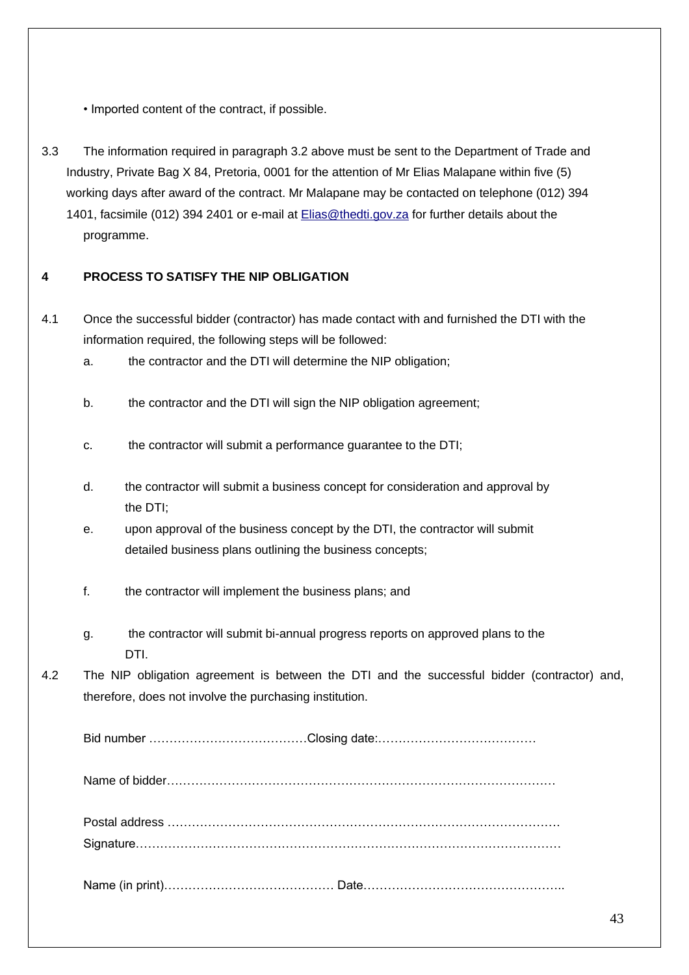• Imported content of the contract, if possible.

3.3 The information required in paragraph 3.2 above must be sent to the Department of Trade and Industry, Private Bag X 84, Pretoria, 0001 for the attention of Mr Elias Malapane within five (5) working days after award of the contract. Mr Malapane may be contacted on telephone (012) 394 1401, facsimile (012) 394 2401 or e-mail at [Elias@thedti.gov.za](mailto:Elias@thedti.gov.za) for further details about the programme.

# **4 PROCESS TO SATISFY THE NIP OBLIGATION**

- 4.1 Once the successful bidder (contractor) has made contact with and furnished the DTI with the information required, the following steps will be followed:
	- a. the contractor and the DTI will determine the NIP obligation;
	- b. the contractor and the DTI will sign the NIP obligation agreement;
	- c. the contractor will submit a performance guarantee to the DTI;
	- d. the contractor will submit a business concept for consideration and approval by the DTI;
	- e. upon approval of the business concept by the DTI, the contractor will submit detailed business plans outlining the business concepts;
	- f. the contractor will implement the business plans; and
	- g. the contractor will submit bi-annual progress reports on approved plans to the DTI.
- 4.2 The NIP obligation agreement is between the DTI and the successful bidder (contractor) and, therefore, does not involve the purchasing institution.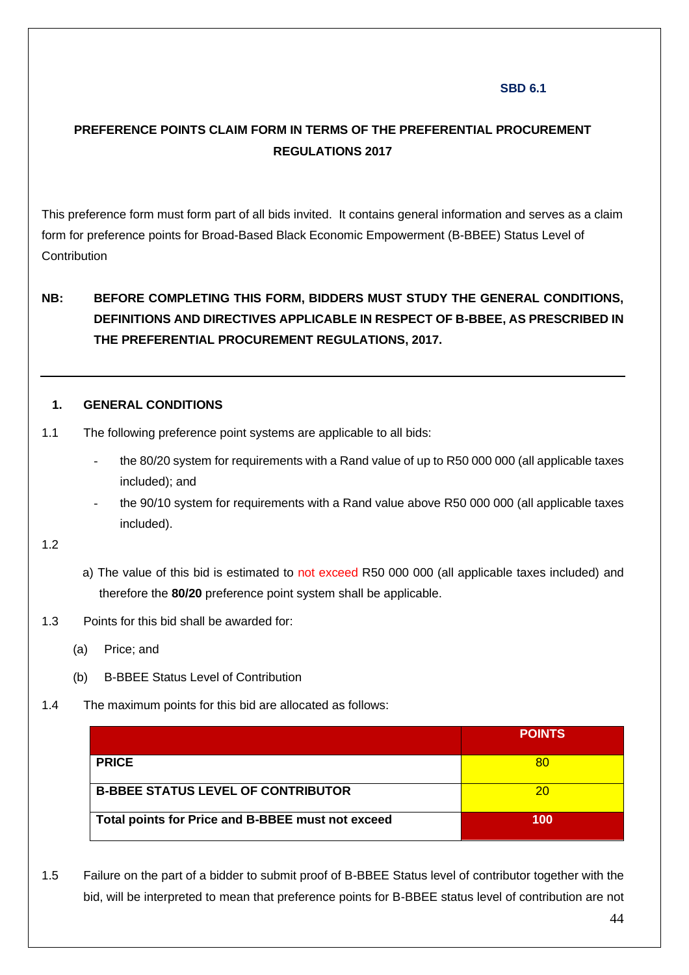# **SBD 6.1**

# **PREFERENCE POINTS CLAIM FORM IN TERMS OF THE PREFERENTIAL PROCUREMENT REGULATIONS 2017**

This preference form must form part of all bids invited. It contains general information and serves as a claim form for preference points for Broad-Based Black Economic Empowerment (B-BBEE) Status Level of **Contribution** 

# **NB: BEFORE COMPLETING THIS FORM, BIDDERS MUST STUDY THE GENERAL CONDITIONS, DEFINITIONS AND DIRECTIVES APPLICABLE IN RESPECT OF B-BBEE, AS PRESCRIBED IN THE PREFERENTIAL PROCUREMENT REGULATIONS, 2017.**

## **1. GENERAL CONDITIONS**

- 1.1 The following preference point systems are applicable to all bids:
	- the 80/20 system for requirements with a Rand value of up to R50 000 000 (all applicable taxes included); and
	- the 90/10 system for requirements with a Rand value above R50 000 000 (all applicable taxes included).

1.2

- a) The value of this bid is estimated to not exceed R50 000 000 (all applicable taxes included) and therefore the **80/20** preference point system shall be applicable.
- 1.3 Points for this bid shall be awarded for:
	- (a) Price; and
	- (b) B-BBEE Status Level of Contribution
- 1.4 The maximum points for this bid are allocated as follows:

|                                                   | <b>POINTS</b> |
|---------------------------------------------------|---------------|
| <b>PRICE</b>                                      | 80            |
| <b>B-BBEE STATUS LEVEL OF CONTRIBUTOR</b>         | 20            |
| Total points for Price and B-BBEE must not exceed | 100           |

1.5 Failure on the part of a bidder to submit proof of B-BBEE Status level of contributor together with the bid, will be interpreted to mean that preference points for B-BBEE status level of contribution are not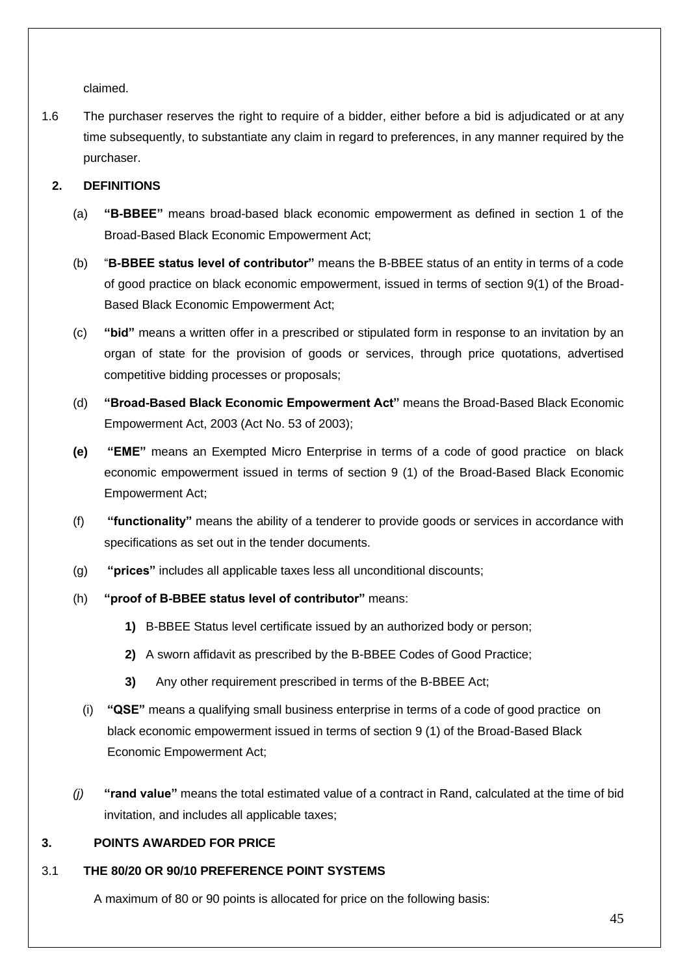claimed.

1.6 The purchaser reserves the right to require of a bidder, either before a bid is adjudicated or at any time subsequently, to substantiate any claim in regard to preferences, in any manner required by the purchaser.

# **2. DEFINITIONS**

- (a) **"B-BBEE"** means broad-based black economic empowerment as defined in section 1 of the Broad-Based Black Economic Empowerment Act;
- (b) "**B-BBEE status level of contributor"** means the B-BBEE status of an entity in terms of a code of good practice on black economic empowerment, issued in terms of section 9(1) of the Broad-Based Black Economic Empowerment Act;
- (c) **"bid"** means a written offer in a prescribed or stipulated form in response to an invitation by an organ of state for the provision of goods or services, through price quotations, advertised competitive bidding processes or proposals;
- (d) **"Broad-Based Black Economic Empowerment Act"** means the Broad-Based Black Economic Empowerment Act, 2003 (Act No. 53 of 2003);
- **(e) "EME"** means an Exempted Micro Enterprise in terms of a code of good practice on black economic empowerment issued in terms of section 9 (1) of the Broad-Based Black Economic Empowerment Act;
- (f) **"functionality"** means the ability of a tenderer to provide goods or services in accordance with specifications as set out in the tender documents.
- (g) **"prices"** includes all applicable taxes less all unconditional discounts;
- (h) **"proof of B-BBEE status level of contributor"** means:
	- **1)** B-BBEE Status level certificate issued by an authorized body or person;
	- **2)** A sworn affidavit as prescribed by the B-BBEE Codes of Good Practice;
	- **3)** Any other requirement prescribed in terms of the B-BBEE Act;
	- (i) **"QSE"** means a qualifying small business enterprise in terms of a code of good practice on black economic empowerment issued in terms of section 9 (1) of the Broad-Based Black Economic Empowerment Act;
- *(j)* **"rand value"** means the total estimated value of a contract in Rand, calculated at the time of bid invitation, and includes all applicable taxes;

# **3. POINTS AWARDED FOR PRICE**

# 3.1 **THE 80/20 OR 90/10 PREFERENCE POINT SYSTEMS**

A maximum of 80 or 90 points is allocated for price on the following basis: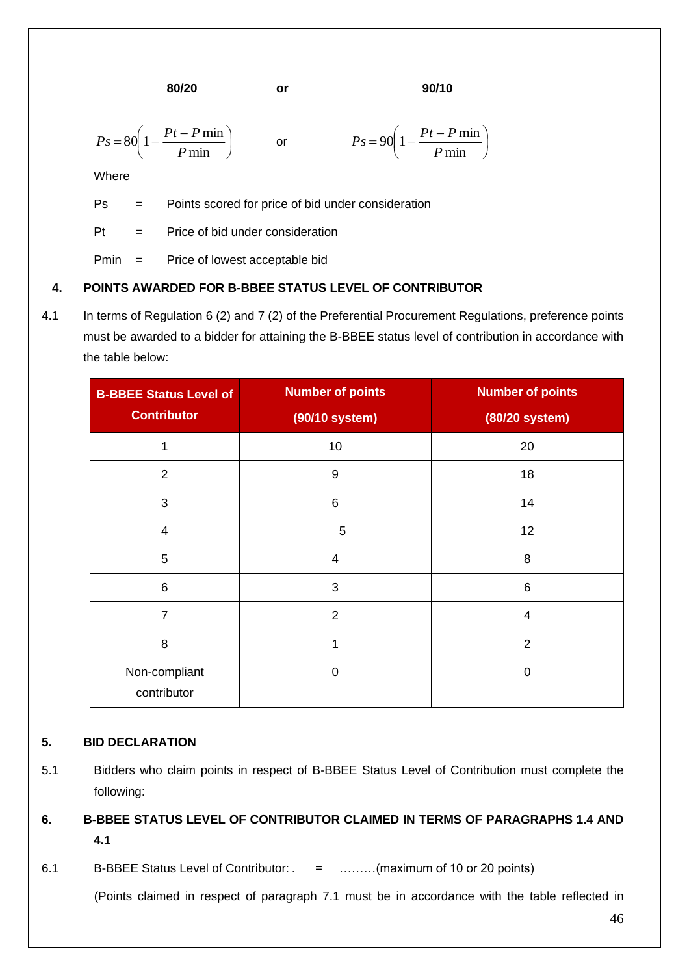**80/20 or 90/10**

I J  $\backslash$ 

$$
Ps = 80\left(1 - \frac{Pt - P \min}{P \min}\right) \qquad \text{or} \qquad \qquad Ps = 90\left(1 - \frac{Pt - P \min}{P \min}\right)
$$

Where

Ps = Points scored for price of bid under consideration

 $Pt =$  Price of bid under consideration

Pmin = Price of lowest acceptable bid

# **4. POINTS AWARDED FOR B-BBEE STATUS LEVEL OF CONTRIBUTOR**

4.1 In terms of Regulation 6 (2) and 7 (2) of the Preferential Procurement Regulations, preference points must be awarded to a bidder for attaining the B-BBEE status level of contribution in accordance with the table below:

| <b>B-BBEE Status Level of</b> | <b>Number of points</b>  | <b>Number of points</b> |
|-------------------------------|--------------------------|-------------------------|
| <b>Contributor</b>            | (90/10 system)           | (80/20 system)          |
|                               | 10                       | 20                      |
| $\overline{2}$                | $\boldsymbol{9}$         | 18                      |
| 3                             | 6                        | 14                      |
| $\overline{4}$                | 5                        | 12                      |
| 5                             | $\overline{\mathcal{A}}$ | 8                       |
| $\,6$                         | 3                        | 6                       |
| 7                             | $\overline{2}$           | 4                       |
| 8                             | 1                        | $\overline{2}$          |
| Non-compliant<br>contributor  | 0                        | $\Omega$                |

# **5. BID DECLARATION**

5.1 Bidders who claim points in respect of B-BBEE Status Level of Contribution must complete the following:

# **6. B-BBEE STATUS LEVEL OF CONTRIBUTOR CLAIMED IN TERMS OF PARAGRAPHS 1.4 AND 4.1**

6.1 B-BBEE Status Level of Contributor: . = ………(maximum of 10 or 20 points)

(Points claimed in respect of paragraph 7.1 must be in accordance with the table reflected in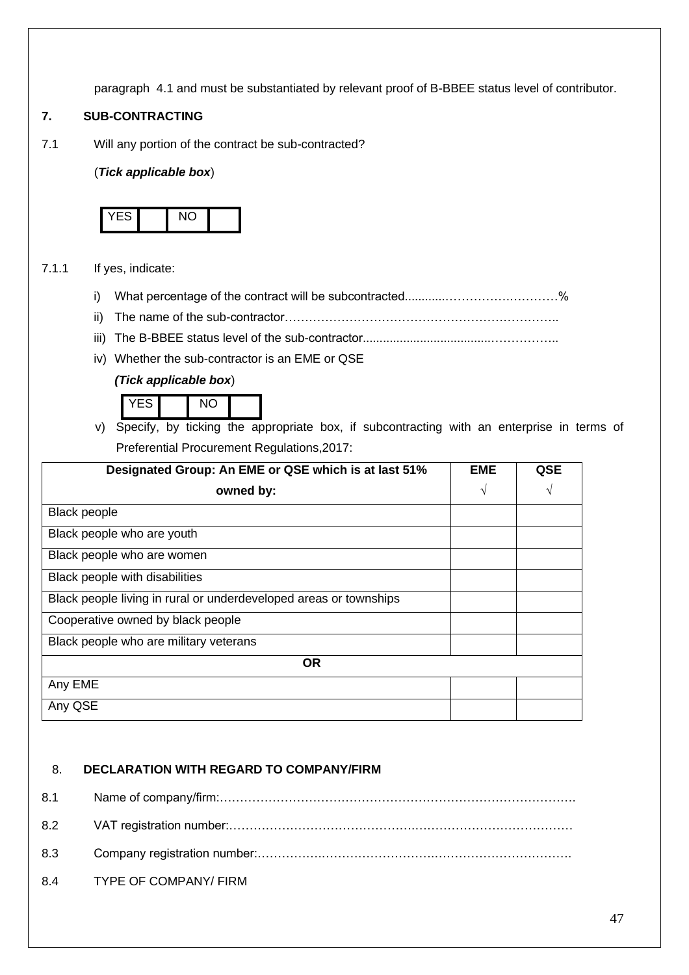paragraph 4.1 and must be substantiated by relevant proof of B-BBEE status level of contributor.

# **7. SUB-CONTRACTING**

7.1 Will any portion of the contract be sub-contracted?

## (*Tick applicable box*)



## 7.1.1 If yes, indicate:

- i) What percentage of the contract will be subcontracted............…………….…………%
- ii) The name of the sub-contractor…………………………………………………………..
- iii) The B-BBEE status level of the sub-contractor......................................……………..
- iv) Whether the sub-contractor is an EME or QSE

# *(Tick applicable box*)



v) Specify, by ticking the appropriate box, if subcontracting with an enterprise in terms of Preferential Procurement Regulations,2017:

| Designated Group: An EME or QSE which is at last 51%              | <b>EME</b> | QSE |
|-------------------------------------------------------------------|------------|-----|
| owned by:                                                         | V          | V   |
| <b>Black people</b>                                               |            |     |
| Black people who are youth                                        |            |     |
| Black people who are women                                        |            |     |
| Black people with disabilities                                    |            |     |
| Black people living in rural or underdeveloped areas or townships |            |     |
| Cooperative owned by black people                                 |            |     |
| Black people who are military veterans                            |            |     |
| <b>OR</b>                                                         |            |     |
| Any EME                                                           |            |     |
| Any QSE                                                           |            |     |

# 8. **DECLARATION WITH REGARD TO COMPANY/FIRM**

8.1 Name of company/firm:……………………………………………………………………………. 8.2 VAT registration number:……………………………………….………………………………… 8.3 Company registration number:…………….……………………….……………………………. 8.4 TYPE OF COMPANY/ FIRM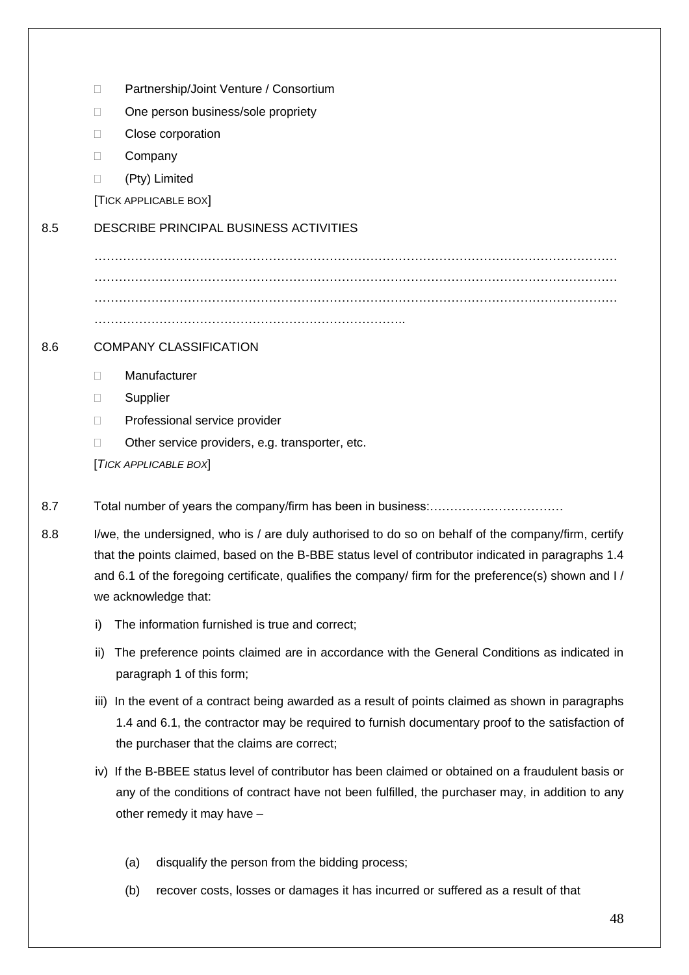- □ Partnership/Joint Venture / Consortium
- □ One person business/sole propriety
- D Close corporation
- D Company
- (Pty) Limited
- [TICK APPLICABLE BOX]

# 8.5 DESCRIBE PRINCIPAL BUSINESS ACTIVITIES

………………………………………………………………………………………………………………… ………………………………………………………………………………………………………………… …………………………………………………………………………………………………………………

# 8.6 COMPANY CLASSIFICATION

- Manufacturer
- **D** Supplier
- D Professional service provider
- □ Other service providers, e.g. transporter, etc.

[*TICK APPLICABLE BOX*]

- 8.7 Total number of years the company/firm has been in business:……………………………
- 8.8 I/we, the undersigned, who is / are duly authorised to do so on behalf of the company/firm, certify that the points claimed, based on the B-BBE status level of contributor indicated in paragraphs 1.4 and 6.1 of the foregoing certificate, qualifies the company/ firm for the preference(s) shown and I/ we acknowledge that:
	- i) The information furnished is true and correct;
	- ii) The preference points claimed are in accordance with the General Conditions as indicated in paragraph 1 of this form;
	- iii) In the event of a contract being awarded as a result of points claimed as shown in paragraphs 1.4 and 6.1, the contractor may be required to furnish documentary proof to the satisfaction of the purchaser that the claims are correct;
	- iv) If the B-BBEE status level of contributor has been claimed or obtained on a fraudulent basis or any of the conditions of contract have not been fulfilled, the purchaser may, in addition to any other remedy it may have –
		- (a) disqualify the person from the bidding process;
		- (b) recover costs, losses or damages it has incurred or suffered as a result of that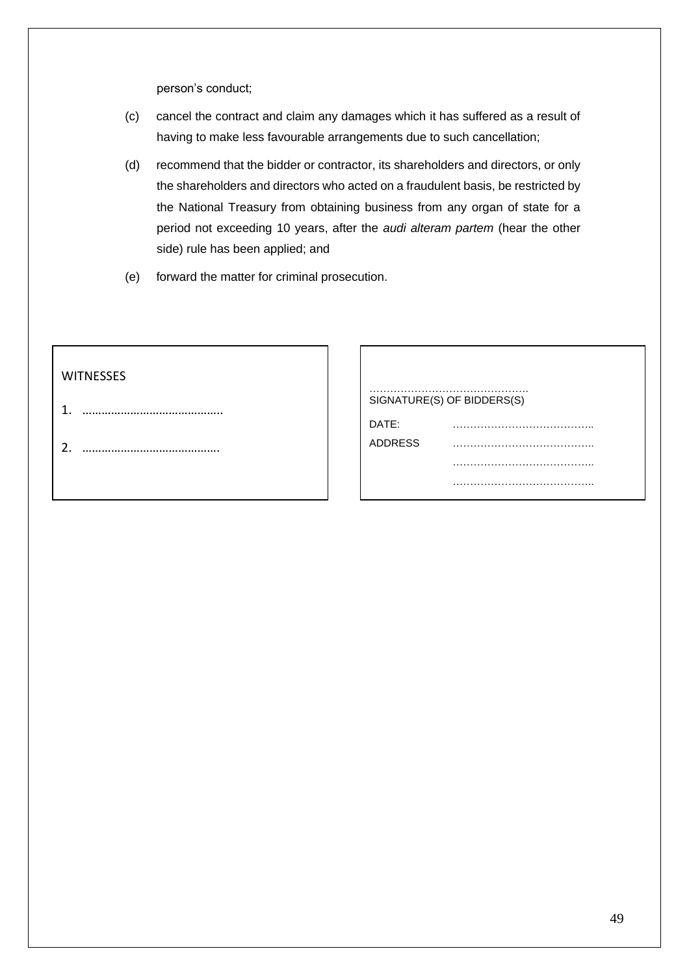person's conduct;

- (c) cancel the contract and claim any damages which it has suffered as a result of having to make less favourable arrangements due to such cancellation;
- (d) recommend that the bidder or contractor, its shareholders and directors, or only the shareholders and directors who acted on a fraudulent basis, be restricted by the National Treasury from obtaining business from any organ of state for a period not exceeding 10 years, after the *audi alteram partem* (hear the other side) rule has been applied; and
- (e) forward the matter for criminal prosecution.

| <b>WITNESSES</b>  |                |                            |
|-------------------|----------------|----------------------------|
| 1                 |                | SIGNATURE(S) OF BIDDERS(S) |
|                   | DATE:          | .<br>                      |
| า<br><u>.</u><br> | <b>ADDRESS</b> |                            |
|                   |                |                            |
|                   |                |                            |
|                   |                |                            |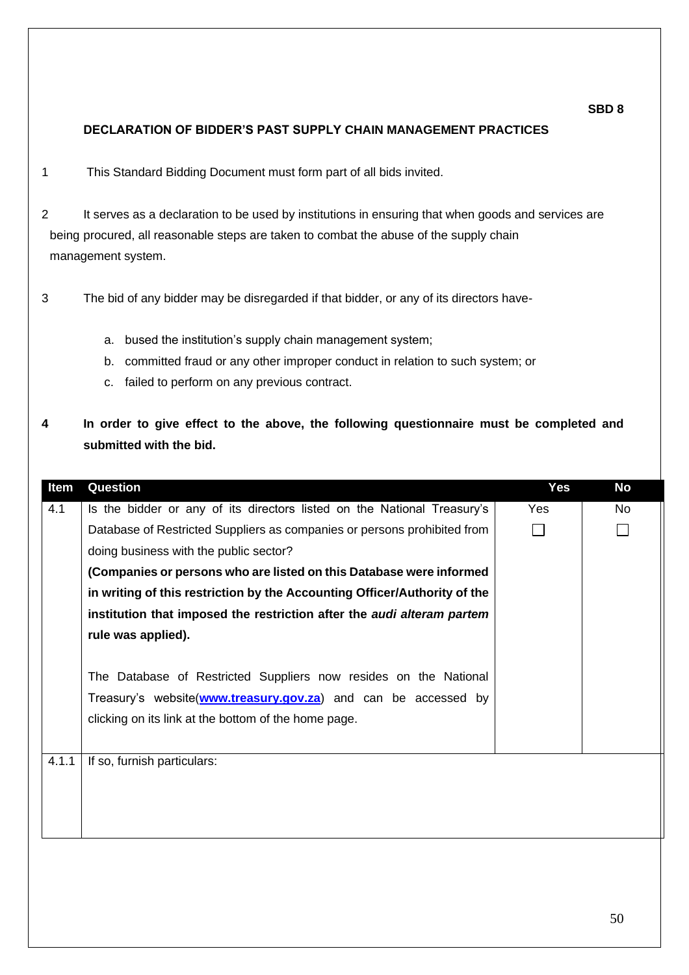# **DECLARATION OF BIDDER'S PAST SUPPLY CHAIN MANAGEMENT PRACTICES**

1 This Standard Bidding Document must form part of all bids invited.

2 It serves as a declaration to be used by institutions in ensuring that when goods and services are being procured, all reasonable steps are taken to combat the abuse of the supply chain management system.

3 The bid of any bidder may be disregarded if that bidder, or any of its directors have-

- a. bused the institution's supply chain management system;
- b. committed fraud or any other improper conduct in relation to such system; or
- c. failed to perform on any previous contract.
- **4 In order to give effect to the above, the following questionnaire must be completed and submitted with the bid.**

| Item  | Question                                                                      | <b>Yes</b> | <b>No</b> |
|-------|-------------------------------------------------------------------------------|------------|-----------|
| 4.1   | Is the bidder or any of its directors listed on the National Treasury's       | Yes        | No        |
|       | Database of Restricted Suppliers as companies or persons prohibited from      |            |           |
|       | doing business with the public sector?                                        |            |           |
|       | (Companies or persons who are listed on this Database were informed           |            |           |
|       | in writing of this restriction by the Accounting Officer/Authority of the     |            |           |
|       | institution that imposed the restriction after the <i>audi alteram partem</i> |            |           |
|       | rule was applied).                                                            |            |           |
|       |                                                                               |            |           |
|       | The Database of Restricted Suppliers now resides on the National              |            |           |
|       | Treasury's website(www.treasury.gov.za) and can be accessed by                |            |           |
|       | clicking on its link at the bottom of the home page.                          |            |           |
|       |                                                                               |            |           |
| 4.1.1 | If so, furnish particulars:                                                   |            |           |
|       |                                                                               |            |           |
|       |                                                                               |            |           |
|       |                                                                               |            |           |
|       |                                                                               |            |           |

**SBD 8**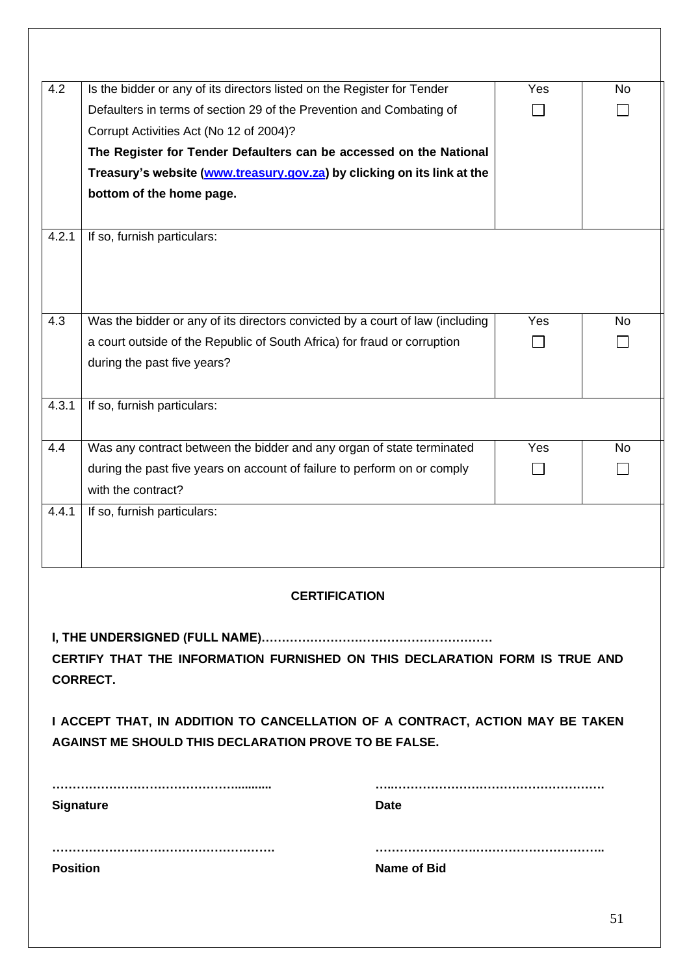| 4.2                                                                           | Is the bidder or any of its directors listed on the Register for Tender       | Yes | No |
|-------------------------------------------------------------------------------|-------------------------------------------------------------------------------|-----|----|
|                                                                               | Defaulters in terms of section 29 of the Prevention and Combating of          |     |    |
|                                                                               | Corrupt Activities Act (No 12 of 2004)?                                       |     |    |
|                                                                               | The Register for Tender Defaulters can be accessed on the National            |     |    |
|                                                                               | Treasury's website (www.treasury.gov.za) by clicking on its link at the       |     |    |
|                                                                               | bottom of the home page.                                                      |     |    |
|                                                                               |                                                                               |     |    |
| 4.2.1                                                                         | If so, furnish particulars:                                                   |     |    |
|                                                                               |                                                                               |     |    |
| 4.3                                                                           | Was the bidder or any of its directors convicted by a court of law (including | Yes | No |
|                                                                               | a court outside of the Republic of South Africa) for fraud or corruption      |     |    |
|                                                                               | during the past five years?                                                   |     |    |
|                                                                               |                                                                               |     |    |
| 4.3.1                                                                         | If so, furnish particulars:                                                   |     |    |
|                                                                               |                                                                               |     |    |
| 4.4                                                                           | Was any contract between the bidder and any organ of state terminated         | Yes | No |
|                                                                               | during the past five years on account of failure to perform on or comply      |     |    |
|                                                                               | with the contract?                                                            |     |    |
| 4.4.1                                                                         | If so, furnish particulars:                                                   |     |    |
|                                                                               |                                                                               |     |    |
|                                                                               |                                                                               |     |    |
| <b>CERTIFICATION</b>                                                          |                                                                               |     |    |
|                                                                               |                                                                               |     |    |
|                                                                               |                                                                               |     |    |
| CERTIFY THAT THE INFORMATION FURNISHED ON THIS DECLARATION FORM IS TRUE AND   |                                                                               |     |    |
| <b>CORRECT.</b>                                                               |                                                                               |     |    |
|                                                                               |                                                                               |     |    |
| I ACCEPT THAT, IN ADDITION TO CANCELLATION OF A CONTRACT, ACTION MAY BE TAKEN |                                                                               |     |    |
| AGAINST ME SHOULD THIS DECLARATION PROVE TO BE FALSE.                         |                                                                               |     |    |
|                                                                               |                                                                               |     |    |
| <b>Date</b>                                                                   |                                                                               |     |    |
| <b>Signature</b>                                                              |                                                                               |     |    |
|                                                                               |                                                                               |     |    |
| <b>Position</b><br><b>Name of Bid</b>                                         |                                                                               |     |    |
|                                                                               |                                                                               |     |    |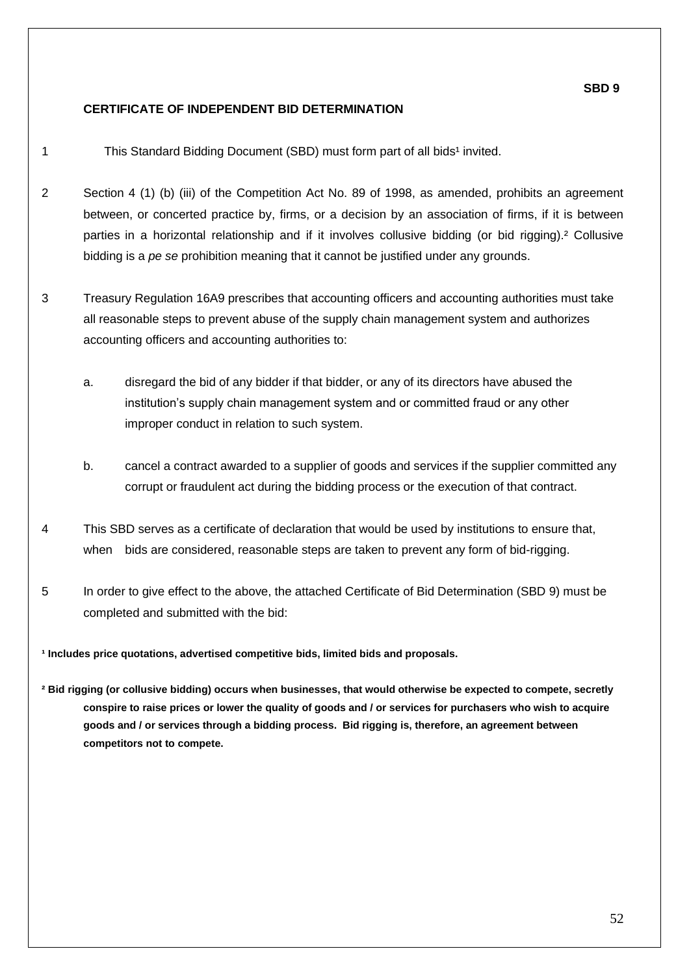## **CERTIFICATE OF INDEPENDENT BID DETERMINATION**

**SBD 9**

1 This Standard Bidding Document (SBD) must form part of all bids<sup>1</sup> invited.

- 2 Section 4 (1) (b) (iii) of the Competition Act No. 89 of 1998, as amended, prohibits an agreement between, or concerted practice by, firms, or a decision by an association of firms, if it is between parties in a horizontal relationship and if it involves collusive bidding (or bid rigging).² Collusive bidding is a *pe se* prohibition meaning that it cannot be justified under any grounds.
- 3 Treasury Regulation 16A9 prescribes that accounting officers and accounting authorities must take all reasonable steps to prevent abuse of the supply chain management system and authorizes accounting officers and accounting authorities to:
	- a. disregard the bid of any bidder if that bidder, or any of its directors have abused the institution's supply chain management system and or committed fraud or any other improper conduct in relation to such system.
	- b. cancel a contract awarded to a supplier of goods and services if the supplier committed any corrupt or fraudulent act during the bidding process or the execution of that contract.
- 4 This SBD serves as a certificate of declaration that would be used by institutions to ensure that, when bids are considered, reasonable steps are taken to prevent any form of bid-rigging.
- 5 In order to give effect to the above, the attached Certificate of Bid Determination (SBD 9) must be completed and submitted with the bid:

**¹ Includes price quotations, advertised competitive bids, limited bids and proposals.**

**² Bid rigging (or collusive bidding) occurs when businesses, that would otherwise be expected to compete, secretly conspire to raise prices or lower the quality of goods and / or services for purchasers who wish to acquire goods and / or services through a bidding process. Bid rigging is, therefore, an agreement between competitors not to compete.**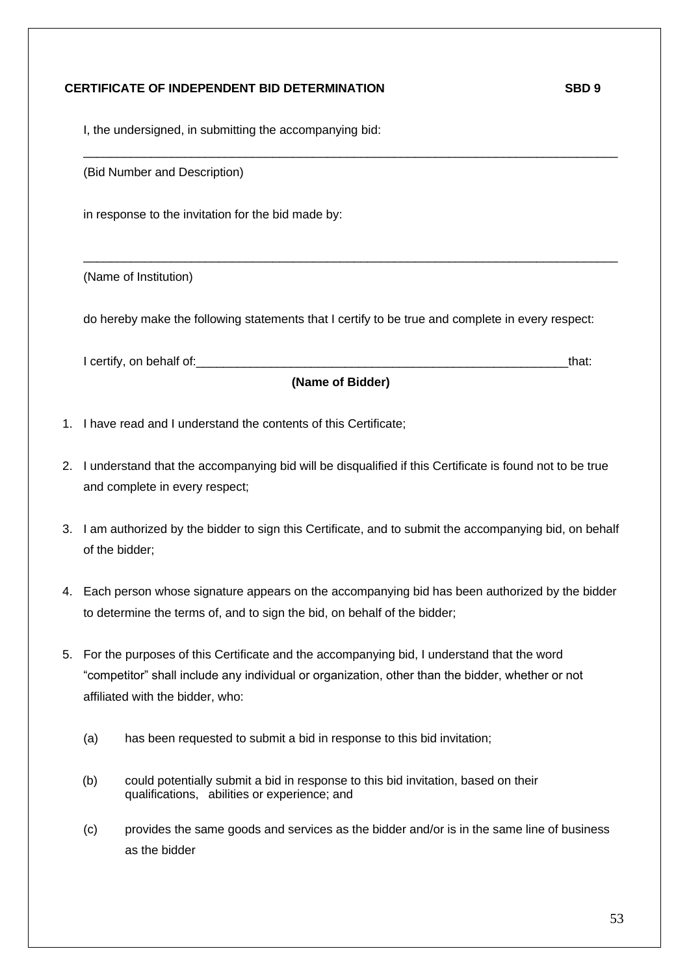### **CERTIFICATE OF INDEPENDENT BID DETERMINATION SBD 9**

I, the undersigned, in submitting the accompanying bid:

(Bid Number and Description)

in response to the invitation for the bid made by:

(Name of Institution)

do hereby make the following statements that I certify to be true and complete in every respect:

 $\_$  ,  $\_$  ,  $\_$  ,  $\_$  ,  $\_$  ,  $\_$  ,  $\_$  ,  $\_$  ,  $\_$  ,  $\_$  ,  $\_$  ,  $\_$  ,  $\_$  ,  $\_$  ,  $\_$  ,  $\_$  ,  $\_$  ,  $\_$  ,  $\_$  ,  $\_$  ,  $\_$  ,  $\_$  ,  $\_$  ,  $\_$  ,  $\_$  ,  $\_$  ,  $\_$  ,  $\_$  ,  $\_$  ,  $\_$  ,  $\_$  ,  $\_$  ,  $\_$  ,  $\_$  ,  $\_$  ,  $\_$  ,  $\_$  ,

 $\_$  ,  $\_$  ,  $\_$  ,  $\_$  ,  $\_$  ,  $\_$  ,  $\_$  ,  $\_$  ,  $\_$  ,  $\_$  ,  $\_$  ,  $\_$  ,  $\_$  ,  $\_$  ,  $\_$  ,  $\_$  ,  $\_$  ,  $\_$  ,  $\_$  ,  $\_$  ,  $\_$  ,  $\_$  ,  $\_$  ,  $\_$  ,  $\_$  ,  $\_$  ,  $\_$  ,  $\_$  ,  $\_$  ,  $\_$  ,  $\_$  ,  $\_$  ,  $\_$  ,  $\_$  ,  $\_$  ,  $\_$  ,  $\_$  ,

I certify, on behalf of: the state of the state of the state of the state of the state of the state of the state of the state of the state of the state of the state of the state of the state of the state of the state of th

**(Name of Bidder)**

- 1. I have read and I understand the contents of this Certificate;
- 2. I understand that the accompanying bid will be disqualified if this Certificate is found not to be true and complete in every respect;
- 3. I am authorized by the bidder to sign this Certificate, and to submit the accompanying bid, on behalf of the bidder;
- 4. Each person whose signature appears on the accompanying bid has been authorized by the bidder to determine the terms of, and to sign the bid, on behalf of the bidder;
- 5. For the purposes of this Certificate and the accompanying bid, I understand that the word "competitor" shall include any individual or organization, other than the bidder, whether or not affiliated with the bidder, who:
	- (a) has been requested to submit a bid in response to this bid invitation;
	- (b) could potentially submit a bid in response to this bid invitation, based on their qualifications, abilities or experience; and
	- (c) provides the same goods and services as the bidder and/or is in the same line of business as the bidder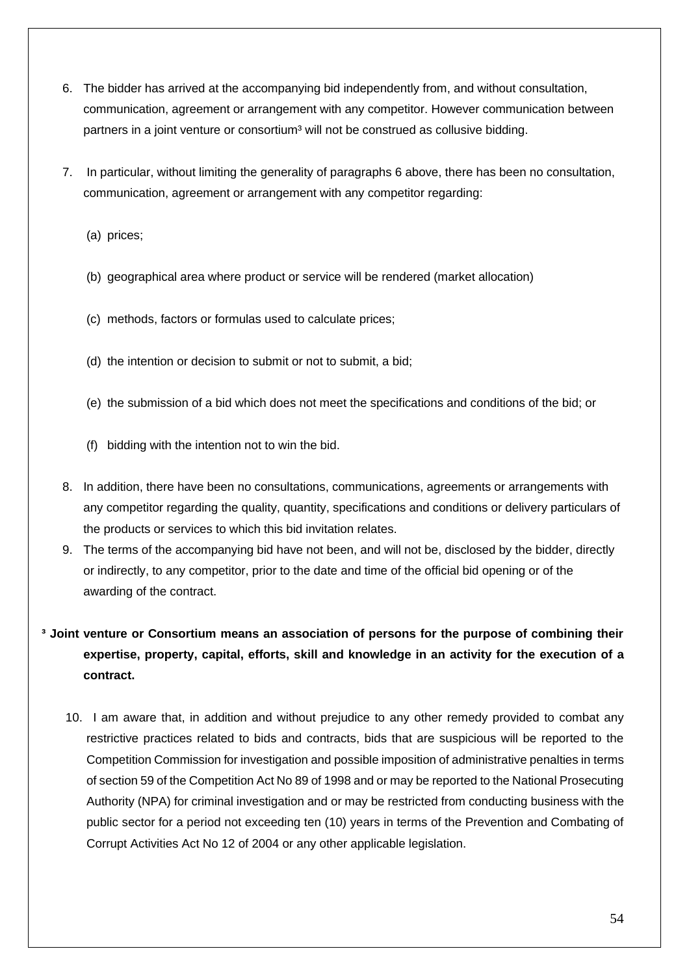- 6. The bidder has arrived at the accompanying bid independently from, and without consultation, communication, agreement or arrangement with any competitor. However communication between partners in a joint venture or consortium<sup>3</sup> will not be construed as collusive bidding.
- 7. In particular, without limiting the generality of paragraphs 6 above, there has been no consultation, communication, agreement or arrangement with any competitor regarding:
	- (a) prices;
	- (b) geographical area where product or service will be rendered (market allocation)
	- (c) methods, factors or formulas used to calculate prices;
	- (d) the intention or decision to submit or not to submit, a bid;
	- (e) the submission of a bid which does not meet the specifications and conditions of the bid; or
	- (f) bidding with the intention not to win the bid.
- 8. In addition, there have been no consultations, communications, agreements or arrangements with any competitor regarding the quality, quantity, specifications and conditions or delivery particulars of the products or services to which this bid invitation relates.
- 9. The terms of the accompanying bid have not been, and will not be, disclosed by the bidder, directly or indirectly, to any competitor, prior to the date and time of the official bid opening or of the awarding of the contract.
- **³ Joint venture or Consortium means an association of persons for the purpose of combining their expertise, property, capital, efforts, skill and knowledge in an activity for the execution of a contract.**
	- 10. I am aware that, in addition and without prejudice to any other remedy provided to combat any restrictive practices related to bids and contracts, bids that are suspicious will be reported to the Competition Commission for investigation and possible imposition of administrative penalties in terms of section 59 of the Competition Act No 89 of 1998 and or may be reported to the National Prosecuting Authority (NPA) for criminal investigation and or may be restricted from conducting business with the public sector for a period not exceeding ten (10) years in terms of the Prevention and Combating of Corrupt Activities Act No 12 of 2004 or any other applicable legislation.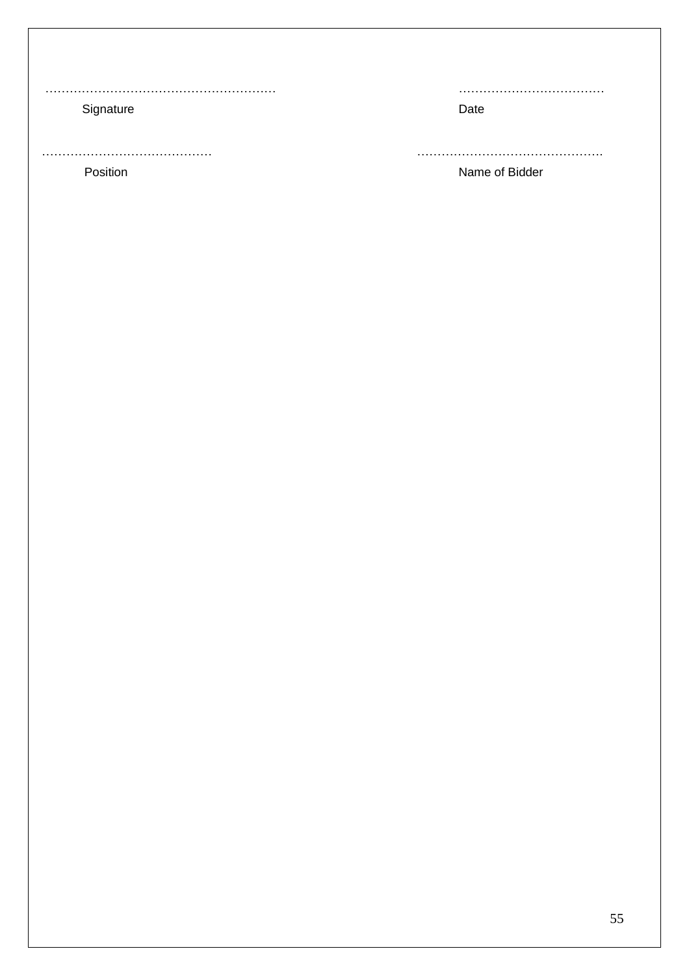………………………………………………… ………………………………

# Signature Date Date Date

…………………………………… ………………………………………. Position **Name of Bidder**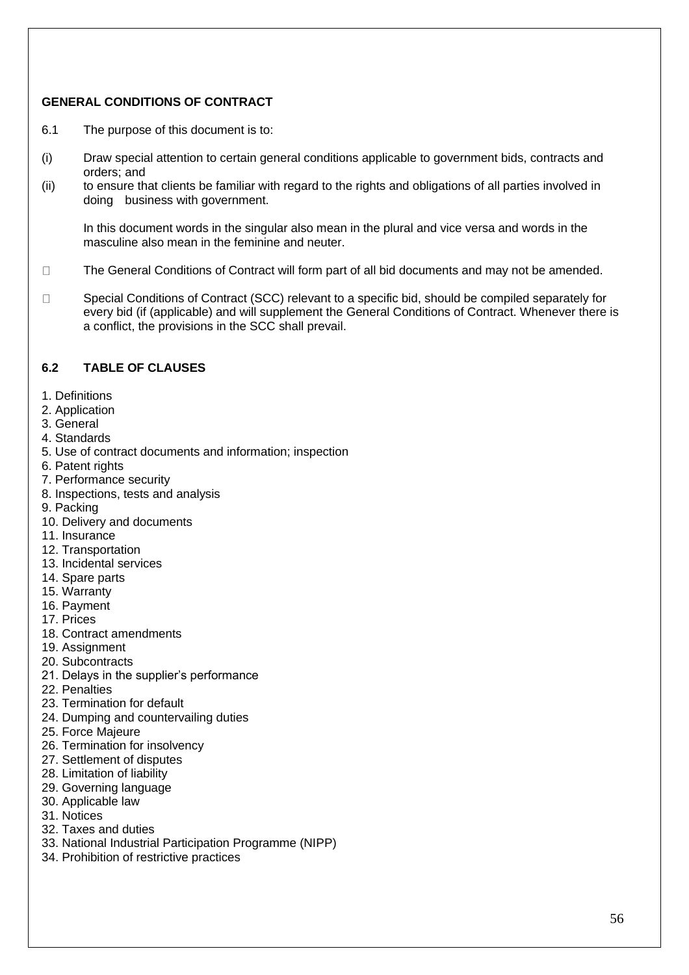# **GENERAL CONDITIONS OF CONTRACT**

- 6.1 The purpose of this document is to:
- (i) Draw special attention to certain general conditions applicable to government bids, contracts and orders; and
- (ii) to ensure that clients be familiar with regard to the rights and obligations of all parties involved in doing business with government.

In this document words in the singular also mean in the plural and vice versa and words in the masculine also mean in the feminine and neuter.

- $\Box$ The General Conditions of Contract will form part of all bid documents and may not be amended.
- Special Conditions of Contract (SCC) relevant to a specific bid, should be compiled separately for  $\Box$ every bid (if (applicable) and will supplement the General Conditions of Contract. Whenever there is a conflict, the provisions in the SCC shall prevail.

## **6.2 TABLE OF CLAUSES**

- 1. Definitions
- 2. Application
- 3. General
- 4. Standards
- 5. Use of contract documents and information; inspection
- 6. Patent rights
- 7. Performance security
- 8. Inspections, tests and analysis
- 9. Packing
- 10. Delivery and documents
- 11. Insurance
- 12. Transportation
- 13. Incidental services
- 14. Spare parts
- 15. Warranty
- 16. Payment
- 17. Prices
- 18. Contract amendments
- 19. Assignment
- 20. Subcontracts
- 21. Delays in the supplier's performance
- 22. Penalties
- 23. Termination for default
- 24. Dumping and countervailing duties
- 25. Force Majeure
- 26. Termination for insolvency
- 27. Settlement of disputes
- 28. Limitation of liability
- 29. Governing language
- 30. Applicable law
- 31. Notices
- 32. Taxes and duties
- 33. National Industrial Participation Programme (NIPP)
- 34. Prohibition of restrictive practices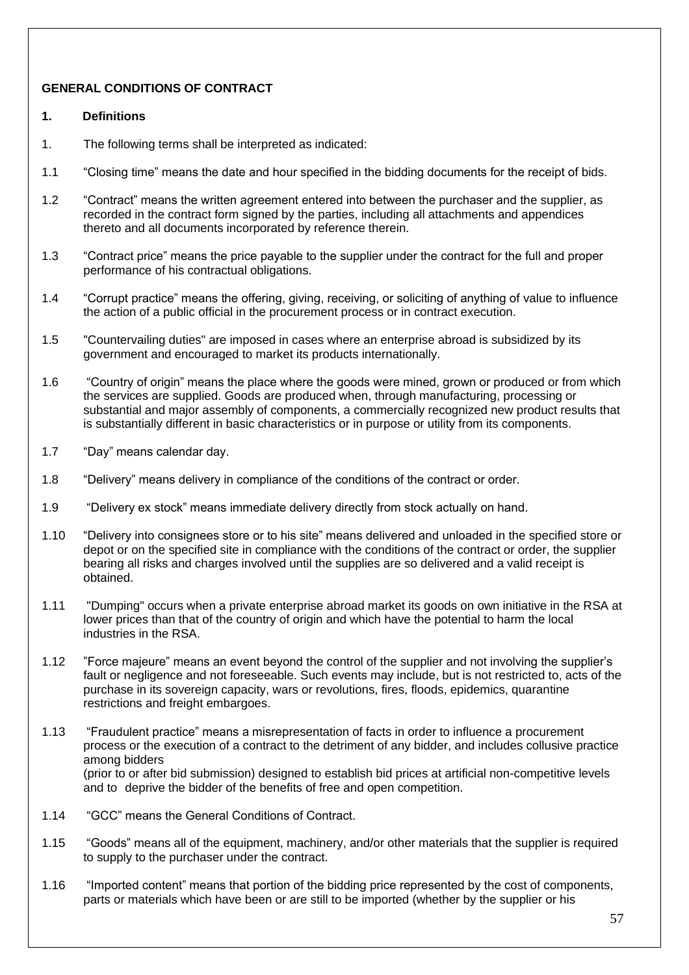# **GENERAL CONDITIONS OF CONTRACT**

### **1. Definitions**

- 1. The following terms shall be interpreted as indicated:
- 1.1 "Closing time" means the date and hour specified in the bidding documents for the receipt of bids.
- 1.2 "Contract" means the written agreement entered into between the purchaser and the supplier, as recorded in the contract form signed by the parties, including all attachments and appendices thereto and all documents incorporated by reference therein.
- 1.3 "Contract price" means the price payable to the supplier under the contract for the full and proper performance of his contractual obligations.
- 1.4 "Corrupt practice" means the offering, giving, receiving, or soliciting of anything of value to influence the action of a public official in the procurement process or in contract execution.
- 1.5 "Countervailing duties" are imposed in cases where an enterprise abroad is subsidized by its government and encouraged to market its products internationally.
- 1.6 "Country of origin" means the place where the goods were mined, grown or produced or from which the services are supplied. Goods are produced when, through manufacturing, processing or substantial and major assembly of components, a commercially recognized new product results that is substantially different in basic characteristics or in purpose or utility from its components.
- 1.7 "Day" means calendar day.
- 1.8 "Delivery" means delivery in compliance of the conditions of the contract or order.
- 1.9 "Delivery ex stock" means immediate delivery directly from stock actually on hand.
- 1.10 "Delivery into consignees store or to his site" means delivered and unloaded in the specified store or depot or on the specified site in compliance with the conditions of the contract or order, the supplier bearing all risks and charges involved until the supplies are so delivered and a valid receipt is obtained.
- 1.11 "Dumping" occurs when a private enterprise abroad market its goods on own initiative in the RSA at lower prices than that of the country of origin and which have the potential to harm the local industries in the RSA.
- 1.12 "Force majeure" means an event beyond the control of the supplier and not involving the supplier's fault or negligence and not foreseeable. Such events may include, but is not restricted to, acts of the purchase in its sovereign capacity, wars or revolutions, fires, floods, epidemics, quarantine restrictions and freight embargoes.
- 1.13 "Fraudulent practice" means a misrepresentation of facts in order to influence a procurement process or the execution of a contract to the detriment of any bidder, and includes collusive practice among bidders (prior to or after bid submission) designed to establish bid prices at artificial non-competitive levels and to deprive the bidder of the benefits of free and open competition.
- 1.14 "GCC" means the General Conditions of Contract.
- 1.15 "Goods" means all of the equipment, machinery, and/or other materials that the supplier is required to supply to the purchaser under the contract.
- 1.16 "Imported content" means that portion of the bidding price represented by the cost of components, parts or materials which have been or are still to be imported (whether by the supplier or his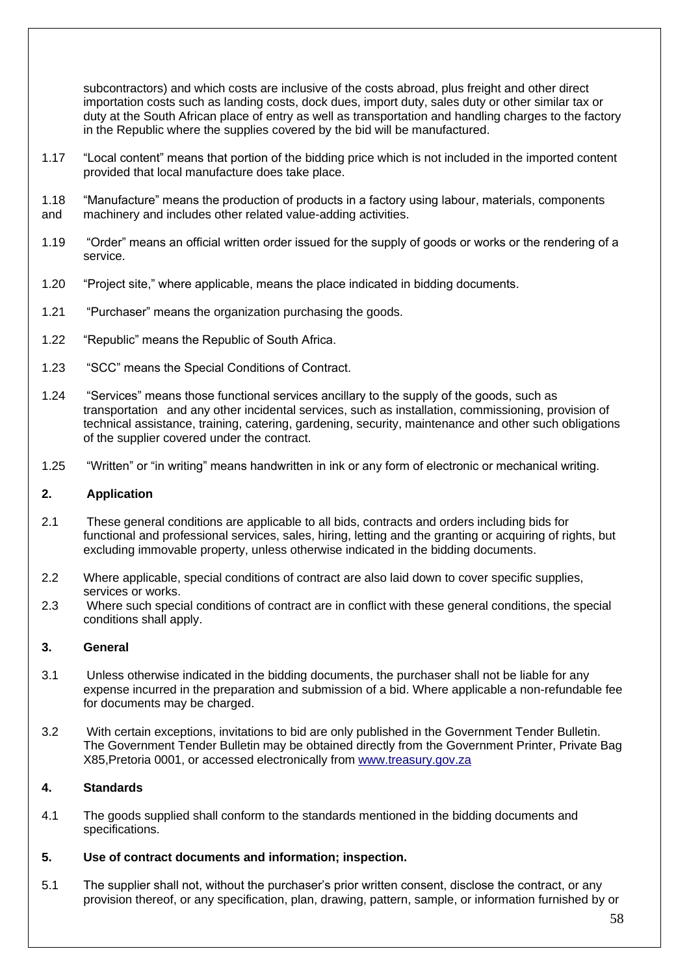subcontractors) and which costs are inclusive of the costs abroad, plus freight and other direct importation costs such as landing costs, dock dues, import duty, sales duty or other similar tax or duty at the South African place of entry as well as transportation and handling charges to the factory in the Republic where the supplies covered by the bid will be manufactured.

- 1.17 "Local content" means that portion of the bidding price which is not included in the imported content provided that local manufacture does take place.
- 1.18 "Manufacture" means the production of products in a factory using labour, materials, components
- and machinery and includes other related value-adding activities.
- 1.19 "Order" means an official written order issued for the supply of goods or works or the rendering of a service.
- 1.20 "Project site," where applicable, means the place indicated in bidding documents.
- 1.21 "Purchaser" means the organization purchasing the goods.
- 1.22 "Republic" means the Republic of South Africa.
- 1.23 "SCC" means the Special Conditions of Contract.
- 1.24 "Services" means those functional services ancillary to the supply of the goods, such as transportation and any other incidental services, such as installation, commissioning, provision of technical assistance, training, catering, gardening, security, maintenance and other such obligations of the supplier covered under the contract.
- 1.25 "Written" or "in writing" means handwritten in ink or any form of electronic or mechanical writing.

### **2. Application**

- 2.1 These general conditions are applicable to all bids, contracts and orders including bids for functional and professional services, sales, hiring, letting and the granting or acquiring of rights, but excluding immovable property, unless otherwise indicated in the bidding documents.
- 2.2 Where applicable, special conditions of contract are also laid down to cover specific supplies, services or works.
- 2.3 Where such special conditions of contract are in conflict with these general conditions, the special conditions shall apply.

### **3. General**

- 3.1 Unless otherwise indicated in the bidding documents, the purchaser shall not be liable for any expense incurred in the preparation and submission of a bid. Where applicable a non-refundable fee for documents may be charged.
- 3.2 With certain exceptions, invitations to bid are only published in the Government Tender Bulletin. The Government Tender Bulletin may be obtained directly from the Government Printer, Private Bag X85,Pretoria 0001, or accessed electronically from [www.treasury.gov.za](http://www.treasury.gov.za/)

## **4. Standards**

4.1 The goods supplied shall conform to the standards mentioned in the bidding documents and specifications.

### **5. Use of contract documents and information; inspection.**

5.1 The supplier shall not, without the purchaser's prior written consent, disclose the contract, or any provision thereof, or any specification, plan, drawing, pattern, sample, or information furnished by or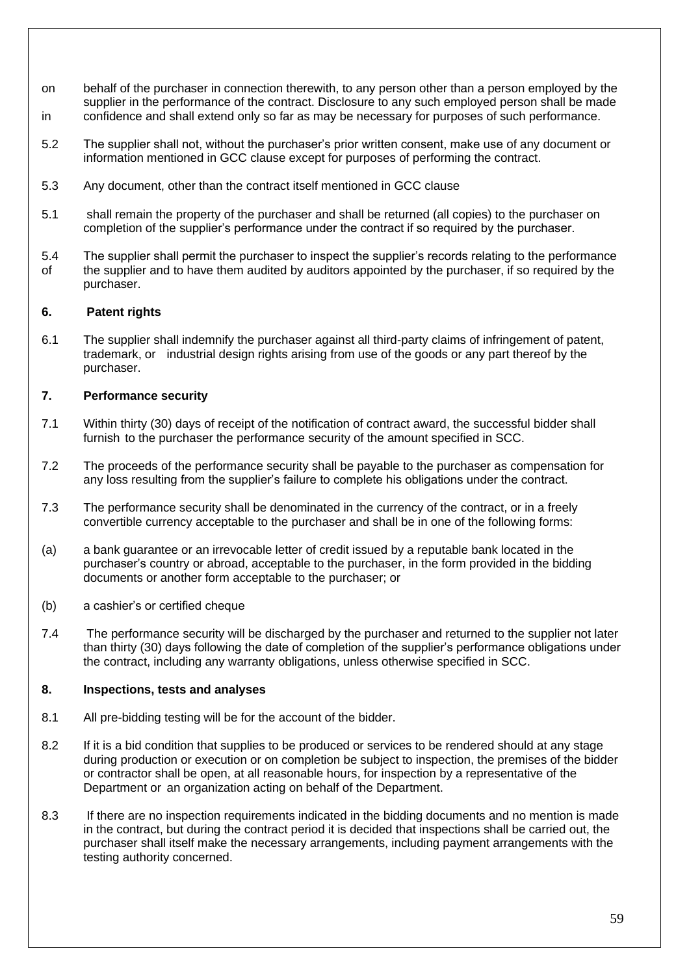- on behalf of the purchaser in connection therewith, to any person other than a person employed by the supplier in the performance of the contract. Disclosure to any such employed person shall be made in confidence and shall extend only so far as may be necessary for purposes of such performance.
- 5.2 The supplier shall not, without the purchaser's prior written consent, make use of any document or information mentioned in GCC clause except for purposes of performing the contract.
- 5.3 Any document, other than the contract itself mentioned in GCC clause
- 5.1 shall remain the property of the purchaser and shall be returned (all copies) to the purchaser on completion of the supplier's performance under the contract if so required by the purchaser.
- 5.4 The supplier shall permit the purchaser to inspect the supplier's records relating to the performance of the supplier and to have them audited by auditors appointed by the purchaser, if so required by the purchaser.

#### **6. Patent rights**

6.1 The supplier shall indemnify the purchaser against all third-party claims of infringement of patent, trademark, or industrial design rights arising from use of the goods or any part thereof by the purchaser.

#### **7. Performance security**

- 7.1 Within thirty (30) days of receipt of the notification of contract award, the successful bidder shall furnish to the purchaser the performance security of the amount specified in SCC.
- 7.2 The proceeds of the performance security shall be payable to the purchaser as compensation for any loss resulting from the supplier's failure to complete his obligations under the contract.
- 7.3 The performance security shall be denominated in the currency of the contract, or in a freely convertible currency acceptable to the purchaser and shall be in one of the following forms:
- (a) a bank guarantee or an irrevocable letter of credit issued by a reputable bank located in the purchaser's country or abroad, acceptable to the purchaser, in the form provided in the bidding documents or another form acceptable to the purchaser; or
- (b) a cashier's or certified cheque
- 7.4 The performance security will be discharged by the purchaser and returned to the supplier not later than thirty (30) days following the date of completion of the supplier's performance obligations under the contract, including any warranty obligations, unless otherwise specified in SCC.

#### **8. Inspections, tests and analyses**

- 8.1 All pre-bidding testing will be for the account of the bidder.
- 8.2 If it is a bid condition that supplies to be produced or services to be rendered should at any stage during production or execution or on completion be subject to inspection, the premises of the bidder or contractor shall be open, at all reasonable hours, for inspection by a representative of the Department or an organization acting on behalf of the Department.
- 8.3 If there are no inspection requirements indicated in the bidding documents and no mention is made in the contract, but during the contract period it is decided that inspections shall be carried out, the purchaser shall itself make the necessary arrangements, including payment arrangements with the testing authority concerned.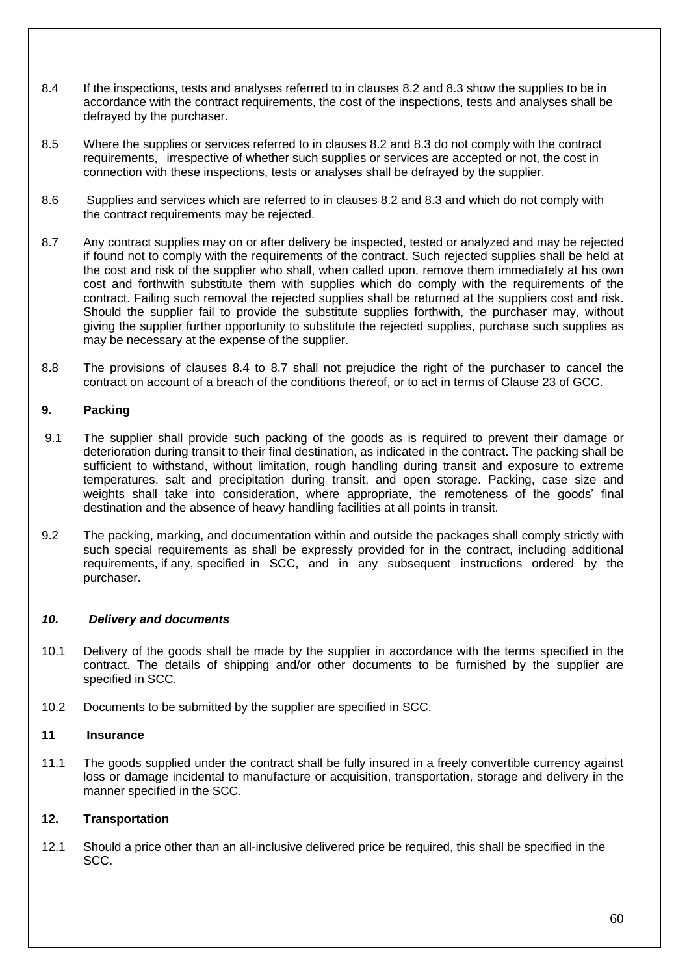- 8.4 If the inspections, tests and analyses referred to in clauses 8.2 and 8.3 show the supplies to be in accordance with the contract requirements, the cost of the inspections, tests and analyses shall be defrayed by the purchaser.
- 8.5 Where the supplies or services referred to in clauses 8.2 and 8.3 do not comply with the contract requirements, irrespective of whether such supplies or services are accepted or not, the cost in connection with these inspections, tests or analyses shall be defrayed by the supplier.
- 8.6 Supplies and services which are referred to in clauses 8.2 and 8.3 and which do not comply with the contract requirements may be rejected.
- 8.7 Any contract supplies may on or after delivery be inspected, tested or analyzed and may be rejected if found not to comply with the requirements of the contract. Such rejected supplies shall be held at the cost and risk of the supplier who shall, when called upon, remove them immediately at his own cost and forthwith substitute them with supplies which do comply with the requirements of the contract. Failing such removal the rejected supplies shall be returned at the suppliers cost and risk. Should the supplier fail to provide the substitute supplies forthwith, the purchaser may, without giving the supplier further opportunity to substitute the rejected supplies, purchase such supplies as may be necessary at the expense of the supplier.
- 8.8 The provisions of clauses 8.4 to 8.7 shall not prejudice the right of the purchaser to cancel the contract on account of a breach of the conditions thereof, or to act in terms of Clause 23 of GCC.

### **9. Packing**

- 9.1 The supplier shall provide such packing of the goods as is required to prevent their damage or deterioration during transit to their final destination, as indicated in the contract. The packing shall be sufficient to withstand, without limitation, rough handling during transit and exposure to extreme temperatures, salt and precipitation during transit, and open storage. Packing, case size and weights shall take into consideration, where appropriate, the remoteness of the goods' final destination and the absence of heavy handling facilities at all points in transit.
- 9.2 The packing, marking, and documentation within and outside the packages shall comply strictly with such special requirements as shall be expressly provided for in the contract, including additional requirements, if any, specified in SCC, and in any subsequent instructions ordered by the purchaser.

### *10. Delivery and documents*

- 10.1 Delivery of the goods shall be made by the supplier in accordance with the terms specified in the contract. The details of shipping and/or other documents to be furnished by the supplier are specified in SCC.
- 10.2 Documents to be submitted by the supplier are specified in SCC.

### **11 Insurance**

11.1 The goods supplied under the contract shall be fully insured in a freely convertible currency against loss or damage incidental to manufacture or acquisition, transportation, storage and delivery in the manner specified in the SCC.

### **12. Transportation**

12.1 Should a price other than an all-inclusive delivered price be required, this shall be specified in the SCC.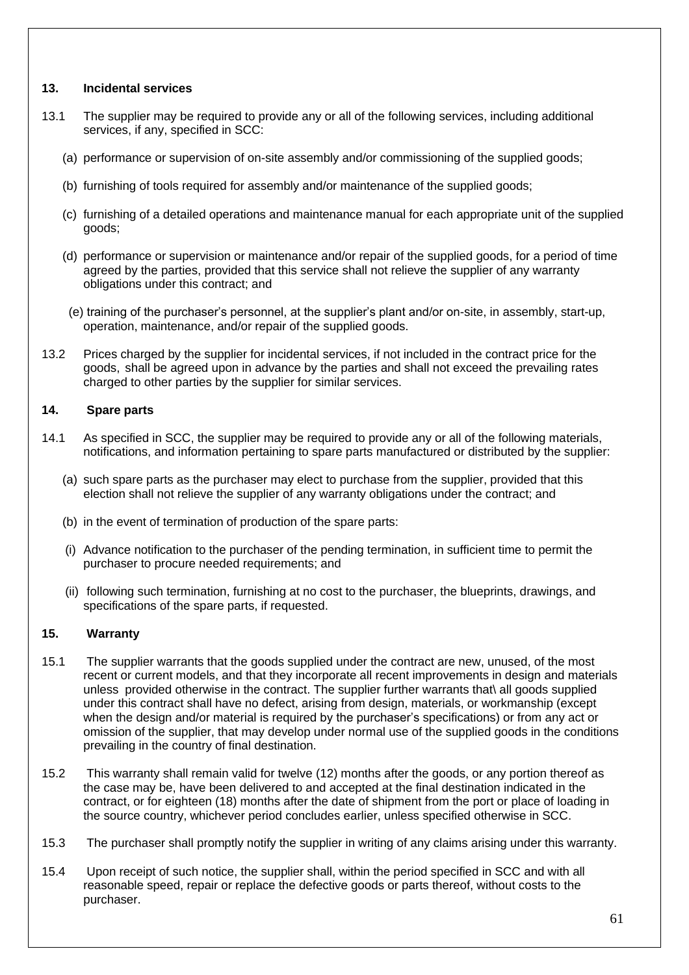### **13. Incidental services**

- 13.1 The supplier may be required to provide any or all of the following services, including additional services, if any, specified in SCC:
	- (a) performance or supervision of on-site assembly and/or commissioning of the supplied goods;
	- (b) furnishing of tools required for assembly and/or maintenance of the supplied goods;
	- (c) furnishing of a detailed operations and maintenance manual for each appropriate unit of the supplied goods;
	- (d) performance or supervision or maintenance and/or repair of the supplied goods, for a period of time agreed by the parties, provided that this service shall not relieve the supplier of any warranty obligations under this contract; and
	- (e) training of the purchaser's personnel, at the supplier's plant and/or on-site, in assembly, start-up, operation, maintenance, and/or repair of the supplied goods.
- 13.2 Prices charged by the supplier for incidental services, if not included in the contract price for the goods, shall be agreed upon in advance by the parties and shall not exceed the prevailing rates charged to other parties by the supplier for similar services.

### **14. Spare parts**

- 14.1 As specified in SCC, the supplier may be required to provide any or all of the following materials, notifications, and information pertaining to spare parts manufactured or distributed by the supplier:
	- (a) such spare parts as the purchaser may elect to purchase from the supplier, provided that this election shall not relieve the supplier of any warranty obligations under the contract; and
	- (b) in the event of termination of production of the spare parts:
	- (i) Advance notification to the purchaser of the pending termination, in sufficient time to permit the purchaser to procure needed requirements; and
	- (ii) following such termination, furnishing at no cost to the purchaser, the blueprints, drawings, and specifications of the spare parts, if requested.

## **15. Warranty**

- 15.1 The supplier warrants that the goods supplied under the contract are new, unused, of the most recent or current models, and that they incorporate all recent improvements in design and materials unless provided otherwise in the contract. The supplier further warrants that\ all goods supplied under this contract shall have no defect, arising from design, materials, or workmanship (except when the design and/or material is required by the purchaser's specifications) or from any act or omission of the supplier, that may develop under normal use of the supplied goods in the conditions prevailing in the country of final destination.
- 15.2 This warranty shall remain valid for twelve (12) months after the goods, or any portion thereof as the case may be, have been delivered to and accepted at the final destination indicated in the contract, or for eighteen (18) months after the date of shipment from the port or place of loading in the source country, whichever period concludes earlier, unless specified otherwise in SCC.
- 15.3 The purchaser shall promptly notify the supplier in writing of any claims arising under this warranty.
- 15.4 Upon receipt of such notice, the supplier shall, within the period specified in SCC and with all reasonable speed, repair or replace the defective goods or parts thereof, without costs to the purchaser.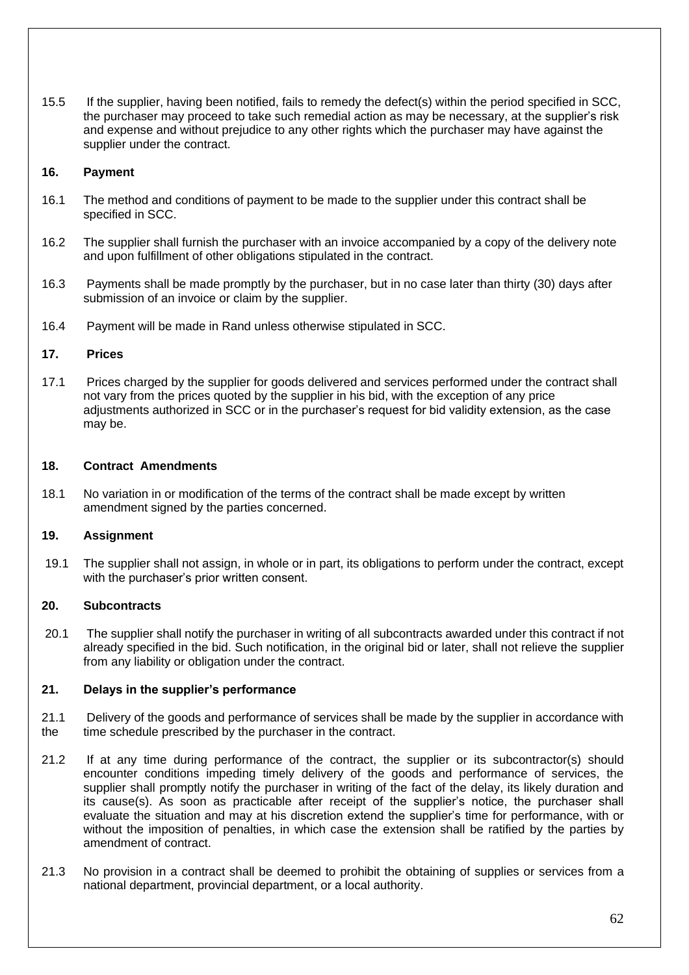15.5 If the supplier, having been notified, fails to remedy the defect(s) within the period specified in SCC, the purchaser may proceed to take such remedial action as may be necessary, at the supplier's risk and expense and without prejudice to any other rights which the purchaser may have against the supplier under the contract.

### **16. Payment**

- 16.1 The method and conditions of payment to be made to the supplier under this contract shall be specified in SCC.
- 16.2 The supplier shall furnish the purchaser with an invoice accompanied by a copy of the delivery note and upon fulfillment of other obligations stipulated in the contract.
- 16.3 Payments shall be made promptly by the purchaser, but in no case later than thirty (30) days after submission of an invoice or claim by the supplier.
- 16.4 Payment will be made in Rand unless otherwise stipulated in SCC.

### **17. Prices**

17.1 Prices charged by the supplier for goods delivered and services performed under the contract shall not vary from the prices quoted by the supplier in his bid, with the exception of any price adjustments authorized in SCC or in the purchaser's request for bid validity extension, as the case may be.

#### **18. Contract Amendments**

18.1 No variation in or modification of the terms of the contract shall be made except by written amendment signed by the parties concerned.

### **19. Assignment**

19.1 The supplier shall not assign, in whole or in part, its obligations to perform under the contract, except with the purchaser's prior written consent.

### **20. Subcontracts**

20.1 The supplier shall notify the purchaser in writing of all subcontracts awarded under this contract if not already specified in the bid. Such notification, in the original bid or later, shall not relieve the supplier from any liability or obligation under the contract.

### **21. Delays in the supplier's performance**

- 21.1 Delivery of the goods and performance of services shall be made by the supplier in accordance with the time schedule prescribed by the purchaser in the contract.
- 21.2 If at any time during performance of the contract, the supplier or its subcontractor(s) should encounter conditions impeding timely delivery of the goods and performance of services, the supplier shall promptly notify the purchaser in writing of the fact of the delay, its likely duration and its cause(s). As soon as practicable after receipt of the supplier's notice, the purchaser shall evaluate the situation and may at his discretion extend the supplier's time for performance, with or without the imposition of penalties, in which case the extension shall be ratified by the parties by amendment of contract.
- 21.3 No provision in a contract shall be deemed to prohibit the obtaining of supplies or services from a national department, provincial department, or a local authority.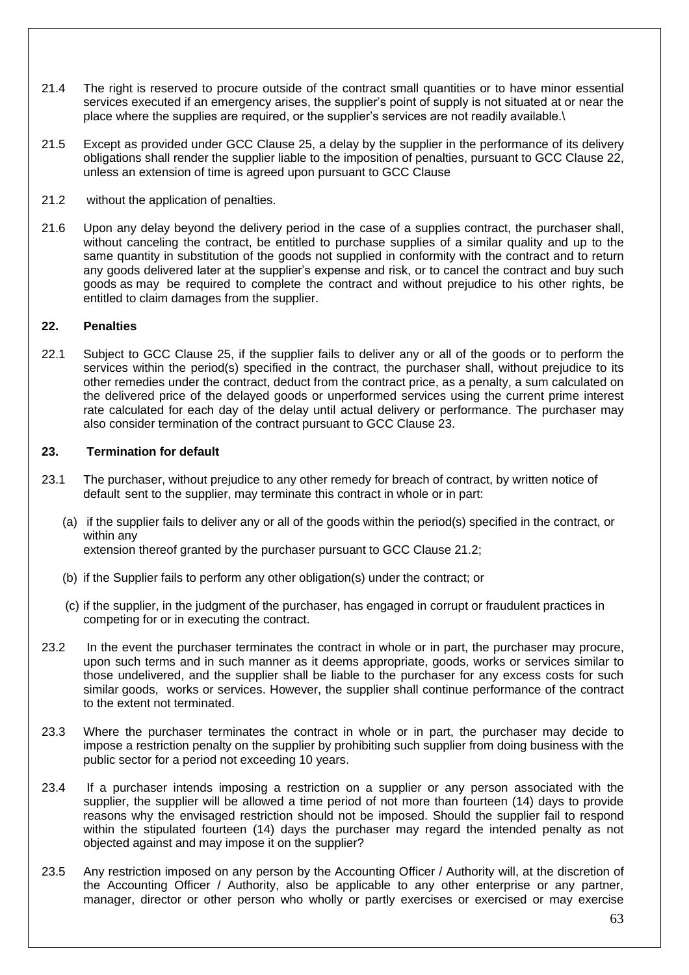- 21.4 The right is reserved to procure outside of the contract small quantities or to have minor essential services executed if an emergency arises, the supplier's point of supply is not situated at or near the place where the supplies are required, or the supplier's services are not readily available.\
- 21.5 Except as provided under GCC Clause 25, a delay by the supplier in the performance of its delivery obligations shall render the supplier liable to the imposition of penalties, pursuant to GCC Clause 22, unless an extension of time is agreed upon pursuant to GCC Clause
- 21.2 without the application of penalties.
- 21.6 Upon any delay beyond the delivery period in the case of a supplies contract, the purchaser shall, without canceling the contract, be entitled to purchase supplies of a similar quality and up to the same quantity in substitution of the goods not supplied in conformity with the contract and to return any goods delivered later at the supplier's expense and risk, or to cancel the contract and buy such goods as may be required to complete the contract and without prejudice to his other rights, be entitled to claim damages from the supplier.

### **22. Penalties**

22.1 Subject to GCC Clause 25, if the supplier fails to deliver any or all of the goods or to perform the services within the period(s) specified in the contract, the purchaser shall, without prejudice to its other remedies under the contract, deduct from the contract price, as a penalty, a sum calculated on the delivered price of the delayed goods or unperformed services using the current prime interest rate calculated for each day of the delay until actual delivery or performance. The purchaser may also consider termination of the contract pursuant to GCC Clause 23.

### **23. Termination for default**

- 23.1 The purchaser, without prejudice to any other remedy for breach of contract, by written notice of default sent to the supplier, may terminate this contract in whole or in part:
	- (a) if the supplier fails to deliver any or all of the goods within the period(s) specified in the contract, or within any extension thereof granted by the purchaser pursuant to GCC Clause 21.2;
	- (b) if the Supplier fails to perform any other obligation(s) under the contract; or
	- (c) if the supplier, in the judgment of the purchaser, has engaged in corrupt or fraudulent practices in competing for or in executing the contract.
- 23.2 In the event the purchaser terminates the contract in whole or in part, the purchaser may procure, upon such terms and in such manner as it deems appropriate, goods, works or services similar to those undelivered, and the supplier shall be liable to the purchaser for any excess costs for such similar goods, works or services. However, the supplier shall continue performance of the contract to the extent not terminated.
- 23.3 Where the purchaser terminates the contract in whole or in part, the purchaser may decide to impose a restriction penalty on the supplier by prohibiting such supplier from doing business with the public sector for a period not exceeding 10 years.
- 23.4 If a purchaser intends imposing a restriction on a supplier or any person associated with the supplier, the supplier will be allowed a time period of not more than fourteen (14) days to provide reasons why the envisaged restriction should not be imposed. Should the supplier fail to respond within the stipulated fourteen (14) days the purchaser may regard the intended penalty as not objected against and may impose it on the supplier?
- 23.5 Any restriction imposed on any person by the Accounting Officer / Authority will, at the discretion of the Accounting Officer / Authority, also be applicable to any other enterprise or any partner, manager, director or other person who wholly or partly exercises or exercised or may exercise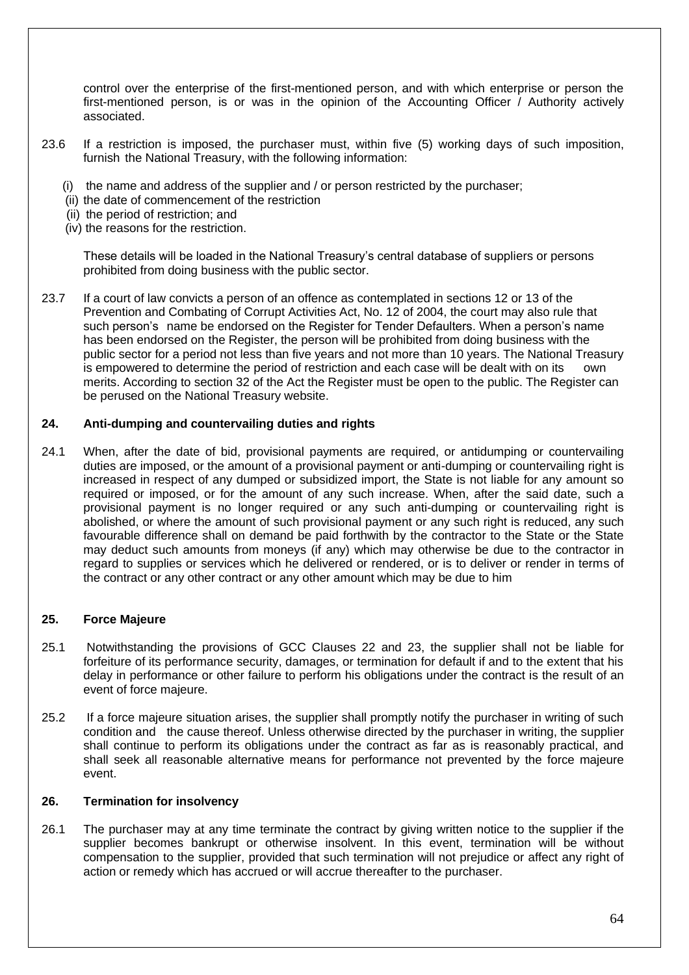control over the enterprise of the first-mentioned person, and with which enterprise or person the first-mentioned person, is or was in the opinion of the Accounting Officer / Authority actively associated.

- 23.6 If a restriction is imposed, the purchaser must, within five (5) working days of such imposition, furnish the National Treasury, with the following information:
	- (i) the name and address of the supplier and / or person restricted by the purchaser;
	- (ii) the date of commencement of the restriction
	- (ii) the period of restriction; and
	- (iv) the reasons for the restriction.

These details will be loaded in the National Treasury's central database of suppliers or persons prohibited from doing business with the public sector.

23.7 If a court of law convicts a person of an offence as contemplated in sections 12 or 13 of the Prevention and Combating of Corrupt Activities Act, No. 12 of 2004, the court may also rule that such person's name be endorsed on the Register for Tender Defaulters. When a person's name has been endorsed on the Register, the person will be prohibited from doing business with the public sector for a period not less than five years and not more than 10 years. The National Treasury is empowered to determine the period of restriction and each case will be dealt with on its own merits. According to section 32 of the Act the Register must be open to the public. The Register can be perused on the National Treasury website.

### **24. Anti-dumping and countervailing duties and rights**

24.1 When, after the date of bid, provisional payments are required, or antidumping or countervailing duties are imposed, or the amount of a provisional payment or anti-dumping or countervailing right is increased in respect of any dumped or subsidized import, the State is not liable for any amount so required or imposed, or for the amount of any such increase. When, after the said date, such a provisional payment is no longer required or any such anti-dumping or countervailing right is abolished, or where the amount of such provisional payment or any such right is reduced, any such favourable difference shall on demand be paid forthwith by the contractor to the State or the State may deduct such amounts from moneys (if any) which may otherwise be due to the contractor in regard to supplies or services which he delivered or rendered, or is to deliver or render in terms of the contract or any other contract or any other amount which may be due to him

### **25. Force Majeure**

- 25.1 Notwithstanding the provisions of GCC Clauses 22 and 23, the supplier shall not be liable for forfeiture of its performance security, damages, or termination for default if and to the extent that his delay in performance or other failure to perform his obligations under the contract is the result of an event of force majeure.
- 25.2 If a force majeure situation arises, the supplier shall promptly notify the purchaser in writing of such condition and the cause thereof. Unless otherwise directed by the purchaser in writing, the supplier shall continue to perform its obligations under the contract as far as is reasonably practical, and shall seek all reasonable alternative means for performance not prevented by the force majeure event.

### **26. Termination for insolvency**

26.1 The purchaser may at any time terminate the contract by giving written notice to the supplier if the supplier becomes bankrupt or otherwise insolvent. In this event, termination will be without compensation to the supplier, provided that such termination will not prejudice or affect any right of action or remedy which has accrued or will accrue thereafter to the purchaser.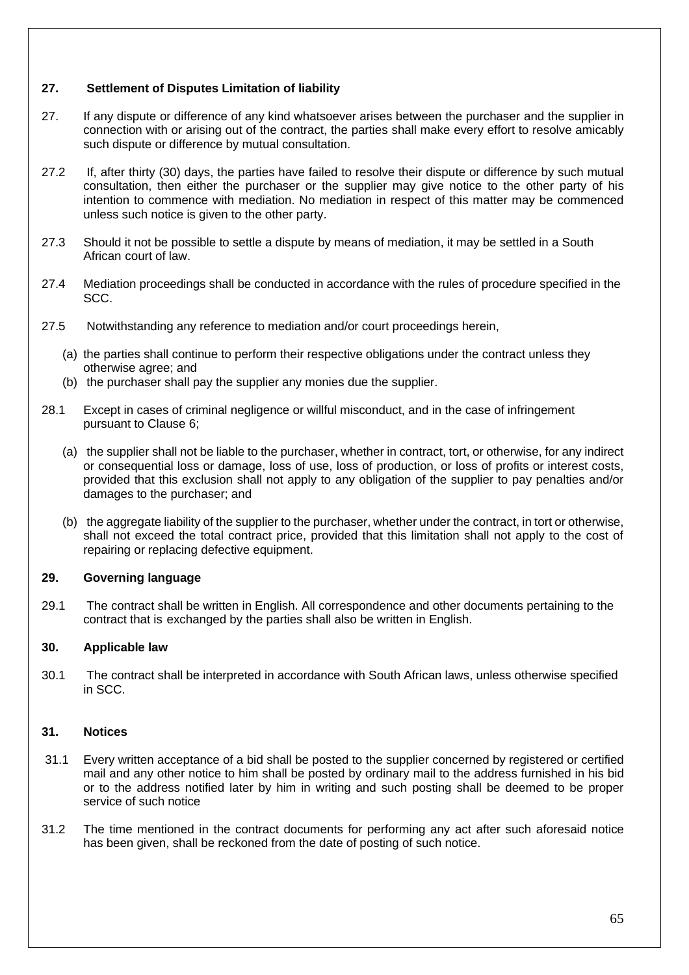### **27. Settlement of Disputes Limitation of liability**

- 27. If any dispute or difference of any kind whatsoever arises between the purchaser and the supplier in connection with or arising out of the contract, the parties shall make every effort to resolve amicably such dispute or difference by mutual consultation.
- 27.2 If, after thirty (30) days, the parties have failed to resolve their dispute or difference by such mutual consultation, then either the purchaser or the supplier may give notice to the other party of his intention to commence with mediation. No mediation in respect of this matter may be commenced unless such notice is given to the other party.
- 27.3 Should it not be possible to settle a dispute by means of mediation, it may be settled in a South African court of law.
- 27.4 Mediation proceedings shall be conducted in accordance with the rules of procedure specified in the SCC.
- 27.5 Notwithstanding any reference to mediation and/or court proceedings herein,
	- (a) the parties shall continue to perform their respective obligations under the contract unless they otherwise agree; and
	- (b) the purchaser shall pay the supplier any monies due the supplier.
- 28.1 Except in cases of criminal negligence or willful misconduct, and in the case of infringement pursuant to Clause 6;
	- (a) the supplier shall not be liable to the purchaser, whether in contract, tort, or otherwise, for any indirect or consequential loss or damage, loss of use, loss of production, or loss of profits or interest costs, provided that this exclusion shall not apply to any obligation of the supplier to pay penalties and/or damages to the purchaser; and
	- (b) the aggregate liability of the supplier to the purchaser, whether under the contract, in tort or otherwise, shall not exceed the total contract price, provided that this limitation shall not apply to the cost of repairing or replacing defective equipment.

### **29. Governing language**

29.1 The contract shall be written in English. All correspondence and other documents pertaining to the contract that is exchanged by the parties shall also be written in English.

### **30. Applicable law**

30.1 The contract shall be interpreted in accordance with South African laws, unless otherwise specified in SCC.

### **31. Notices**

- 31.1 Every written acceptance of a bid shall be posted to the supplier concerned by registered or certified mail and any other notice to him shall be posted by ordinary mail to the address furnished in his bid or to the address notified later by him in writing and such posting shall be deemed to be proper service of such notice
- 31.2 The time mentioned in the contract documents for performing any act after such aforesaid notice has been given, shall be reckoned from the date of posting of such notice.